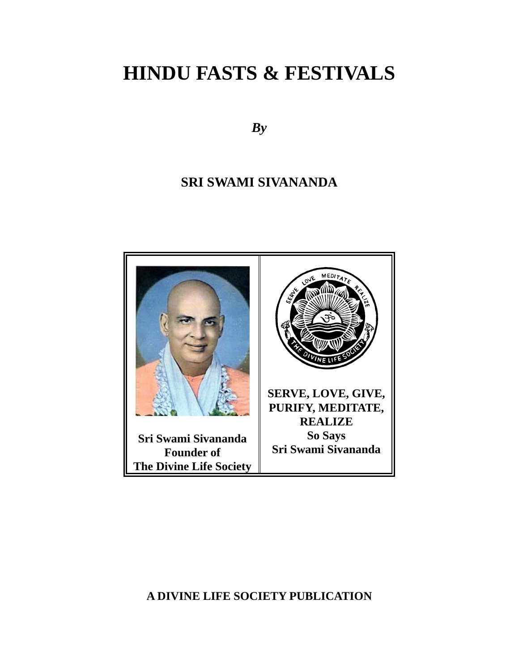*By*

# **SRI SWAMI SIVANANDA**



**A DIVINE LIFE SOCIETY PUBLICATION**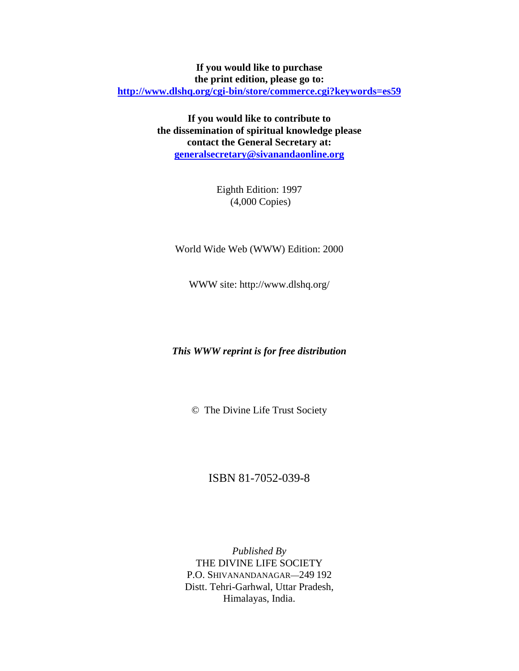### **If you would like to purchase**

**the print edition, please go to:** 

**http://www.dlshq.org/cgi-bin/store/commerce.cgi?keywords=es59**

**If you would like to contribute to the dissemination of spiritual knowledge please contact the General Secretary at: generalsecretary@sivanandaonline.org**

> Eighth Edition: 1997 (4,000 Copies)

World Wide Web (WWW) Edition: 2000

WWW site: http://www.dlshq.org/

# *This WWW reprint is for free distribution*

© The Divine Life Trust Society

# ISBN 81-7052-039-8

*Published By* THE DIVINE LIFE SOCIETY P.O. SHIVANANDANAGAR—249 192 Distt. Tehri-Garhwal, Uttar Pradesh, Himalayas, India.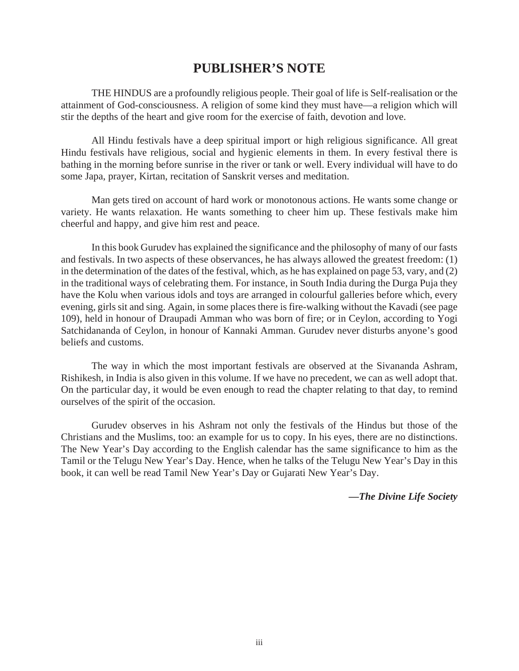# **PUBLISHER'S NOTE**

THE HINDUS are a profoundly religious people. Their goal of life is Self-realisation or the attainment of God-consciousness. A religion of some kind they must have—a religion which will stir the depths of the heart and give room for the exercise of faith, devotion and love.

All Hindu festivals have a deep spiritual import or high religious significance. All great Hindu festivals have religious, social and hygienic elements in them. In every festival there is bathing in the morning before sunrise in the river or tank or well. Every individual will have to do some Japa, prayer, Kirtan, recitation of Sanskrit verses and meditation.

Man gets tired on account of hard work or monotonous actions. He wants some change or variety. He wants relaxation. He wants something to cheer him up. These festivals make him cheerful and happy, and give him rest and peace.

In this book Gurudev has explained the significance and the philosophy of many of our fasts and festivals. In two aspects of these observances, he has always allowed the greatest freedom: (1) in the determination of the dates of the festival, which, as he has explained on page 53, vary, and (2) in the traditional ways of celebrating them. For instance, in South India during the Durga Puja they have the Kolu when various idols and toys are arranged in colourful galleries before which, every evening, girls sit and sing. Again, in some places there is fire-walking without the Kavadi (see page 109), held in honour of Draupadi Amman who was born of fire; or in Ceylon, according to Yogi Satchidananda of Ceylon, in honour of Kannaki Amman. Gurudev never disturbs anyone's good beliefs and customs.

The way in which the most important festivals are observed at the Sivananda Ashram, Rishikesh, in India is also given in this volume. If we have no precedent, we can as well adopt that. On the particular day, it would be even enough to read the chapter relating to that day, to remind ourselves of the spirit of the occasion.

Gurudev observes in his Ashram not only the festivals of the Hindus but those of the Christians and the Muslims, too: an example for us to copy. In his eyes, there are no distinctions. The New Year's Day according to the English calendar has the same significance to him as the Tamil or the Telugu New Year's Day. Hence, when he talks of the Telugu New Year's Day in this book, it can well be read Tamil New Year's Day or Gujarati New Year's Day.

*—The Divine Life Society*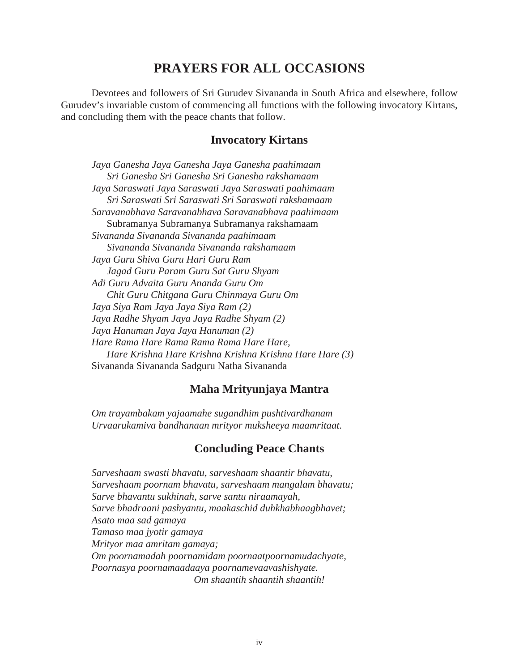# **PRAYERS FOR ALL OCCASIONS**

Devotees and followers of Sri Gurudev Sivananda in South Africa and elsewhere, follow Gurudev's invariable custom of commencing all functions with the following invocatory Kirtans, and concluding them with the peace chants that follow.

#### **Invocatory Kirtans**

*Jaya Ganesha Jaya Ganesha Jaya Ganesha paahimaam Sri Ganesha Sri Ganesha Sri Ganesha rakshamaam Jaya Saraswati Jaya Saraswati Jaya Saraswati paahimaam Sri Saraswati Sri Saraswati Sri Saraswati rakshamaam Saravanabhava Saravanabhava Saravanabhava paahimaam* Subramanya Subramanya Subramanya rakshamaam *Sivananda Sivananda Sivananda paahimaam Sivananda Sivananda Sivananda rakshamaam Jaya Guru Shiva Guru Hari Guru Ram Jagad Guru Param Guru Sat Guru Shyam Adi Guru Advaita Guru Ananda Guru Om Chit Guru Chitgana Guru Chinmaya Guru Om Jaya Siya Ram Jaya Jaya Siya Ram (2) Jaya Radhe Shyam Jaya Jaya Radhe Shyam (2) Jaya Hanuman Jaya Jaya Hanuman (2) Hare Rama Hare Rama Rama Rama Hare Hare, Hare Krishna Hare Krishna Krishna Krishna Hare Hare (3)* Sivananda Sivananda Sadguru Natha Sivananda

### **Maha Mrityunjaya Mantra**

*Om trayambakam yajaamahe sugandhim pushtivardhanam Urvaarukamiva bandhanaan mrityor muksheeya maamritaat.*

### **Concluding Peace Chants**

*Sarveshaam swasti bhavatu, sarveshaam shaantir bhavatu, Sarveshaam poornam bhavatu, sarveshaam mangalam bhavatu; Sarve bhavantu sukhinah, sarve santu niraamayah, Sarve bhadraani pashyantu, maakaschid duhkhabhaagbhavet; Asato maa sad gamaya Tamaso maa jyotir gamaya Mrityor maa amritam gamaya; Om poornamadah poornamidam poornaatpoornamudachyate, Poornasya poornamaadaaya poornamevaavashishyate. Om shaantih shaantih shaantih!*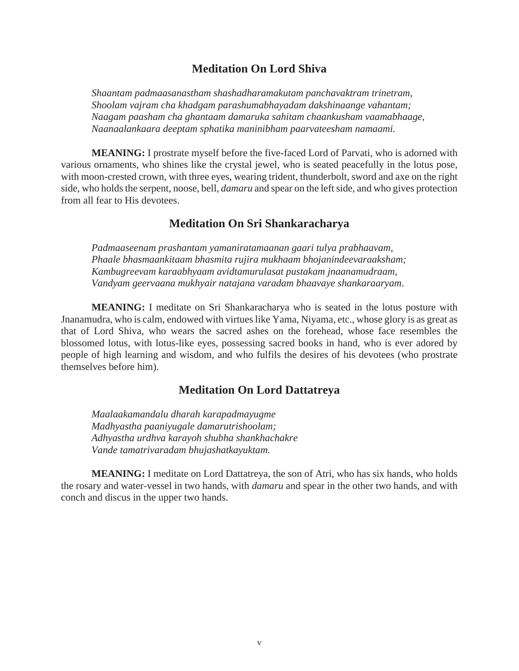### **Meditation On Lord Shiva**

*Shaantam padmaasanastham shashadharamakutam panchavaktram trinetram, Shoolam vajram cha khadgam parashumabhayadam dakshinaange vahantam; Naagam paasham cha ghantaam damaruka sahitam chaankusham vaamabhaage, Naanaalankaara deeptam sphatika maninibham paarvateesham namaami.*

**MEANING:** I prostrate myself before the five-faced Lord of Parvati, who is adorned with various ornaments, who shines like the crystal jewel, who is seated peacefully in the lotus pose, with moon-crested crown, with three eyes, wearing trident, thunderbolt, sword and axe on the right side, who holds the serpent, noose, bell, *damaru* and spear on the left side, and who gives protection from all fear to His devotees.

### **Meditation On Sri Shankaracharya**

*Padmaaseenam prashantam yamaniratamaanan gaari tulya prabhaavam, Phaale bhasmaankitaam bhasmita rujira mukhaam bhojanindeevaraaksham; Kambugreevam karaabhyaam avidtamurulasat pustakam jnaanamudraam, Vandyam geervaana mukhyair natajana varadam bhaavaye shankaraaryam*.

**MEANING:** I meditate on Sri Shankaracharya who is seated in the lotus posture with Jnanamudra, who is calm, endowed with virtues like Yama, Niyama, etc., whose glory is as great as that of Lord Shiva, who wears the sacred ashes on the forehead, whose face resembles the blossomed lotus, with lotus-like eyes, possessing sacred books in hand, who is ever adored by people of high learning and wisdom, and who fulfils the desires of his devotees (who prostrate themselves before him).

### **Meditation On Lord Dattatreya**

*Maalaakamandalu dharah karapadmayugme Madhyastha paaniyugale damarutrishoolam; Adhyastha urdhva karayoh shubha shankhachakre Vande tamatrivaradam bhujashatkayuktam.*

**MEANING:** I meditate on Lord Dattatreya, the son of Atri, who has six hands, who holds the rosary and water-vessel in two hands, with *damaru* and spear in the other two hands, and with conch and discus in the upper two hands.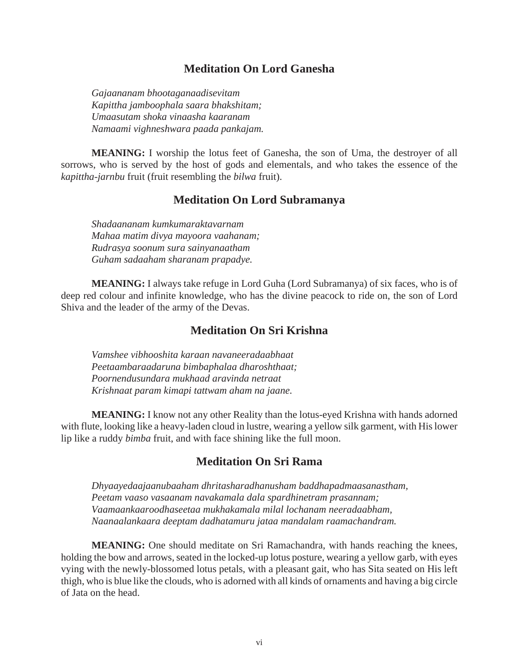### **Meditation On Lord Ganesha**

*Gajaananam bhootaganaadisevitam Kapittha jamboophala saara bhakshitam; Umaasutam shoka vinaasha kaaranam Namaami vighneshwara paada pankajam.*

**MEANING:** I worship the lotus feet of Ganesha, the son of Uma, the destroyer of all sorrows, who is served by the host of gods and elementals, and who takes the essence of the *kapittha-jarnbu* fruit (fruit resembling the *bilwa* fruit).

### **Meditation On Lord Subramanya**

*Shadaananam kumkumaraktavarnam Mahaa matim divya mayoora vaahanam; Rudrasya soonum sura sainyanaatham Guham sadaaham sharanam prapadye.*

**MEANING:** I always take refuge in Lord Guha (Lord Subramanya) of six faces, who is of deep red colour and infinite knowledge, who has the divine peacock to ride on, the son of Lord Shiva and the leader of the army of the Devas.

### **Meditation On Sri Krishna**

*Vamshee vibhooshita karaan navaneeradaabhaat Peetaambaraadaruna bimbaphalaa dharoshthaat; Poornendusundara mukhaad aravinda netraat Krishnaat param kimapi tattwam aham na jaane.*

**MEANING:** I know not any other Reality than the lotus-eyed Krishna with hands adorned with flute, looking like a heavy-laden cloud in lustre, wearing a yellow silk garment, with His lower lip like a ruddy *bimba* fruit, and with face shining like the full moon.

### **Meditation On Sri Rama**

*Dhyaayedaajaanubaaham dhritasharadhanusham baddhapadmaasanastham, Peetam vaaso vasaanam navakamala dala spardhinetram prasannam; Vaamaankaaroodhaseetaa mukhakamala milal lochanam neeradaabham, Naanaalankaara deeptam dadhatamuru jataa mandalam raamachandram.*

**MEANING:** One should meditate on Sri Ramachandra, with hands reaching the knees, holding the bow and arrows, seated in the locked-up lotus posture, wearing a yellow garb, with eyes vying with the newly-blossomed lotus petals, with a pleasant gait, who has Sita seated on His left thigh, who is blue like the clouds, who is adorned with all kinds of ornaments and having a big circle of Jata on the head.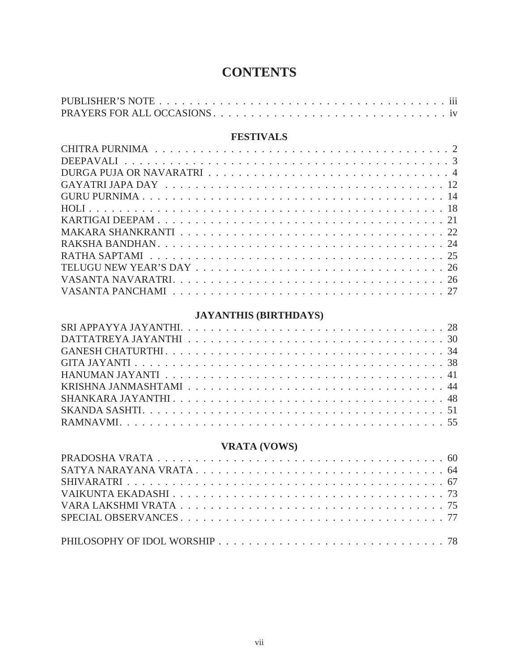# **CONTENTS**

# **FESTIVALS**

# **JAYANTHIS (BIRTHDAYS)**

### **VRATA (VOWS)**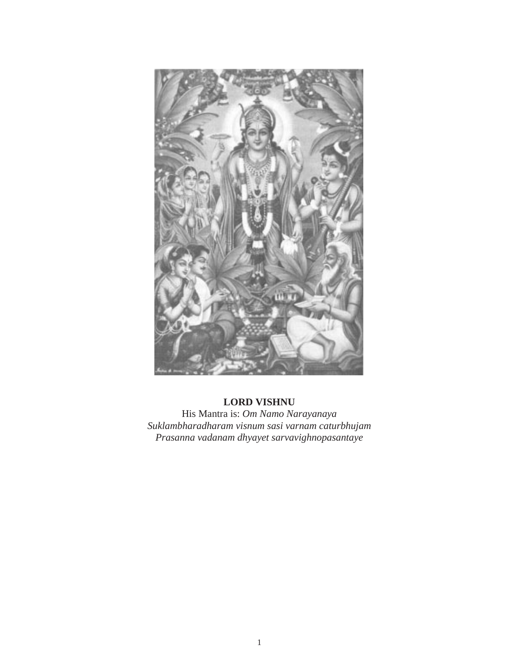

### **LORD VISHNU**

His Mantra is: *Om Namo Narayanaya Suklambharadharam visnum sasi varnam caturbhujam Prasanna vadanam dhyayet sarvavighnopasantaye*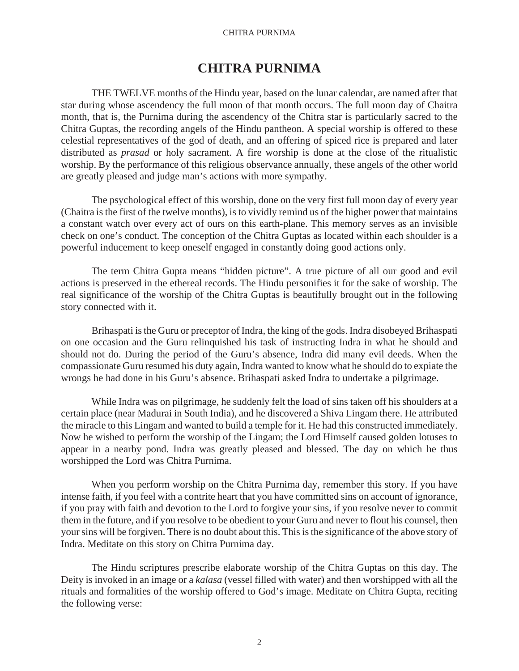#### CHITRA PURNIMA

# **CHITRA PURNIMA**

THE TWELVE months of the Hindu year, based on the lunar calendar, are named after that star during whose ascendency the full moon of that month occurs. The full moon day of Chaitra month, that is, the Purnima during the ascendency of the Chitra star is particularly sacred to the Chitra Guptas, the recording angels of the Hindu pantheon. A special worship is offered to these celestial representatives of the god of death, and an offering of spiced rice is prepared and later distributed as *prasad* or holy sacrament. A fire worship is done at the close of the ritualistic worship. By the performance of this religious observance annually, these angels of the other world are greatly pleased and judge man's actions with more sympathy.

The psychological effect of this worship, done on the very first full moon day of every year (Chaitra is the first of the twelve months), is to vividly remind us of the higher power that maintains a constant watch over every act of ours on this earth-plane. This memory serves as an invisible check on one's conduct. The conception of the Chitra Guptas as located within each shoulder is a powerful inducement to keep oneself engaged in constantly doing good actions only.

The term Chitra Gupta means "hidden picture". A true picture of all our good and evil actions is preserved in the ethereal records. The Hindu personifies it for the sake of worship. The real significance of the worship of the Chitra Guptas is beautifully brought out in the following story connected with it.

Brihaspati is the Guru or preceptor of Indra, the king of the gods. Indra disobeyed Brihaspati on one occasion and the Guru relinquished his task of instructing Indra in what he should and should not do. During the period of the Guru's absence, Indra did many evil deeds. When the compassionate Guru resumed his duty again, Indra wanted to know what he should do to expiate the wrongs he had done in his Guru's absence. Brihaspati asked Indra to undertake a pilgrimage.

While Indra was on pilgrimage, he suddenly felt the load of sins taken off his shoulders at a certain place (near Madurai in South India), and he discovered a Shiva Lingam there. He attributed the miracle to this Lingam and wanted to build a temple for it. He had this constructed immediately. Now he wished to perform the worship of the Lingam; the Lord Himself caused golden lotuses to appear in a nearby pond. Indra was greatly pleased and blessed. The day on which he thus worshipped the Lord was Chitra Purnima.

When you perform worship on the Chitra Purnima day, remember this story. If you have intense faith, if you feel with a contrite heart that you have committed sins on account of ignorance, if you pray with faith and devotion to the Lord to forgive your sins, if you resolve never to commit them in the future, and if you resolve to be obedient to your Guru and never to flout his counsel, then your sins will be forgiven. There is no doubt about this. This is the significance of the above story of Indra. Meditate on this story on Chitra Purnima day.

The Hindu scriptures prescribe elaborate worship of the Chitra Guptas on this day. The Deity is invoked in an image or a *kalasa* (vessel filled with water) and then worshipped with all the rituals and formalities of the worship offered to God's image. Meditate on Chitra Gupta, reciting the following verse: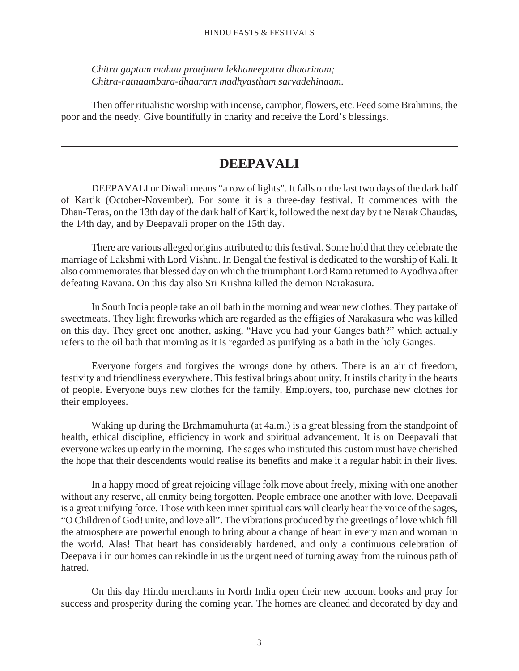*Chitra guptam mahaa praajnam lekhaneepatra dhaarinam; Chitra-ratnaambara-dhaararn madhyastham sarvadehinaam.*

Then offer ritualistic worship with incense, camphor, flowers, etc. Feed some Brahmins, the poor and the needy. Give bountifully in charity and receive the Lord's blessings.

# **DEEPAVALI**

DEEPAVALI or Diwali means "a row of lights". It falls on the last two days of the dark half of Kartik (October-November). For some it is a three-day festival. It commences with the Dhan-Teras, on the 13th day of the dark half of Kartik, followed the next day by the Narak Chaudas, the 14th day, and by Deepavali proper on the 15th day.

There are various alleged origins attributed to this festival. Some hold that they celebrate the marriage of Lakshmi with Lord Vishnu. In Bengal the festival is dedicated to the worship of Kali. It also commemorates that blessed day on which the triumphant Lord Rama returned to Ayodhya after defeating Ravana. On this day also Sri Krishna killed the demon Narakasura.

In South India people take an oil bath in the morning and wear new clothes. They partake of sweetmeats. They light fireworks which are regarded as the effigies of Narakasura who was killed on this day. They greet one another, asking, "Have you had your Ganges bath?" which actually refers to the oil bath that morning as it is regarded as purifying as a bath in the holy Ganges.

Everyone forgets and forgives the wrongs done by others. There is an air of freedom, festivity and friendliness everywhere. This festival brings about unity. It instils charity in the hearts of people. Everyone buys new clothes for the family. Employers, too, purchase new clothes for their employees.

Waking up during the Brahmamuhurta (at 4a.m.) is a great blessing from the standpoint of health, ethical discipline, efficiency in work and spiritual advancement. It is on Deepavali that everyone wakes up early in the morning. The sages who instituted this custom must have cherished the hope that their descendents would realise its benefits and make it a regular habit in their lives.

In a happy mood of great rejoicing village folk move about freely, mixing with one another without any reserve, all enmity being forgotten. People embrace one another with love. Deepavali is a great unifying force. Those with keen inner spiritual ears will clearly hear the voice of the sages, "O Children of God! unite, and love all". The vibrations produced by the greetings of love which fill the atmosphere are powerful enough to bring about a change of heart in every man and woman in the world. Alas! That heart has considerably hardened, and only a continuous celebration of Deepavali in our homes can rekindle in us the urgent need of turning away from the ruinous path of hatred.

On this day Hindu merchants in North India open their new account books and pray for success and prosperity during the coming year. The homes are cleaned and decorated by day and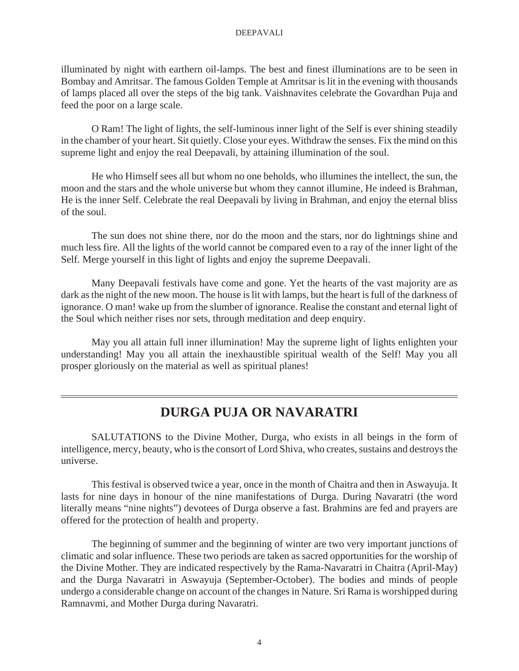illuminated by night with earthern oil-lamps. The best and finest illuminations are to be seen in Bombay and Amritsar. The famous Golden Temple at Amritsar is lit in the evening with thousands of lamps placed all over the steps of the big tank. Vaishnavites celebrate the Govardhan Puja and feed the poor on a large scale.

O Ram! The light of lights, the self-luminous inner light of the Self is ever shining steadily in the chamber of your heart. Sit quietly. Close your eyes. Withdraw the senses. Fix the mind on this supreme light and enjoy the real Deepavali, by attaining illumination of the soul.

He who Himself sees all but whom no one beholds, who illumines the intellect, the sun, the moon and the stars and the whole universe but whom they cannot illumine, He indeed is Brahman, He is the inner Self. Celebrate the real Deepavali by living in Brahman, and enjoy the eternal bliss of the soul.

The sun does not shine there, nor do the moon and the stars, nor do lightnings shine and much less fire. All the lights of the world cannot be compared even to a ray of the inner light of the Self. Merge yourself in this light of lights and enjoy the supreme Deepavali.

Many Deepavali festivals have come and gone. Yet the hearts of the vast majority are as dark as the night of the new moon. The house is lit with lamps, but the heart is full of the darkness of ignorance. O man! wake up from the slumber of ignorance. Realise the constant and eternal light of the Soul which neither rises nor sets, through meditation and deep enquiry.

May you all attain full inner illumination! May the supreme light of lights enlighten your understanding! May you all attain the inexhaustible spiritual wealth of the Self! May you all prosper gloriously on the material as well as spiritual planes!

# **DURGA PUJA OR NAVARATRI**

SALUTATIONS to the Divine Mother, Durga, who exists in all beings in the form of intelligence, mercy, beauty, who is the consort of Lord Shiva, who creates, sustains and destroys the universe.

This festival is observed twice a year, once in the month of Chaitra and then in Aswayuja. It lasts for nine days in honour of the nine manifestations of Durga. During Navaratri (the word literally means "nine nights") devotees of Durga observe a fast. Brahmins are fed and prayers are offered for the protection of health and property.

The beginning of summer and the beginning of winter are two very important junctions of climatic and solar influence. These two periods are taken as sacred opportunities for the worship of the Divine Mother. They are indicated respectively by the Rama-Navaratri in Chaitra (April-May) and the Durga Navaratri in Aswayuja (September-October). The bodies and minds of people undergo a considerable change on account of the changes in Nature. Sri Rama is worshipped during Ramnavmi, and Mother Durga during Navaratri.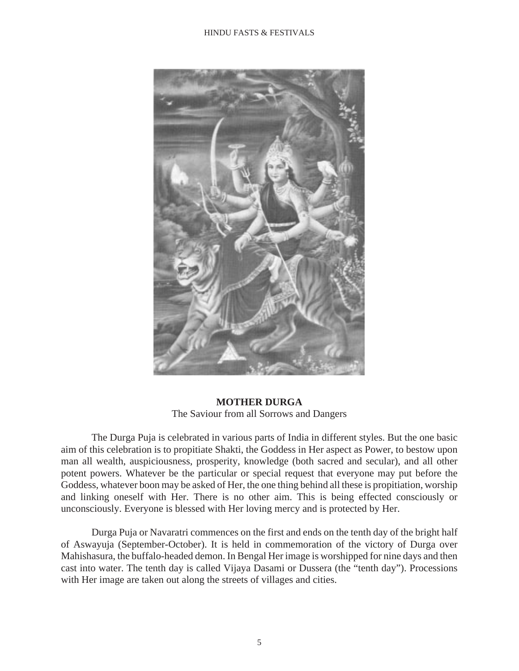

### **MOTHER DURGA** The Saviour from all Sorrows and Dangers

The Durga Puja is celebrated in various parts of India in different styles. But the one basic aim of this celebration is to propitiate Shakti, the Goddess in Her aspect as Power, to bestow upon man all wealth, auspiciousness, prosperity, knowledge (both sacred and secular), and all other potent powers. Whatever be the particular or special request that everyone may put before the Goddess, whatever boon may be asked of Her, the one thing behind all these is propitiation, worship and linking oneself with Her. There is no other aim. This is being effected consciously or unconsciously. Everyone is blessed with Her loving mercy and is protected by Her.

Durga Puja or Navaratri commences on the first and ends on the tenth day of the bright half of Aswayuja (September-October). It is held in commemoration of the victory of Durga over Mahishasura, the buffalo-headed demon. In Bengal Her image is worshipped for nine days and then cast into water. The tenth day is called Vijaya Dasami or Dussera (the "tenth day"). Processions with Her image are taken out along the streets of villages and cities.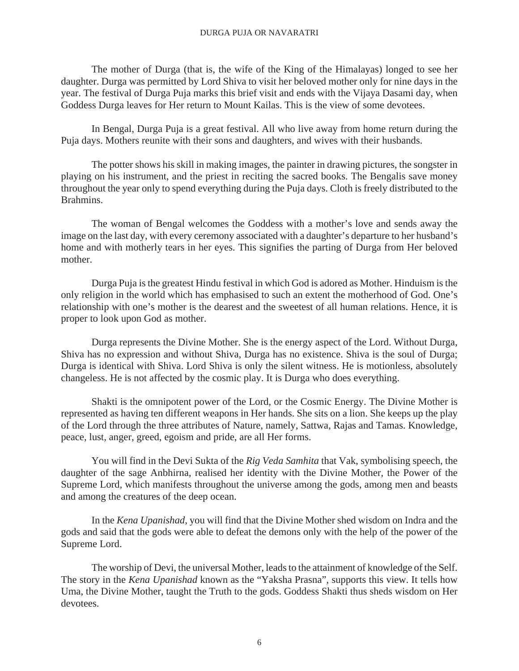#### DURGA PUJA OR NAVARATRI

The mother of Durga (that is, the wife of the King of the Himalayas) longed to see her daughter. Durga was permitted by Lord Shiva to visit her beloved mother only for nine days in the year. The festival of Durga Puja marks this brief visit and ends with the Vijaya Dasami day, when Goddess Durga leaves for Her return to Mount Kailas. This is the view of some devotees.

In Bengal, Durga Puja is a great festival. All who live away from home return during the Puja days. Mothers reunite with their sons and daughters, and wives with their husbands.

The potter shows his skill in making images, the painter in drawing pictures, the songster in playing on his instrument, and the priest in reciting the sacred books. The Bengalis save money throughout the year only to spend everything during the Puja days. Cloth is freely distributed to the Brahmins.

The woman of Bengal welcomes the Goddess with a mother's love and sends away the image on the last day, with every ceremony associated with a daughter's departure to her husband's home and with motherly tears in her eyes. This signifies the parting of Durga from Her beloved mother.

Durga Puja is the greatest Hindu festival in which God is adored as Mother. Hinduism is the only religion in the world which has emphasised to such an extent the motherhood of God. One's relationship with one's mother is the dearest and the sweetest of all human relations. Hence, it is proper to look upon God as mother.

Durga represents the Divine Mother. She is the energy aspect of the Lord. Without Durga, Shiva has no expression and without Shiva, Durga has no existence. Shiva is the soul of Durga; Durga is identical with Shiva. Lord Shiva is only the silent witness. He is motionless, absolutely changeless. He is not affected by the cosmic play. It is Durga who does everything.

Shakti is the omnipotent power of the Lord, or the Cosmic Energy. The Divine Mother is represented as having ten different weapons in Her hands. She sits on a lion. She keeps up the play of the Lord through the three attributes of Nature, namely, Sattwa, Rajas and Tamas. Knowledge, peace, lust, anger, greed, egoism and pride, are all Her forms.

You will find in the Devi Sukta of the *Rig Veda Samhita* that Vak, symbolising speech, the daughter of the sage Anbhirna, realised her identity with the Divine Mother, the Power of the Supreme Lord, which manifests throughout the universe among the gods, among men and beasts and among the creatures of the deep ocean.

In the *Kena Upanishad*, you will find that the Divine Mother shed wisdom on Indra and the gods and said that the gods were able to defeat the demons only with the help of the power of the Supreme Lord.

The worship of Devi, the universal Mother, leads to the attainment of knowledge of the Self. The story in the *Kena Upanishad* known as the "Yaksha Prasna", supports this view. It tells how Uma, the Divine Mother, taught the Truth to the gods. Goddess Shakti thus sheds wisdom on Her devotees.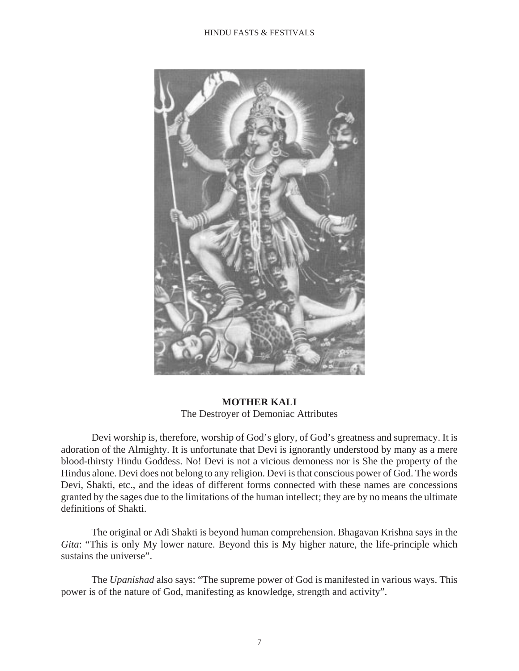

### **MOTHER KALI** The Destroyer of Demoniac Attributes

Devi worship is, therefore, worship of God's glory, of God's greatness and supremacy. It is adoration of the Almighty. It is unfortunate that Devi is ignorantly understood by many as a mere blood-thirsty Hindu Goddess. No! Devi is not a vicious demoness nor is She the property of the Hindus alone. Devi does not belong to any religion. Devi is that conscious power of God. The words Devi, Shakti, etc., and the ideas of different forms connected with these names are concessions granted by the sages due to the limitations of the human intellect; they are by no means the ultimate definitions of Shakti.

The original or Adi Shakti is beyond human comprehension. Bhagavan Krishna says in the *Gita*: "This is only My lower nature. Beyond this is My higher nature, the life-principle which sustains the universe".

The *Upanishad* also says: "The supreme power of God is manifested in various ways. This power is of the nature of God, manifesting as knowledge, strength and activity".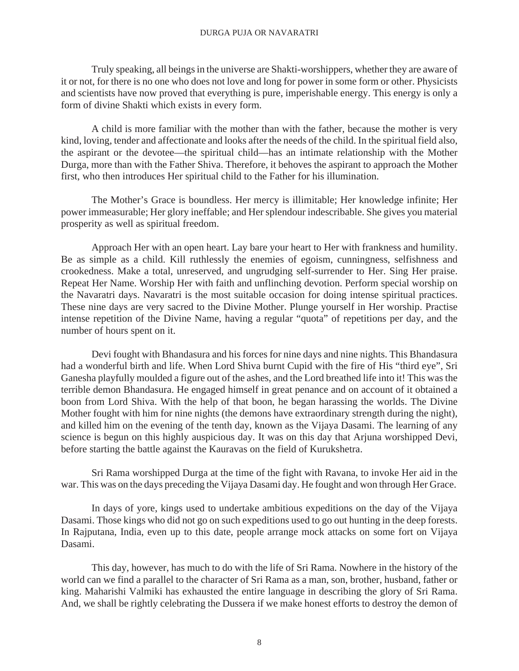#### DURGA PUJA OR NAVARATRI

Truly speaking, all beings in the universe are Shakti-worshippers, whether they are aware of it or not, for there is no one who does not love and long for power in some form or other. Physicists and scientists have now proved that everything is pure, imperishable energy. This energy is only a form of divine Shakti which exists in every form.

A child is more familiar with the mother than with the father, because the mother is very kind, loving, tender and affectionate and looks after the needs of the child. In the spiritual field also, the aspirant or the devotee—the spiritual child—has an intimate relationship with the Mother Durga, more than with the Father Shiva. Therefore, it behoves the aspirant to approach the Mother first, who then introduces Her spiritual child to the Father for his illumination.

The Mother's Grace is boundless. Her mercy is illimitable; Her knowledge infinite; Her power immeasurable; Her glory ineffable; and Her splendour indescribable. She gives you material prosperity as well as spiritual freedom.

Approach Her with an open heart. Lay bare your heart to Her with frankness and humility. Be as simple as a child. Kill ruthlessly the enemies of egoism, cunningness, selfishness and crookedness. Make a total, unreserved, and ungrudging self-surrender to Her. Sing Her praise. Repeat Her Name. Worship Her with faith and unflinching devotion. Perform special worship on the Navaratri days. Navaratri is the most suitable occasion for doing intense spiritual practices. These nine days are very sacred to the Divine Mother. Plunge yourself in Her worship. Practise intense repetition of the Divine Name, having a regular "quota" of repetitions per day, and the number of hours spent on it.

Devi fought with Bhandasura and his forces for nine days and nine nights. This Bhandasura had a wonderful birth and life. When Lord Shiva burnt Cupid with the fire of His "third eye", Sri Ganesha playfully moulded a figure out of the ashes, and the Lord breathed life into it! This was the terrible demon Bhandasura. He engaged himself in great penance and on account of it obtained a boon from Lord Shiva. With the help of that boon, he began harassing the worlds. The Divine Mother fought with him for nine nights (the demons have extraordinary strength during the night), and killed him on the evening of the tenth day, known as the Vijaya Dasami. The learning of any science is begun on this highly auspicious day. It was on this day that Arjuna worshipped Devi, before starting the battle against the Kauravas on the field of Kurukshetra.

Sri Rama worshipped Durga at the time of the fight with Ravana, to invoke Her aid in the war. This was on the days preceding the Vijaya Dasami day. He fought and won through Her Grace.

In days of yore, kings used to undertake ambitious expeditions on the day of the Vijaya Dasami. Those kings who did not go on such expeditions used to go out hunting in the deep forests. In Rajputana, India, even up to this date, people arrange mock attacks on some fort on Vijaya Dasami.

This day, however, has much to do with the life of Sri Rama. Nowhere in the history of the world can we find a parallel to the character of Sri Rama as a man, son, brother, husband, father or king. Maharishi Valmiki has exhausted the entire language in describing the glory of Sri Rama. And, we shall be rightly celebrating the Dussera if we make honest efforts to destroy the demon of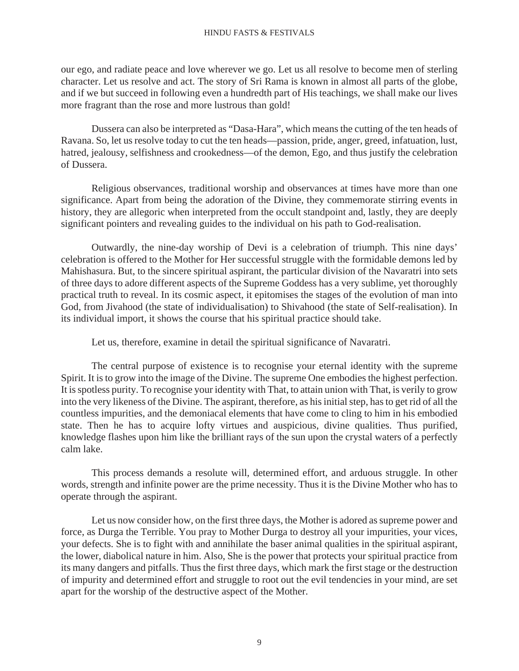our ego, and radiate peace and love wherever we go. Let us all resolve to become men of sterling character. Let us resolve and act. The story of Sri Rama is known in almost all parts of the globe, and if we but succeed in following even a hundredth part of His teachings, we shall make our lives more fragrant than the rose and more lustrous than gold!

Dussera can also be interpreted as "Dasa-Hara", which means the cutting of the ten heads of Ravana. So, let us resolve today to cut the ten heads—passion, pride, anger, greed, infatuation, lust, hatred, jealousy, selfishness and crookedness—of the demon, Ego, and thus justify the celebration of Dussera.

Religious observances, traditional worship and observances at times have more than one significance. Apart from being the adoration of the Divine, they commemorate stirring events in history, they are allegoric when interpreted from the occult standpoint and, lastly, they are deeply significant pointers and revealing guides to the individual on his path to God-realisation.

Outwardly, the nine-day worship of Devi is a celebration of triumph. This nine days' celebration is offered to the Mother for Her successful struggle with the formidable demons led by Mahishasura. But, to the sincere spiritual aspirant, the particular division of the Navaratri into sets of three days to adore different aspects of the Supreme Goddess has a very sublime, yet thoroughly practical truth to reveal. In its cosmic aspect, it epitomises the stages of the evolution of man into God, from Jivahood (the state of individualisation) to Shivahood (the state of Self-realisation). In its individual import, it shows the course that his spiritual practice should take.

Let us, therefore, examine in detail the spiritual significance of Navaratri.

The central purpose of existence is to recognise your eternal identity with the supreme Spirit. It is to grow into the image of the Divine. The supreme One embodies the highest perfection. It is spotless purity. To recognise your identity with That, to attain union with That, is verily to grow into the very likeness of the Divine. The aspirant, therefore, as his initial step, has to get rid of all the countless impurities, and the demoniacal elements that have come to cling to him in his embodied state. Then he has to acquire lofty virtues and auspicious, divine qualities. Thus purified, knowledge flashes upon him like the brilliant rays of the sun upon the crystal waters of a perfectly calm lake.

This process demands a resolute will, determined effort, and arduous struggle. In other words, strength and infinite power are the prime necessity. Thus it is the Divine Mother who has to operate through the aspirant.

Let us now consider how, on the first three days, the Mother is adored as supreme power and force, as Durga the Terrible. You pray to Mother Durga to destroy all your impurities, your vices, your defects. She is to fight with and annihilate the baser animal qualities in the spiritual aspirant, the lower, diabolical nature in him. Also, She is the power that protects your spiritual practice from its many dangers and pitfalls. Thus the first three days, which mark the first stage or the destruction of impurity and determined effort and struggle to root out the evil tendencies in your mind, are set apart for the worship of the destructive aspect of the Mother.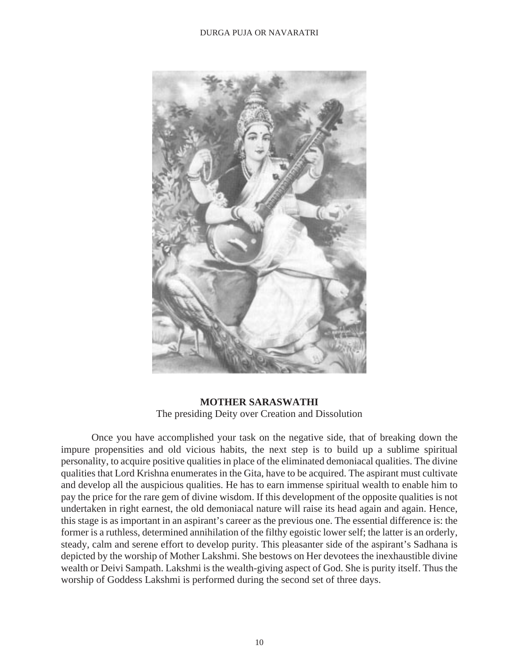#### DURGA PUJA OR NAVARATRI



**MOTHER SARASWATHI** The presiding Deity over Creation and Dissolution

Once you have accomplished your task on the negative side, that of breaking down the impure propensities and old vicious habits, the next step is to build up a sublime spiritual personality, to acquire positive qualities in place of the eliminated demoniacal qualities. The divine qualities that Lord Krishna enumerates in the Gita, have to be acquired. The aspirant must cultivate and develop all the auspicious qualities. He has to earn immense spiritual wealth to enable him to pay the price for the rare gem of divine wisdom. If this development of the opposite qualities is not undertaken in right earnest, the old demoniacal nature will raise its head again and again. Hence, this stage is as important in an aspirant's career as the previous one. The essential difference is: the former is a ruthless, determined annihilation of the filthy egoistic lower self; the latter is an orderly, steady, calm and serene effort to develop purity. This pleasanter side of the aspirant's Sadhana is depicted by the worship of Mother Lakshmi. She bestows on Her devotees the inexhaustible divine wealth or Deivi Sampath. Lakshmi is the wealth-giving aspect of God. She is purity itself. Thus the worship of Goddess Lakshmi is performed during the second set of three days.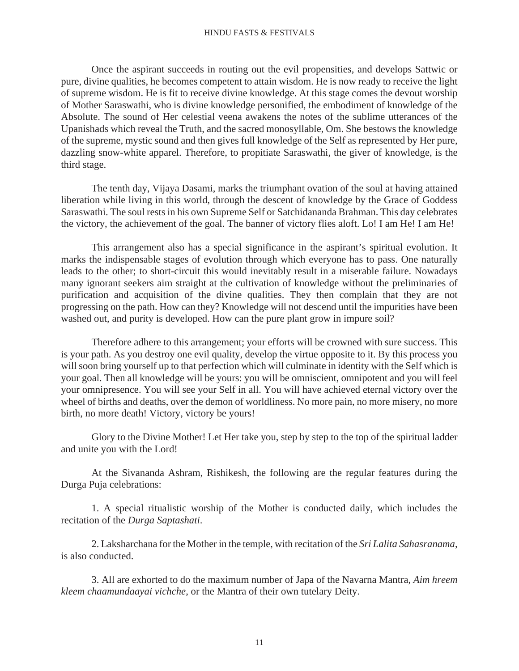Once the aspirant succeeds in routing out the evil propensities, and develops Sattwic or pure, divine qualities, he becomes competent to attain wisdom. He is now ready to receive the light of supreme wisdom. He is fit to receive divine knowledge. At this stage comes the devout worship of Mother Saraswathi, who is divine knowledge personified, the embodiment of knowledge of the Absolute. The sound of Her celestial veena awakens the notes of the sublime utterances of the Upanishads which reveal the Truth, and the sacred monosyllable, Om. She bestows the knowledge of the supreme, mystic sound and then gives full knowledge of the Self as represented by Her pure, dazzling snow-white apparel. Therefore, to propitiate Saraswathi, the giver of knowledge, is the third stage.

The tenth day, Vijaya Dasami, marks the triumphant ovation of the soul at having attained liberation while living in this world, through the descent of knowledge by the Grace of Goddess Saraswathi. The soul rests in his own Supreme Self or Satchidananda Brahman. This day celebrates the victory, the achievement of the goal. The banner of victory flies aloft. Lo! I am He! I am He!

This arrangement also has a special significance in the aspirant's spiritual evolution. It marks the indispensable stages of evolution through which everyone has to pass. One naturally leads to the other; to short-circuit this would inevitably result in a miserable failure. Nowadays many ignorant seekers aim straight at the cultivation of knowledge without the preliminaries of purification and acquisition of the divine qualities. They then complain that they are not progressing on the path. How can they? Knowledge will not descend until the impurities have been washed out, and purity is developed. How can the pure plant grow in impure soil?

Therefore adhere to this arrangement; your efforts will be crowned with sure success. This is your path. As you destroy one evil quality, develop the virtue opposite to it. By this process you will soon bring yourself up to that perfection which will culminate in identity with the Self which is your goal. Then all knowledge will be yours: you will be omniscient, omnipotent and you will feel your omnipresence. You will see your Self in all. You will have achieved eternal victory over the wheel of births and deaths, over the demon of worldliness. No more pain, no more misery, no more birth, no more death! Victory, victory be yours!

Glory to the Divine Mother! Let Her take you, step by step to the top of the spiritual ladder and unite you with the Lord!

At the Sivananda Ashram, Rishikesh, the following are the regular features during the Durga Puja celebrations:

1. A special ritualistic worship of the Mother is conducted daily, which includes the recitation of the *Durga Saptashati*.

2. Laksharchana for the Mother in the temple, with recitation of the *Sri Lalita Sahasranama*, is also conducted.

3. All are exhorted to do the maximum number of Japa of the Navarna Mantra, *Aim hreem kleem chaamundaayai vichche*, or the Mantra of their own tutelary Deity.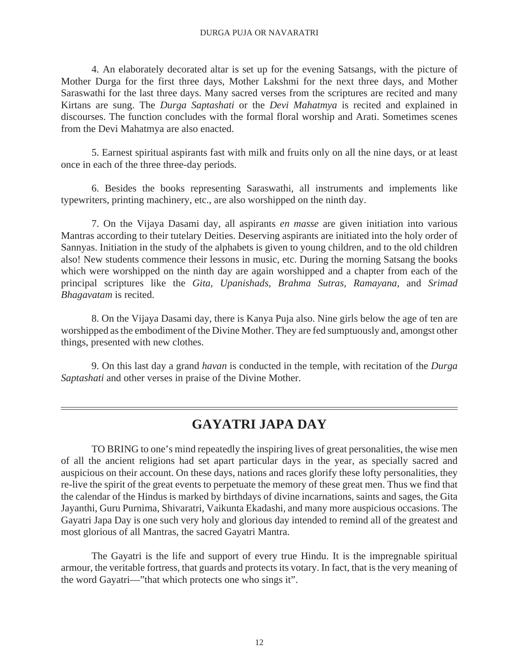#### DURGA PUJA OR NAVARATRI

4. An elaborately decorated altar is set up for the evening Satsangs, with the picture of Mother Durga for the first three days, Mother Lakshmi for the next three days, and Mother Saraswathi for the last three days. Many sacred verses from the scriptures are recited and many Kirtans are sung. The *Durga Saptashati* or the *Devi Mahatmya* is recited and explained in discourses. The function concludes with the formal floral worship and Arati. Sometimes scenes from the Devi Mahatmya are also enacted.

5. Earnest spiritual aspirants fast with milk and fruits only on all the nine days, or at least once in each of the three three-day periods.

6. Besides the books representing Saraswathi, all instruments and implements like typewriters, printing machinery, etc., are also worshipped on the ninth day.

7. On the Vijaya Dasami day, all aspirants *en masse* are given initiation into various Mantras according to their tutelary Deities. Deserving aspirants are initiated into the holy order of Sannyas. Initiation in the study of the alphabets is given to young children, and to the old children also! New students commence their lessons in music, etc. During the morning Satsang the books which were worshipped on the ninth day are again worshipped and a chapter from each of the principal scriptures like the *Gita, Upanishads, Brahma Sutras, Ramayana,* and *Srimad Bhagavatam* is recited.

8. On the Vijaya Dasami day, there is Kanya Puja also. Nine girls below the age of ten are worshipped as the embodiment of the Divine Mother. They are fed sumptuously and, amongst other things, presented with new clothes.

9. On this last day a grand *havan* is conducted in the temple, with recitation of the *Durga Saptashati* and other verses in praise of the Divine Mother.

# **GAYATRI JAPA DAY**

TO BRING to one's mind repeatedly the inspiring lives of great personalities, the wise men of all the ancient religions had set apart particular days in the year, as specially sacred and auspicious on their account. On these days, nations and races glorify these lofty personalities, they re-live the spirit of the great events to perpetuate the memory of these great men. Thus we find that the calendar of the Hindus is marked by birthdays of divine incarnations, saints and sages, the Gita Jayanthi, Guru Purnima, Shivaratri, Vaikunta Ekadashi, and many more auspicious occasions. The Gayatri Japa Day is one such very holy and glorious day intended to remind all of the greatest and most glorious of all Mantras, the sacred Gayatri Mantra.

The Gayatri is the life and support of every true Hindu. It is the impregnable spiritual armour, the veritable fortress, that guards and protects its votary. In fact, that is the very meaning of the word Gayatri—"that which protects one who sings it".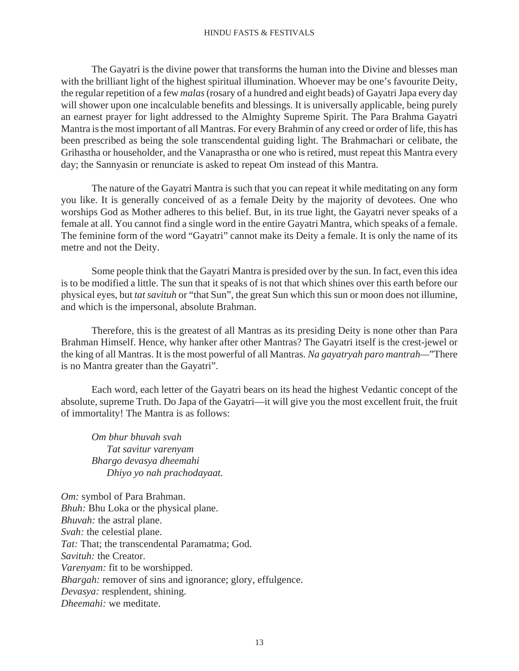The Gayatri is the divine power that transforms the human into the Divine and blesses man with the brilliant light of the highest spiritual illumination. Whoever may be one's favourite Deity, the regular repetition of a few *malas*(rosary of a hundred and eight beads) of Gayatri Japa every day will shower upon one incalculable benefits and blessings. It is universally applicable, being purely an earnest prayer for light addressed to the Almighty Supreme Spirit. The Para Brahma Gayatri Mantra is the most important of all Mantras. For every Brahmin of any creed or order of life, this has been prescribed as being the sole transcendental guiding light. The Brahmachari or celibate, the Grihastha or householder, and the Vanaprastha or one who is retired, must repeat this Mantra every day; the Sannyasin or renunciate is asked to repeat Om instead of this Mantra.

The nature of the Gayatri Mantra is such that you can repeat it while meditating on any form you like. It is generally conceived of as a female Deity by the majority of devotees. One who worships God as Mother adheres to this belief. But, in its true light, the Gayatri never speaks of a female at all. You cannot find a single word in the entire Gayatri Mantra, which speaks of a female. The feminine form of the word "Gayatri" cannot make its Deity a female. It is only the name of its metre and not the Deity.

Some people think that the Gayatri Mantra is presided over by the sun. In fact, even this idea is to be modified a little. The sun that it speaks of is not that which shines over this earth before our physical eyes, but *tat savituh* or "that Sun", the great Sun which this sun or moon does not illumine, and which is the impersonal, absolute Brahman.

Therefore, this is the greatest of all Mantras as its presiding Deity is none other than Para Brahman Himself. Hence, why hanker after other Mantras? The Gayatri itself is the crest-jewel or the king of all Mantras. It is the most powerful of all Mantras. *Na gayatryah paro mantrah—*"There is no Mantra greater than the Gayatri".

Each word, each letter of the Gayatri bears on its head the highest Vedantic concept of the absolute, supreme Truth. Do Japa of the Gayatri—it will give you the most excellent fruit, the fruit of immortality! The Mantra is as follows:

*Om bhur bhuvah svah Tat savitur varenyam Bhargo devasya dheemahi Dhiyo yo nah prachodayaat.*

*Om:* symbol of Para Brahman. *Bhuh:* Bhu Loka or the physical plane. *Bhuvah:* the astral plane. *Svah:* the celestial plane. *Tat:* That; the transcendental Paramatma; God. *Savituh:* the Creator. *Varenyam:* fit to be worshipped. *Bhargah:* remover of sins and ignorance; glory, effulgence. *Devasya:* resplendent, shining. *Dheemahi:* we meditate.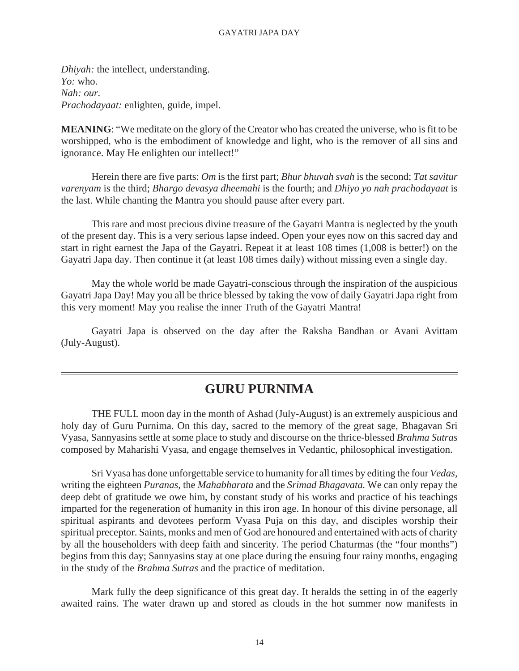#### GAYATRI JAPA DAY

*Dhiyah:* the intellect, understanding. *Yo:* who. *Nah: our. Prachodayaat:* enlighten, guide, impel.

**MEANING**: "We meditate on the glory of the Creator who has created the universe, who is fit to be worshipped, who is the embodiment of knowledge and light, who is the remover of all sins and ignorance. May He enlighten our intellect!"

Herein there are five parts: *Om* is the first part; *Bhur bhuvah svah* is the second; *Tat savitur varenyam* is the third; *Bhargo devasya dheemahi* is the fourth; and *Dhiyo yo nah prachodayaat* is the last. While chanting the Mantra you should pause after every part.

This rare and most precious divine treasure of the Gayatri Mantra is neglected by the youth of the present day. This is a very serious lapse indeed. Open your eyes now on this sacred day and start in right earnest the Japa of the Gayatri. Repeat it at least 108 times (1,008 is better!) on the Gayatri Japa day. Then continue it (at least 108 times daily) without missing even a single day.

May the whole world be made Gayatri-conscious through the inspiration of the auspicious Gayatri Japa Day! May you all be thrice blessed by taking the vow of daily Gayatri Japa right from this very moment! May you realise the inner Truth of the Gayatri Mantra!

Gayatri Japa is observed on the day after the Raksha Bandhan or Avani Avittam (July-August).

# **GURU PURNIMA**

THE FULL moon day in the month of Ashad (July-August) is an extremely auspicious and holy day of Guru Purnima. On this day, sacred to the memory of the great sage, Bhagavan Sri Vyasa, Sannyasins settle at some place to study and discourse on the thrice-blessed *Brahma Sutras* composed by Maharishi Vyasa, and engage themselves in Vedantic, philosophical investigation.

Sri Vyasa has done unforgettable service to humanity for all times by editing the four *Vedas,* writing the eighteen *Puranas,* the *Mahabharata* and the *Srimad Bhagavata.* We can only repay the deep debt of gratitude we owe him, by constant study of his works and practice of his teachings imparted for the regeneration of humanity in this iron age. In honour of this divine personage, all spiritual aspirants and devotees perform Vyasa Puja on this day, and disciples worship their spiritual preceptor. Saints, monks and men of God are honoured and entertained with acts of charity by all the householders with deep faith and sincerity. The period Chaturmas (the "four months") begins from this day; Sannyasins stay at one place during the ensuing four rainy months, engaging in the study of the *Brahma Sutras* and the practice of meditation.

Mark fully the deep significance of this great day. It heralds the setting in of the eagerly awaited rains. The water drawn up and stored as clouds in the hot summer now manifests in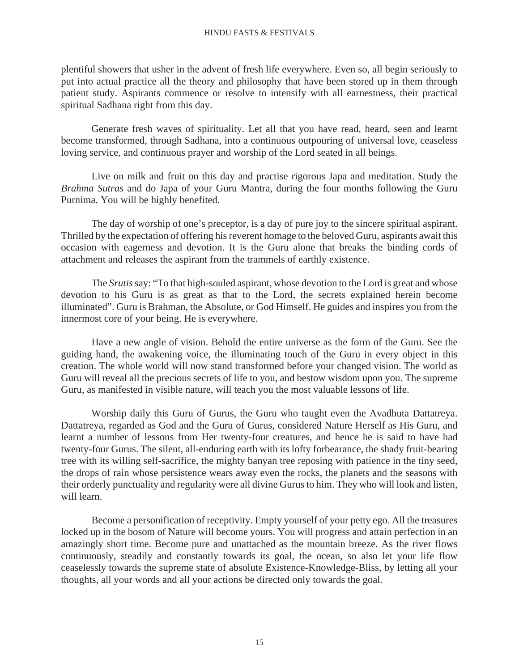plentiful showers that usher in the advent of fresh life everywhere. Even so, all begin seriously to put into actual practice all the theory and philosophy that have been stored up in them through patient study. Aspirants commence or resolve to intensify with all earnestness, their practical spiritual Sadhana right from this day.

Generate fresh waves of spirituality. Let all that you have read, heard, seen and learnt become transformed, through Sadhana, into a continuous outpouring of universal love, ceaseless loving service, and continuous prayer and worship of the Lord seated in all beings.

Live on milk and fruit on this day and practise rigorous Japa and meditation. Study the *Brahma Sutras* and do Japa of your Guru Mantra, during the four months following the Guru Purnima. You will be highly benefited.

The day of worship of one's preceptor, is a day of pure joy to the sincere spiritual aspirant. Thrilled by the expectation of offering his reverent homage to the beloved Guru, aspirants await this occasion with eagerness and devotion. It is the Guru alone that breaks the binding cords of attachment and releases the aspirant from the trammels of earthly existence.

The *Srutis*say: "To that high-souled aspirant, whose devotion to the Lord is great and whose devotion to his Guru is as great as that to the Lord, the secrets explained herein become illuminated". Guru is Brahman, the Absolute, or God Himself. He guides and inspires you from the innermost core of your being. He is everywhere.

Have a new angle of vision. Behold the entire universe as the form of the Guru. See the guiding hand, the awakening voice, the illuminating touch of the Guru in every object in this creation. The whole world will now stand transformed before your changed vision. The world as Guru will reveal all the precious secrets of life to you, and bestow wisdom upon you. The supreme Guru, as manifested in visible nature, will teach you the most valuable lessons of life.

Worship daily this Guru of Gurus, the Guru who taught even the Avadhuta Dattatreya. Dattatreya, regarded as God and the Guru of Gurus, considered Nature Herself as His Guru, and learnt a number of lessons from Her twenty-four creatures, and hence he is said to have had twenty-four Gurus. The silent, all-enduring earth with its lofty forbearance, the shady fruit-bearing tree with its willing self-sacrifice, the mighty banyan tree reposing with patience in the tiny seed, the drops of rain whose persistence wears away even the rocks, the planets and the seasons with their orderly punctuality and regularity were all divine Gurus to him. They who will look and listen, will learn.

Become a personification of receptivity. Empty yourself of your petty ego. All the treasures locked up in the bosom of Nature will become yours. You will progress and attain perfection in an amazingly short time. Become pure and unattached as the mountain breeze. As the river flows continuously, steadily and constantly towards its goal, the ocean, so also let your life flow ceaselessly towards the supreme state of absolute Existence-Knowledge-Bliss, by letting all your thoughts, all your words and all your actions be directed only towards the goal.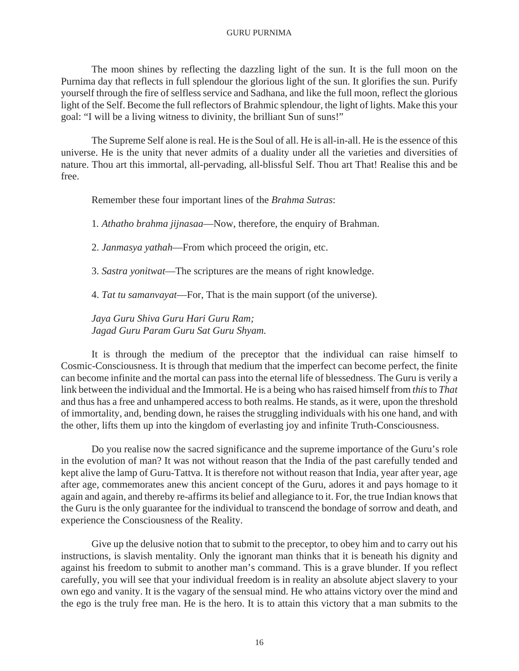#### GURU PURNIMA

The moon shines by reflecting the dazzling light of the sun. It is the full moon on the Purnima day that reflects in full splendour the glorious light of the sun. It glorifies the sun. Purify yourself through the fire of selfless service and Sadhana, and like the full moon, reflect the glorious light of the Self. Become the full reflectors of Brahmic splendour, the light of lights. Make this your goal: "I will be a living witness to divinity, the brilliant Sun of suns!"

The Supreme Self alone is real. He is the Soul of all. He is all-in-all. He is the essence of this universe. He is the unity that never admits of a duality under all the varieties and diversities of nature. Thou art this immortal, all-pervading, all-blissful Self. Thou art That! Realise this and be free.

Remember these four important lines of the *Brahma Sutras*:

1*. Athatho brahma jijnasaa*—Now, therefore, the enquiry of Brahman.

2. *Janmasya yathah*—From which proceed the origin, etc.

3. *Sastra yonitwat*—The scriptures are the means of right knowledge.

4. *Tat tu samanvayat*—For, That is the main support (of the universe).

*Jaya Guru Shiva Guru Hari Guru Ram; Jagad Guru Param Guru Sat Guru Shyam.*

It is through the medium of the preceptor that the individual can raise himself to Cosmic-Consciousness. It is through that medium that the imperfect can become perfect, the finite can become infinite and the mortal can pass into the eternal life of blessedness. The Guru is verily a link between the individual and the Immortal. He is a being who has raised himself from *this*to *That* and thus has a free and unhampered access to both realms. He stands, as it were, upon the threshold of immortality, and, bending down, he raises the struggling individuals with his one hand, and with the other, lifts them up into the kingdom of everlasting joy and infinite Truth-Consciousness.

Do you realise now the sacred significance and the supreme importance of the Guru's role in the evolution of man? It was not without reason that the India of the past carefully tended and kept alive the lamp of Guru-Tattva. It is therefore not without reason that India, year after year, age after age, commemorates anew this ancient concept of the Guru, adores it and pays homage to it again and again, and thereby re-affirms its belief and allegiance to it. For, the true Indian knows that the Guru is the only guarantee for the individual to transcend the bondage of sorrow and death, and experience the Consciousness of the Reality.

Give up the delusive notion that to submit to the preceptor, to obey him and to carry out his instructions, is slavish mentality. Only the ignorant man thinks that it is beneath his dignity and against his freedom to submit to another man's command. This is a grave blunder. If you reflect carefully, you will see that your individual freedom is in reality an absolute abject slavery to your own ego and vanity. It is the vagary of the sensual mind. He who attains victory over the mind and the ego is the truly free man. He is the hero. It is to attain this victory that a man submits to the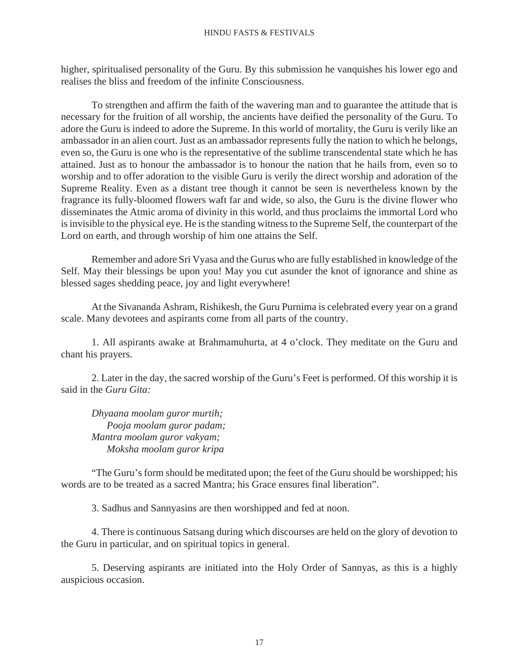higher, spiritualised personality of the Guru. By this submission he vanquishes his lower ego and realises the bliss and freedom of the infinite Consciousness.

To strengthen and affirm the faith of the wavering man and to guarantee the attitude that is necessary for the fruition of all worship, the ancients have deified the personality of the Guru. To adore the Guru is indeed to adore the Supreme. In this world of mortality, the Guru is verily like an ambassador in an alien court. Just as an ambassador represents fully the nation to which he belongs, even so, the Guru is one who is the representative of the sublime transcendental state which he has attained. Just as to honour the ambassador is to honour the nation that he hails from, even so to worship and to offer adoration to the visible Guru is verily the direct worship and adoration of the Supreme Reality. Even as a distant tree though it cannot be seen is nevertheless known by the fragrance its fully-bloomed flowers waft far and wide, so also, the Guru is the divine flower who disseminates the Atmic aroma of divinity in this world, and thus proclaims the immortal Lord who is invisible to the physical eye. He is the standing witness to the Supreme Self, the counterpart of the Lord on earth, and through worship of him one attains the Self.

Remember and adore Sri Vyasa and the Gurus who are fully established in knowledge of the Self. May their blessings be upon you! May you cut asunder the knot of ignorance and shine as blessed sages shedding peace, joy and light everywhere!

At the Sivananda Ashram, Rishikesh, the Guru Purnima is celebrated every year on a grand scale. Many devotees and aspirants come from all parts of the country.

1. All aspirants awake at Brahmamuhurta, at 4 o'clock. They meditate on the Guru and chant his prayers.

2. Later in the day, the sacred worship of the Guru's Feet is performed. Of this worship it is said in the *Guru Gita:*

*Dhyaana moolam guror murtih; Pooja moolam guror padam; Mantra moolam guror vakyam; Moksha moolam guror kripa*

"The Guru's form should be meditated upon; the feet of the Guru should be worshipped; his words are to be treated as a sacred Mantra; his Grace ensures final liberation".

3. Sadhus and Sannyasins are then worshipped and fed at noon.

4. There is continuous Satsang during which discourses are held on the glory of devotion to the Guru in particular, and on spiritual topics in general.

5. Deserving aspirants are initiated into the Holy Order of Sannyas, as this is a highly auspicious occasion.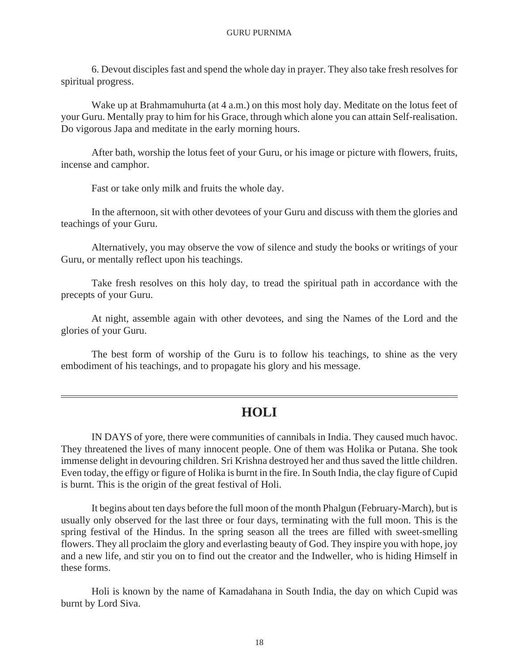6. Devout disciples fast and spend the whole day in prayer. They also take fresh resolves for spiritual progress.

Wake up at Brahmamuhurta (at 4 a.m.) on this most holy day. Meditate on the lotus feet of your Guru. Mentally pray to him for his Grace, through which alone you can attain Self-realisation. Do vigorous Japa and meditate in the early morning hours.

After bath, worship the lotus feet of your Guru, or his image or picture with flowers, fruits, incense and camphor.

Fast or take only milk and fruits the whole day.

In the afternoon, sit with other devotees of your Guru and discuss with them the glories and teachings of your Guru.

Alternatively, you may observe the vow of silence and study the books or writings of your Guru, or mentally reflect upon his teachings.

Take fresh resolves on this holy day, to tread the spiritual path in accordance with the precepts of your Guru.

At night, assemble again with other devotees, and sing the Names of the Lord and the glories of your Guru.

The best form of worship of the Guru is to follow his teachings, to shine as the very embodiment of his teachings, and to propagate his glory and his message.

# **HOLI**

IN DAYS of yore, there were communities of cannibals in India. They caused much havoc. They threatened the lives of many innocent people. One of them was Holika or Putana. She took immense delight in devouring children. Sri Krishna destroyed her and thus saved the little children. Even today, the effigy or figure of Holika is burnt in the fire. In South India, the clay figure of Cupid is burnt. This is the origin of the great festival of Holi.

It begins about ten days before the full moon of the month Phalgun (February-March), but is usually only observed for the last three or four days, terminating with the full moon. This is the spring festival of the Hindus. In the spring season all the trees are filled with sweet-smelling flowers. They all proclaim the glory and everlasting beauty of God. They inspire you with hope, joy and a new life, and stir you on to find out the creator and the Indweller, who is hiding Himself in these forms.

Holi is known by the name of Kamadahana in South India, the day on which Cupid was burnt by Lord Siva.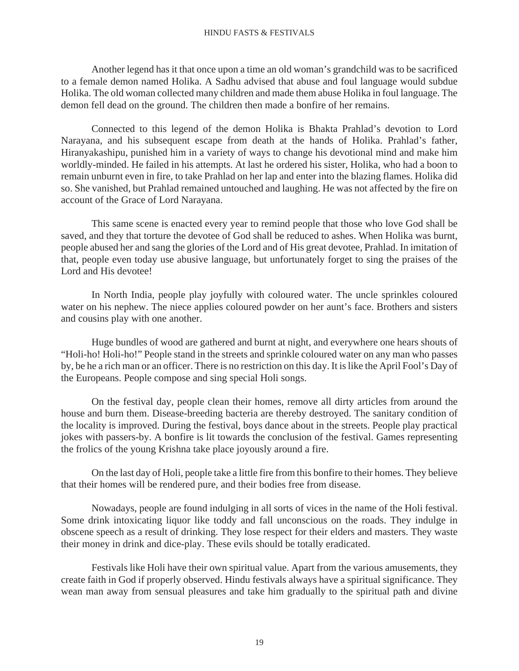Another legend has it that once upon a time an old woman's grandchild was to be sacrificed to a female demon named Holika. A Sadhu advised that abuse and foul language would subdue Holika. The old woman collected many children and made them abuse Holika in foul language. The demon fell dead on the ground. The children then made a bonfire of her remains.

Connected to this legend of the demon Holika is Bhakta Prahlad's devotion to Lord Narayana, and his subsequent escape from death at the hands of Holika. Prahlad's father, Hiranyakashipu, punished him in a variety of ways to change his devotional mind and make him worldly-minded. He failed in his attempts. At last he ordered his sister, Holika, who had a boon to remain unburnt even in fire, to take Prahlad on her lap and enter into the blazing flames. Holika did so. She vanished, but Prahlad remained untouched and laughing. He was not affected by the fire on account of the Grace of Lord Narayana.

This same scene is enacted every year to remind people that those who love God shall be saved, and they that torture the devotee of God shall be reduced to ashes. When Holika was burnt, people abused her and sang the glories of the Lord and of His great devotee, Prahlad. In imitation of that, people even today use abusive language, but unfortunately forget to sing the praises of the Lord and His devotee!

In North India, people play joyfully with coloured water. The uncle sprinkles coloured water on his nephew. The niece applies coloured powder on her aunt's face. Brothers and sisters and cousins play with one another.

Huge bundles of wood are gathered and burnt at night, and everywhere one hears shouts of "Holi-ho! Holi-ho!" People stand in the streets and sprinkle coloured water on any man who passes by, be he a rich man or an officer. There is no restriction on this day. It is like the April Fool's Day of the Europeans. People compose and sing special Holi songs.

On the festival day, people clean their homes, remove all dirty articles from around the house and burn them. Disease-breeding bacteria are thereby destroyed. The sanitary condition of the locality is improved. During the festival, boys dance about in the streets. People play practical jokes with passers-by. A bonfire is lit towards the conclusion of the festival. Games representing the frolics of the young Krishna take place joyously around a fire.

On the last day of Holi, people take a little fire from this bonfire to their homes. They believe that their homes will be rendered pure, and their bodies free from disease.

Nowadays, people are found indulging in all sorts of vices in the name of the Holi festival. Some drink intoxicating liquor like toddy and fall unconscious on the roads. They indulge in obscene speech as a result of drinking. They lose respect for their elders and masters. They waste their money in drink and dice-play. These evils should be totally eradicated.

Festivals like Holi have their own spiritual value. Apart from the various amusements, they create faith in God if properly observed. Hindu festivals always have a spiritual significance. They wean man away from sensual pleasures and take him gradually to the spiritual path and divine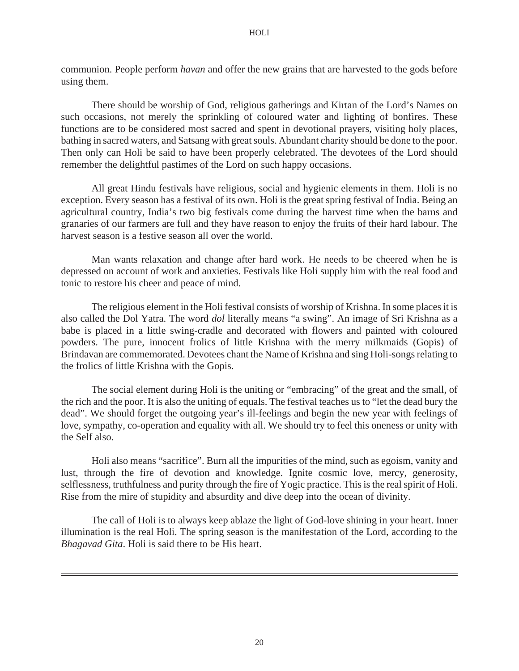communion. People perform *havan* and offer the new grains that are harvested to the gods before using them.

There should be worship of God, religious gatherings and Kirtan of the Lord's Names on such occasions, not merely the sprinkling of coloured water and lighting of bonfires. These functions are to be considered most sacred and spent in devotional prayers, visiting holy places, bathing in sacred waters, and Satsang with great souls. Abundant charity should be done to the poor. Then only can Holi be said to have been properly celebrated. The devotees of the Lord should remember the delightful pastimes of the Lord on such happy occasions.

All great Hindu festivals have religious, social and hygienic elements in them. Holi is no exception. Every season has a festival of its own. Holi is the great spring festival of India. Being an agricultural country, India's two big festivals come during the harvest time when the barns and granaries of our farmers are full and they have reason to enjoy the fruits of their hard labour. The harvest season is a festive season all over the world.

Man wants relaxation and change after hard work. He needs to be cheered when he is depressed on account of work and anxieties. Festivals like Holi supply him with the real food and tonic to restore his cheer and peace of mind.

The religious element in the Holi festival consists of worship of Krishna. In some places it is also called the Dol Yatra. The word *dol* literally means "a swing". An image of Sri Krishna as a babe is placed in a little swing-cradle and decorated with flowers and painted with coloured powders. The pure, innocent frolics of little Krishna with the merry milkmaids (Gopis) of Brindavan are commemorated. Devotees chant the Name of Krishna and sing Holi-songs relating to the frolics of little Krishna with the Gopis.

The social element during Holi is the uniting or "embracing" of the great and the small, of the rich and the poor. It is also the uniting of equals. The festival teaches us to "let the dead bury the dead". We should forget the outgoing year's ill-feelings and begin the new year with feelings of love, sympathy, co-operation and equality with all. We should try to feel this oneness or unity with the Self also.

Holi also means "sacrifice". Burn all the impurities of the mind, such as egoism, vanity and lust, through the fire of devotion and knowledge. Ignite cosmic love, mercy, generosity, selflessness, truthfulness and purity through the fire of Yogic practice. This is the real spirit of Holi. Rise from the mire of stupidity and absurdity and dive deep into the ocean of divinity.

The call of Holi is to always keep ablaze the light of God-love shining in your heart. Inner illumination is the real Holi. The spring season is the manifestation of the Lord, according to the *Bhagavad Gita*. Holi is said there to be His heart.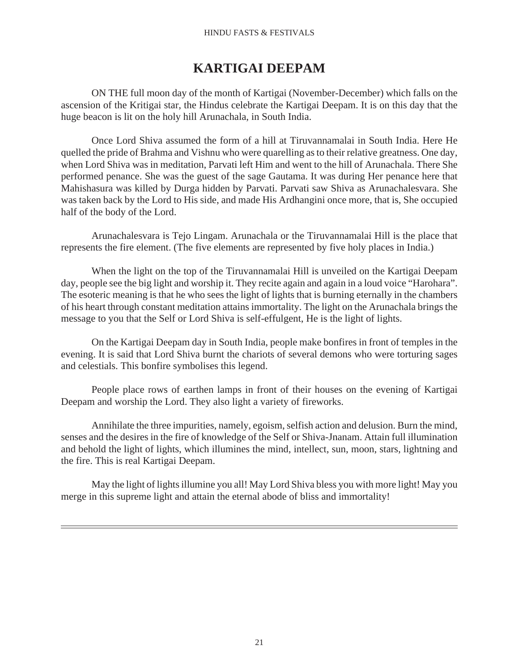# **KARTIGAI DEEPAM**

ON THE full moon day of the month of Kartigai (November-December) which falls on the ascension of the Kritigai star, the Hindus celebrate the Kartigai Deepam. It is on this day that the huge beacon is lit on the holy hill Arunachala, in South India.

Once Lord Shiva assumed the form of a hill at Tiruvannamalai in South India. Here He quelled the pride of Brahma and Vishnu who were quarelling as to their relative greatness. One day, when Lord Shiva was in meditation, Parvati left Him and went to the hill of Arunachala. There She performed penance. She was the guest of the sage Gautama. It was during Her penance here that Mahishasura was killed by Durga hidden by Parvati. Parvati saw Shiva as Arunachalesvara. She was taken back by the Lord to His side, and made His Ardhangini once more, that is, She occupied half of the body of the Lord.

Arunachalesvara is Tejo Lingam. Arunachala or the Tiruvannamalai Hill is the place that represents the fire element. (The five elements are represented by five holy places in India.)

When the light on the top of the Tiruvannamalai Hill is unveiled on the Kartigai Deepam day, people see the big light and worship it. They recite again and again in a loud voice "Harohara". The esoteric meaning is that he who sees the light of lights that is burning eternally in the chambers of his heart through constant meditation attains immortality. The light on the Arunachala brings the message to you that the Self or Lord Shiva is self-effulgent, He is the light of lights.

On the Kartigai Deepam day in South India, people make bonfires in front of temples in the evening. It is said that Lord Shiva burnt the chariots of several demons who were torturing sages and celestials. This bonfire symbolises this legend.

People place rows of earthen lamps in front of their houses on the evening of Kartigai Deepam and worship the Lord. They also light a variety of fireworks.

Annihilate the three impurities, namely, egoism, selfish action and delusion. Burn the mind, senses and the desires in the fire of knowledge of the Self or Shiva-Jnanam. Attain full illumination and behold the light of lights, which illumines the mind, intellect, sun, moon, stars, lightning and the fire. This is real Kartigai Deepam.

May the light of lights illumine you all! May Lord Shiva bless you with more light! May you merge in this supreme light and attain the eternal abode of bliss and immortality!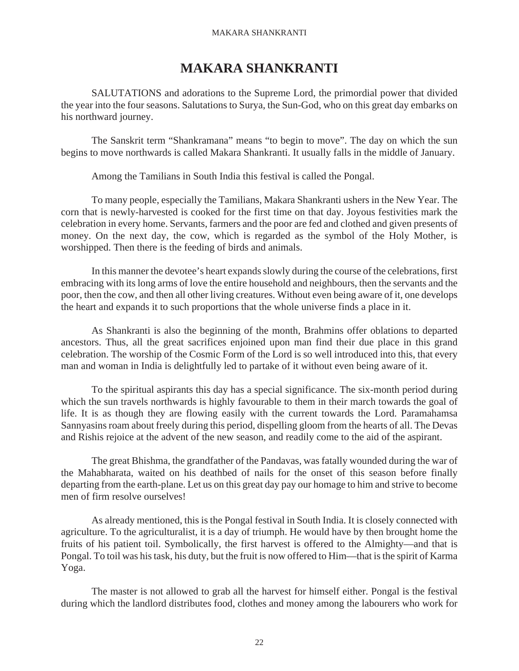#### MAKARA SHANKRANTI

# **MAKARA SHANKRANTI**

SALUTATIONS and adorations to the Supreme Lord, the primordial power that divided the year into the four seasons. Salutations to Surya, the Sun-God, who on this great day embarks on his northward journey.

The Sanskrit term "Shankramana" means "to begin to move". The day on which the sun begins to move northwards is called Makara Shankranti. It usually falls in the middle of January.

Among the Tamilians in South India this festival is called the Pongal.

To many people, especially the Tamilians, Makara Shankranti ushers in the New Year. The corn that is newly-harvested is cooked for the first time on that day. Joyous festivities mark the celebration in every home. Servants, farmers and the poor are fed and clothed and given presents of money. On the next day, the cow, which is regarded as the symbol of the Holy Mother, is worshipped. Then there is the feeding of birds and animals.

In this manner the devotee's heart expands slowly during the course of the celebrations, first embracing with its long arms of love the entire household and neighbours, then the servants and the poor, then the cow, and then all other living creatures. Without even being aware of it, one develops the heart and expands it to such proportions that the whole universe finds a place in it.

As Shankranti is also the beginning of the month, Brahmins offer oblations to departed ancestors. Thus, all the great sacrifices enjoined upon man find their due place in this grand celebration. The worship of the Cosmic Form of the Lord is so well introduced into this, that every man and woman in India is delightfully led to partake of it without even being aware of it.

To the spiritual aspirants this day has a special significance. The six-month period during which the sun travels northwards is highly favourable to them in their march towards the goal of life. It is as though they are flowing easily with the current towards the Lord. Paramahamsa Sannyasins roam about freely during this period, dispelling gloom from the hearts of all. The Devas and Rishis rejoice at the advent of the new season, and readily come to the aid of the aspirant.

The great Bhishma, the grandfather of the Pandavas, was fatally wounded during the war of the Mahabharata, waited on his deathbed of nails for the onset of this season before finally departing from the earth-plane. Let us on this great day pay our homage to him and strive to become men of firm resolve ourselves!

As already mentioned, this is the Pongal festival in South India. It is closely connected with agriculture. To the agriculturalist, it is a day of triumph. He would have by then brought home the fruits of his patient toil. Symbolically, the first harvest is offered to the Almighty—and that is Pongal. To toil was his task, his duty, but the fruit is now offered to Him—that is the spirit of Karma Yoga.

The master is not allowed to grab all the harvest for himself either. Pongal is the festival during which the landlord distributes food, clothes and money among the labourers who work for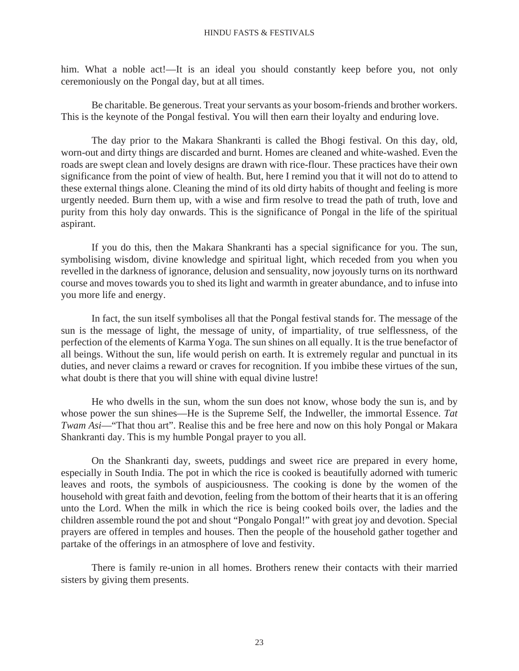him. What a noble act!—It is an ideal you should constantly keep before you, not only ceremoniously on the Pongal day, but at all times.

Be charitable. Be generous. Treat your servants as your bosom-friends and brother workers. This is the keynote of the Pongal festival. You will then earn their loyalty and enduring love.

The day prior to the Makara Shankranti is called the Bhogi festival. On this day, old, worn-out and dirty things are discarded and burnt. Homes are cleaned and white-washed. Even the roads are swept clean and lovely designs are drawn with rice-flour. These practices have their own significance from the point of view of health. But, here I remind you that it will not do to attend to these external things alone. Cleaning the mind of its old dirty habits of thought and feeling is more urgently needed. Burn them up, with a wise and firm resolve to tread the path of truth, love and purity from this holy day onwards. This is the significance of Pongal in the life of the spiritual aspirant.

If you do this, then the Makara Shankranti has a special significance for you. The sun, symbolising wisdom, divine knowledge and spiritual light, which receded from you when you revelled in the darkness of ignorance, delusion and sensuality, now joyously turns on its northward course and moves towards you to shed its light and warmth in greater abundance, and to infuse into you more life and energy.

In fact, the sun itself symbolises all that the Pongal festival stands for. The message of the sun is the message of light, the message of unity, of impartiality, of true selflessness, of the perfection of the elements of Karma Yoga. The sun shines on all equally. It is the true benefactor of all beings. Without the sun, life would perish on earth. It is extremely regular and punctual in its duties, and never claims a reward or craves for recognition. If you imbibe these virtues of the sun, what doubt is there that you will shine with equal divine lustre!

He who dwells in the sun, whom the sun does not know, whose body the sun is, and by whose power the sun shines—He is the Supreme Self, the Indweller, the immortal Essence. *Tat Twam Asi*—"That thou art". Realise this and be free here and now on this holy Pongal or Makara Shankranti day. This is my humble Pongal prayer to you all.

On the Shankranti day, sweets, puddings and sweet rice are prepared in every home, especially in South India. The pot in which the rice is cooked is beautifully adorned with tumeric leaves and roots, the symbols of auspiciousness. The cooking is done by the women of the household with great faith and devotion, feeling from the bottom of their hearts that it is an offering unto the Lord. When the milk in which the rice is being cooked boils over, the ladies and the children assemble round the pot and shout "Pongalo Pongal!" with great joy and devotion. Special prayers are offered in temples and houses. Then the people of the household gather together and partake of the offerings in an atmosphere of love and festivity.

There is family re-union in all homes. Brothers renew their contacts with their married sisters by giving them presents.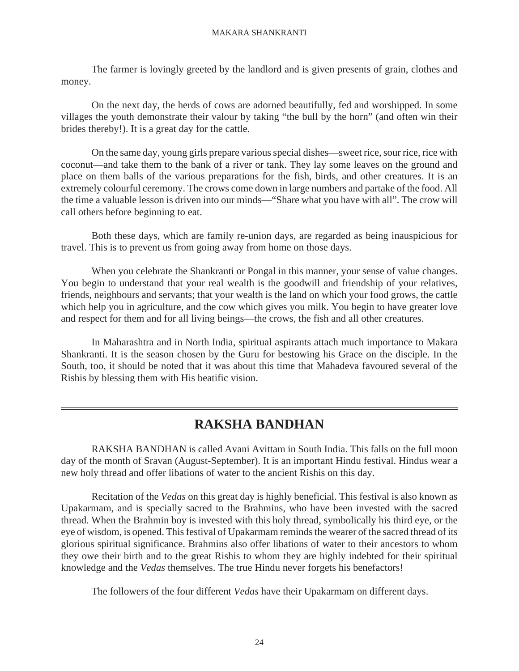#### MAKARA SHANKRANTI

The farmer is lovingly greeted by the landlord and is given presents of grain, clothes and money.

On the next day, the herds of cows are adorned beautifully, fed and worshipped. In some villages the youth demonstrate their valour by taking "the bull by the horn" (and often win their brides thereby!). It is a great day for the cattle.

On the same day, young girls prepare various special dishes—sweet rice, sour rice, rice with coconut—and take them to the bank of a river or tank. They lay some leaves on the ground and place on them balls of the various preparations for the fish, birds, and other creatures. It is an extremely colourful ceremony. The crows come down in large numbers and partake of the food. All the time a valuable lesson is driven into our minds—"Share what you have with all". The crow will call others before beginning to eat.

Both these days, which are family re-union days, are regarded as being inauspicious for travel. This is to prevent us from going away from home on those days.

When you celebrate the Shankranti or Pongal in this manner, your sense of value changes. You begin to understand that your real wealth is the goodwill and friendship of your relatives, friends, neighbours and servants; that your wealth is the land on which your food grows, the cattle which help you in agriculture, and the cow which gives you milk. You begin to have greater love and respect for them and for all living beings—the crows, the fish and all other creatures.

In Maharashtra and in North India, spiritual aspirants attach much importance to Makara Shankranti. It is the season chosen by the Guru for bestowing his Grace on the disciple. In the South, too, it should be noted that it was about this time that Mahadeva favoured several of the Rishis by blessing them with His beatific vision.

# **RAKSHA BANDHAN**

RAKSHA BANDHAN is called Avani Avittam in South India. This falls on the full moon day of the month of Sravan (August-September). It is an important Hindu festival. Hindus wear a new holy thread and offer libations of water to the ancient Rishis on this day.

Recitation of the *Vedas* on this great day is highly beneficial. This festival is also known as Upakarmam, and is specially sacred to the Brahmins, who have been invested with the sacred thread. When the Brahmin boy is invested with this holy thread, symbolically his third eye, or the eye of wisdom, is opened. This festival of Upakarmam reminds the wearer of the sacred thread of its glorious spiritual significance. Brahmins also offer libations of water to their ancestors to whom they owe their birth and to the great Rishis to whom they are highly indebted for their spiritual knowledge and the *Vedas* themselves. The true Hindu never forgets his benefactors!

The followers of the four different *Vedas* have their Upakarmam on different days.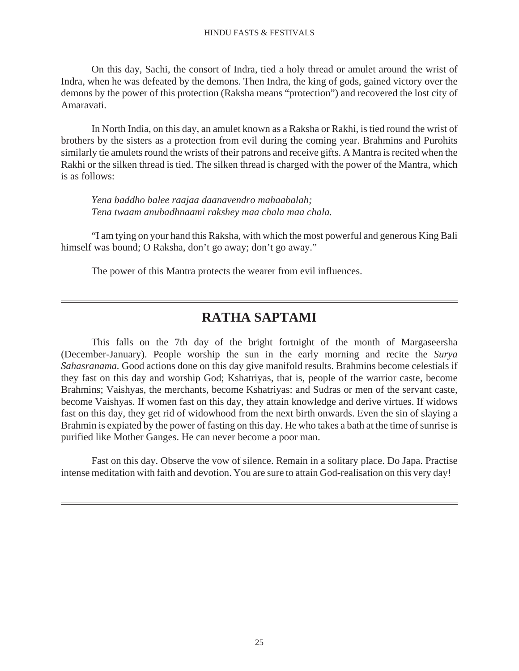On this day, Sachi, the consort of Indra, tied a holy thread or amulet around the wrist of Indra, when he was defeated by the demons. Then Indra, the king of gods, gained victory over the demons by the power of this protection (Raksha means "protection") and recovered the lost city of Amaravati.

In North India, on this day, an amulet known as a Raksha or Rakhi, is tied round the wrist of brothers by the sisters as a protection from evil during the coming year. Brahmins and Purohits similarly tie amulets round the wrists of their patrons and receive gifts. A Mantra is recited when the Rakhi or the silken thread is tied. The silken thread is charged with the power of the Mantra, which is as follows:

*Yena baddho balee raajaa daanavendro mahaabalah; Tena twaam anubadhnaami rakshey maa chala maa chala.*

"I am tying on your hand this Raksha, with which the most powerful and generous King Bali himself was bound; O Raksha, don't go away; don't go away."

The power of this Mantra protects the wearer from evil influences.

# **RATHA SAPTAMI**

This falls on the 7th day of the bright fortnight of the month of Margaseersha (December-January). People worship the sun in the early morning and recite the *Surya Sahasranama.* Good actions done on this day give manifold results. Brahmins become celestials if they fast on this day and worship God; Kshatriyas, that is, people of the warrior caste, become Brahmins; Vaishyas, the merchants, become Kshatriyas: and Sudras or men of the servant caste, become Vaishyas. If women fast on this day, they attain knowledge and derive virtues. If widows fast on this day, they get rid of widowhood from the next birth onwards. Even the sin of slaying a Brahmin is expiated by the power of fasting on this day. He who takes a bath at the time of sunrise is purified like Mother Ganges. He can never become a poor man.

Fast on this day. Observe the vow of silence. Remain in a solitary place. Do Japa. Practise intense meditation with faith and devotion. You are sure to attain God-realisation on this very day!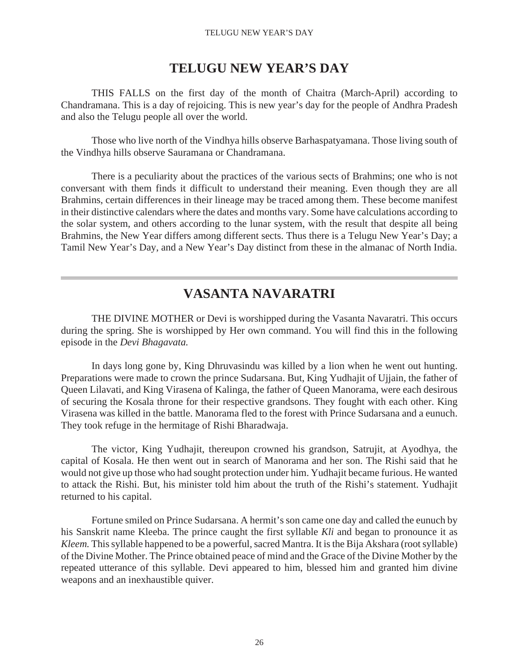# **TELUGU NEW YEAR'S DAY**

THIS FALLS on the first day of the month of Chaitra (March-April) according to Chandramana. This is a day of rejoicing. This is new year's day for the people of Andhra Pradesh and also the Telugu people all over the world.

Those who live north of the Vindhya hills observe Barhaspatyamana. Those living south of the Vindhya hills observe Sauramana or Chandramana.

There is a peculiarity about the practices of the various sects of Brahmins; one who is not conversant with them finds it difficult to understand their meaning. Even though they are all Brahmins, certain differences in their lineage may be traced among them. These become manifest in their distinctive calendars where the dates and months vary. Some have calculations according to the solar system, and others according to the lunar system, with the result that despite all being Brahmins, the New Year differs among different sects. Thus there is a Telugu New Year's Day; a Tamil New Year's Day, and a New Year's Day distinct from these in the almanac of North India.

# **VASANTA NAVARATRI**

THE DIVINE MOTHER or Devi is worshipped during the Vasanta Navaratri. This occurs during the spring. She is worshipped by Her own command. You will find this in the following episode in the *Devi Bhagavata.*

In days long gone by, King Dhruvasindu was killed by a lion when he went out hunting. Preparations were made to crown the prince Sudarsana. But, King Yudhajit of Ujjain, the father of Queen Lilavati, and King Virasena of Kalinga, the father of Queen Manorama, were each desirous of securing the Kosala throne for their respective grandsons. They fought with each other. King Virasena was killed in the battle. Manorama fled to the forest with Prince Sudarsana and a eunuch. They took refuge in the hermitage of Rishi Bharadwaja.

The victor, King Yudhajit, thereupon crowned his grandson, Satrujit, at Ayodhya, the capital of Kosala. He then went out in search of Manorama and her son. The Rishi said that he would not give up those who had sought protection under him. Yudhajit became furious. He wanted to attack the Rishi. But, his minister told him about the truth of the Rishi's statement. Yudhajit returned to his capital.

Fortune smiled on Prince Sudarsana. A hermit's son came one day and called the eunuch by his Sanskrit name Kleeba. The prince caught the first syllable *Kli* and began to pronounce it as *Kleem.* This syllable happened to be a powerful, sacred Mantra. It is the Bija Akshara (root syllable) of the Divine Mother. The Prince obtained peace of mind and the Grace of the Divine Mother by the repeated utterance of this syllable. Devi appeared to him, blessed him and granted him divine weapons and an inexhaustible quiver.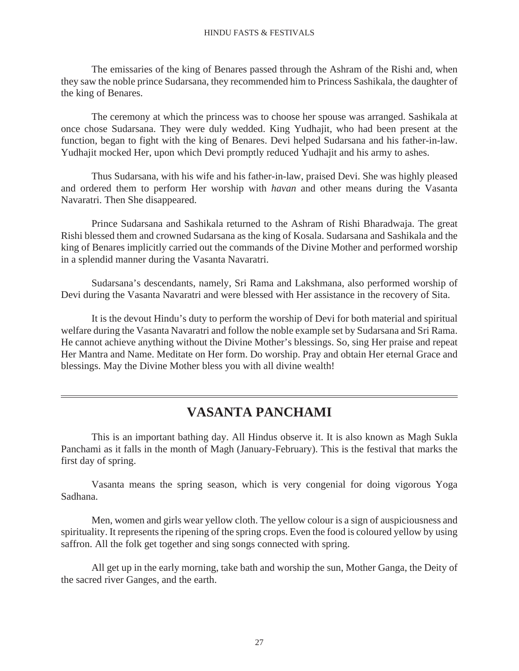The emissaries of the king of Benares passed through the Ashram of the Rishi and, when they saw the noble prince Sudarsana, they recommended him to Princess Sashikala, the daughter of the king of Benares.

The ceremony at which the princess was to choose her spouse was arranged. Sashikala at once chose Sudarsana. They were duly wedded. King Yudhajit, who had been present at the function, began to fight with the king of Benares. Devi helped Sudarsana and his father-in-law. Yudhajit mocked Her, upon which Devi promptly reduced Yudhajit and his army to ashes.

Thus Sudarsana, with his wife and his father-in-law, praised Devi. She was highly pleased and ordered them to perform Her worship with *havan* and other means during the Vasanta Navaratri. Then She disappeared.

Prince Sudarsana and Sashikala returned to the Ashram of Rishi Bharadwaja. The great Rishi blessed them and crowned Sudarsana as the king of Kosala. Sudarsana and Sashikala and the king of Benares implicitly carried out the commands of the Divine Mother and performed worship in a splendid manner during the Vasanta Navaratri.

Sudarsana's descendants, namely, Sri Rama and Lakshmana, also performed worship of Devi during the Vasanta Navaratri and were blessed with Her assistance in the recovery of Sita.

It is the devout Hindu's duty to perform the worship of Devi for both material and spiritual welfare during the Vasanta Navaratri and follow the noble example set by Sudarsana and Sri Rama. He cannot achieve anything without the Divine Mother's blessings. So, sing Her praise and repeat Her Mantra and Name. Meditate on Her form. Do worship. Pray and obtain Her eternal Grace and blessings. May the Divine Mother bless you with all divine wealth!

# **VASANTA PANCHAMI**

This is an important bathing day. All Hindus observe it. It is also known as Magh Sukla Panchami as it falls in the month of Magh (January-February). This is the festival that marks the first day of spring.

Vasanta means the spring season, which is very congenial for doing vigorous Yoga Sadhana.

Men, women and girls wear yellow cloth. The yellow colour is a sign of auspiciousness and spirituality. It represents the ripening of the spring crops. Even the food is coloured yellow by using saffron. All the folk get together and sing songs connected with spring.

All get up in the early morning, take bath and worship the sun, Mother Ganga, the Deity of the sacred river Ganges, and the earth.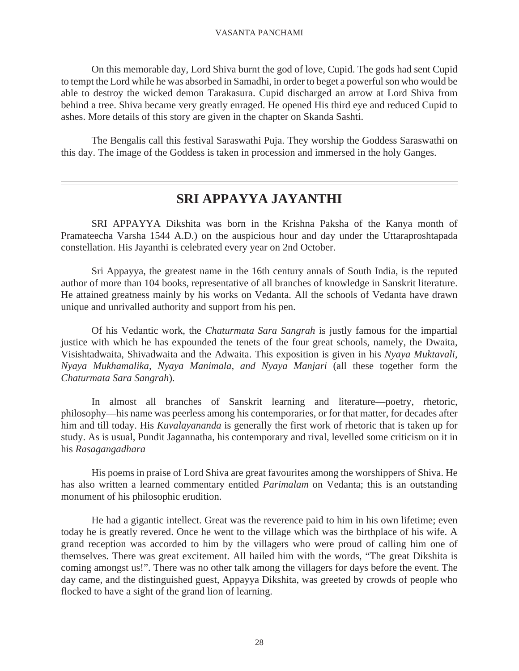#### VASANTA PANCHAMI

On this memorable day, Lord Shiva burnt the god of love, Cupid. The gods had sent Cupid to tempt the Lord while he was absorbed in Samadhi, in order to beget a powerful son who would be able to destroy the wicked demon Tarakasura. Cupid discharged an arrow at Lord Shiva from behind a tree. Shiva became very greatly enraged. He opened His third eye and reduced Cupid to ashes. More details of this story are given in the chapter on Skanda Sashti.

The Bengalis call this festival Saraswathi Puja. They worship the Goddess Saraswathi on this day. The image of the Goddess is taken in procession and immersed in the holy Ganges.

# **SRI APPAYYA JAYANTHI**

SRI APPAYYA Dikshita was born in the Krishna Paksha of the Kanya month of Pramateecha Varsha 1544 A.D.) on the auspicious hour and day under the Uttaraproshtapada constellation. His Jayanthi is celebrated every year on 2nd October.

Sri Appayya, the greatest name in the 16th century annals of South India, is the reputed author of more than 104 books, representative of all branches of knowledge in Sanskrit literature. He attained greatness mainly by his works on Vedanta. All the schools of Vedanta have drawn unique and unrivalled authority and support from his pen.

Of his Vedantic work, the *Chaturmata Sara Sangrah* is justly famous for the impartial justice with which he has expounded the tenets of the four great schools, namely, the Dwaita, Visishtadwaita, Shivadwaita and the Adwaita. This exposition is given in his *Nyaya Muktavali, Nyaya Mukhamalika, Nyaya Manimala, and Nyaya Manjari* (all these together form the *Chaturmata Sara Sangrah*).

In almost all branches of Sanskrit learning and literature—poetry, rhetoric, philosophy—his name was peerless among his contemporaries, or for that matter, for decades after him and till today. His *Kuvalayananda* is generally the first work of rhetoric that is taken up for study. As is usual, Pundit Jagannatha, his contemporary and rival, levelled some criticism on it in his *Rasagangadhara*

His poems in praise of Lord Shiva are great favourites among the worshippers of Shiva. He has also written a learned commentary entitled *Parimalam* on Vedanta; this is an outstanding monument of his philosophic erudition.

He had a gigantic intellect. Great was the reverence paid to him in his own lifetime; even today he is greatly revered. Once he went to the village which was the birthplace of his wife. A grand reception was accorded to him by the villagers who were proud of calling him one of themselves. There was great excitement. All hailed him with the words, "The great Dikshita is coming amongst us!". There was no other talk among the villagers for days before the event. The day came, and the distinguished guest, Appayya Dikshita, was greeted by crowds of people who flocked to have a sight of the grand lion of learning.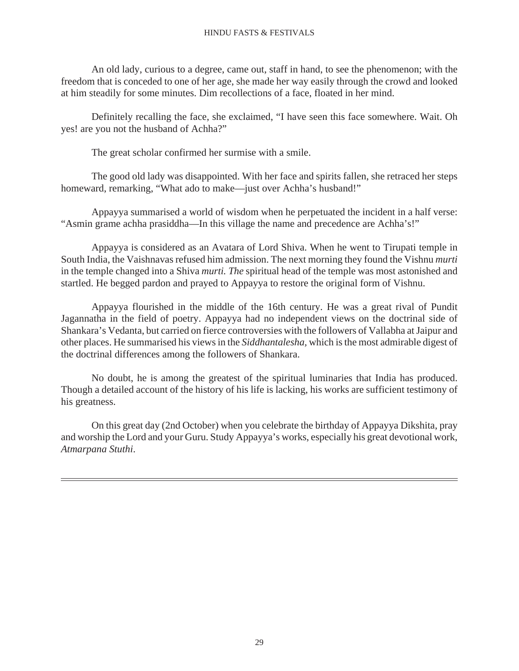An old lady, curious to a degree, came out, staff in hand, to see the phenomenon; with the freedom that is conceded to one of her age, she made her way easily through the crowd and looked at him steadily for some minutes. Dim recollections of a face, floated in her mind.

Definitely recalling the face, she exclaimed, "I have seen this face somewhere. Wait. Oh yes! are you not the husband of Achha?"

The great scholar confirmed her surmise with a smile.

The good old lady was disappointed. With her face and spirits fallen, she retraced her steps homeward, remarking, "What ado to make—just over Achha's husband!"

Appayya summarised a world of wisdom when he perpetuated the incident in a half verse: "Asmin grame achha prasiddha—In this village the name and precedence are Achha's!"

Appayya is considered as an Avatara of Lord Shiva. When he went to Tirupati temple in South India, the Vaishnavas refused him admission. The next morning they found the Vishnu *murti* in the temple changed into a Shiva *murti. The* spiritual head of the temple was most astonished and startled. He begged pardon and prayed to Appayya to restore the original form of Vishnu.

Appayya flourished in the middle of the 16th century. He was a great rival of Pundit Jagannatha in the field of poetry. Appayya had no independent views on the doctrinal side of Shankara's Vedanta, but carried on fierce controversies with the followers of Vallabha at Jaipur and other places. He summarised his views in the *Siddhantalesha,* which is the most admirable digest of the doctrinal differences among the followers of Shankara.

No doubt, he is among the greatest of the spiritual luminaries that India has produced. Though a detailed account of the history of his life is lacking, his works are sufficient testimony of his greatness.

On this great day (2nd October) when you celebrate the birthday of Appayya Dikshita, pray and worship the Lord and your Guru. Study Appayya's works, especially his great devotional work, *Atmarpana Stuthi*.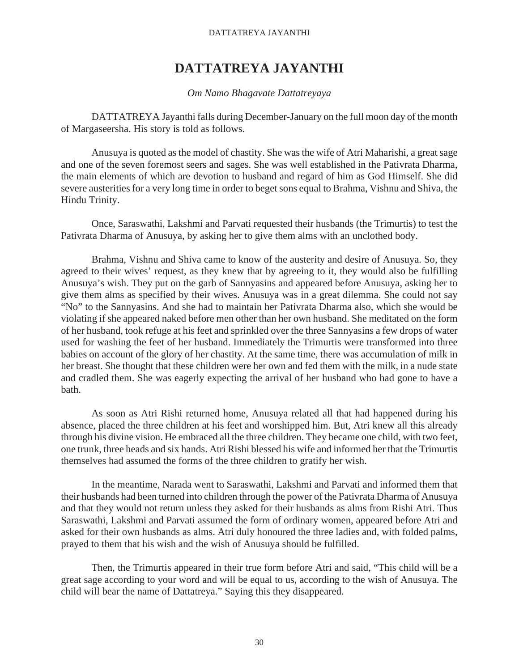### DATTATREYA JAYANTHI

# **DATTATREYA JAYANTHI**

### *Om Namo Bhagavate Dattatreyaya*

DATTATREYA Jayanthi falls during December-January on the full moon day of the month of Margaseersha. His story is told as follows.

Anusuya is quoted as the model of chastity. She was the wife of Atri Maharishi, a great sage and one of the seven foremost seers and sages. She was well established in the Pativrata Dharma, the main elements of which are devotion to husband and regard of him as God Himself. She did severe austerities for a very long time in order to beget sons equal to Brahma, Vishnu and Shiva, the Hindu Trinity.

Once, Saraswathi, Lakshmi and Parvati requested their husbands (the Trimurtis) to test the Pativrata Dharma of Anusuya, by asking her to give them alms with an unclothed body.

Brahma, Vishnu and Shiva came to know of the austerity and desire of Anusuya. So, they agreed to their wives' request, as they knew that by agreeing to it, they would also be fulfilling Anusuya's wish. They put on the garb of Sannyasins and appeared before Anusuya, asking her to give them alms as specified by their wives. Anusuya was in a great dilemma. She could not say "No" to the Sannyasins. And she had to maintain her Pativrata Dharma also, which she would be violating if she appeared naked before men other than her own husband. She meditated on the form of her husband, took refuge at his feet and sprinkled over the three Sannyasins a few drops of water used for washing the feet of her husband. Immediately the Trimurtis were transformed into three babies on account of the glory of her chastity. At the same time, there was accumulation of milk in her breast. She thought that these children were her own and fed them with the milk, in a nude state and cradled them. She was eagerly expecting the arrival of her husband who had gone to have a bath.

As soon as Atri Rishi returned home, Anusuya related all that had happened during his absence, placed the three children at his feet and worshipped him. But, Atri knew all this already through his divine vision. He embraced all the three children. They became one child, with two feet, one trunk, three heads and six hands. Atri Rishi blessed his wife and informed her that the Trimurtis themselves had assumed the forms of the three children to gratify her wish.

In the meantime, Narada went to Saraswathi, Lakshmi and Parvati and informed them that their husbands had been turned into children through the power of the Pativrata Dharma of Anusuya and that they would not return unless they asked for their husbands as alms from Rishi Atri. Thus Saraswathi, Lakshmi and Parvati assumed the form of ordinary women, appeared before Atri and asked for their own husbands as alms. Atri duly honoured the three ladies and, with folded palms, prayed to them that his wish and the wish of Anusuya should be fulfilled.

Then, the Trimurtis appeared in their true form before Atri and said, "This child will be a great sage according to your word and will be equal to us, according to the wish of Anusuya. The child will bear the name of Dattatreya." Saying this they disappeared.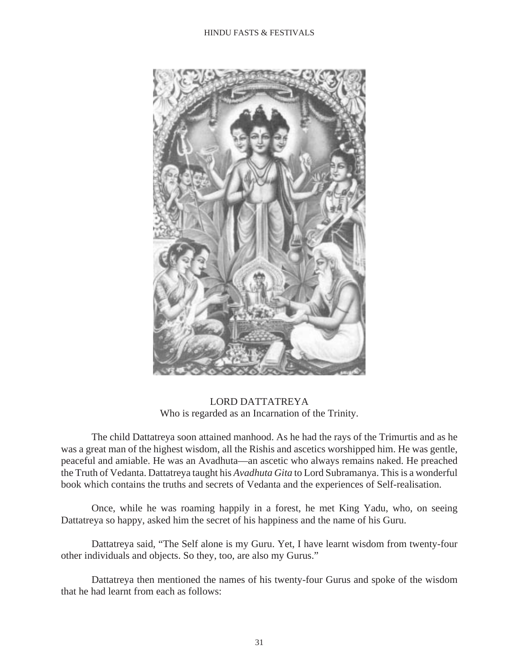### HINDU FASTS & FESTIVALS



LORD DATTATREYA Who is regarded as an Incarnation of the Trinity.

The child Dattatreya soon attained manhood. As he had the rays of the Trimurtis and as he was a great man of the highest wisdom, all the Rishis and ascetics worshipped him. He was gentle, peaceful and amiable. He was an Avadhuta—an ascetic who always remains naked. He preached the Truth of Vedanta. Dattatreya taught his *Avadhuta Gita* to Lord Subramanya. This is a wonderful book which contains the truths and secrets of Vedanta and the experiences of Self-realisation.

Once, while he was roaming happily in a forest, he met King Yadu, who, on seeing Dattatreya so happy, asked him the secret of his happiness and the name of his Guru.

Dattatreya said, "The Self alone is my Guru. Yet, I have learnt wisdom from twenty-four other individuals and objects. So they, too, are also my Gurus."

Dattatreya then mentioned the names of his twenty-four Gurus and spoke of the wisdom that he had learnt from each as follows: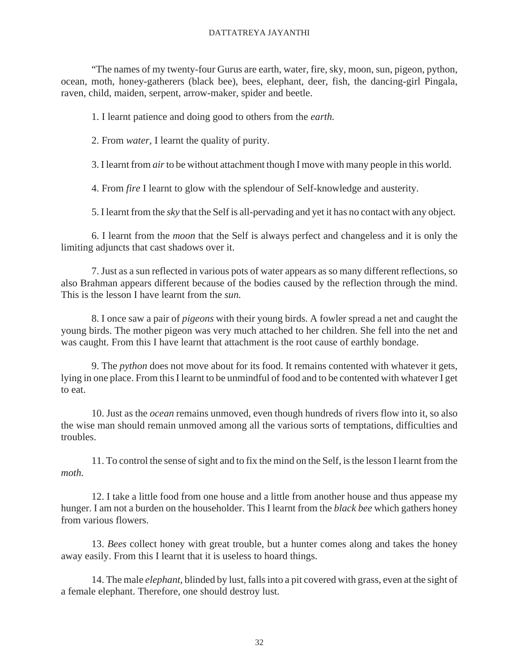"The names of my twenty-four Gurus are earth, water, fire, sky, moon, sun, pigeon, python, ocean, moth, honey-gatherers (black bee), bees, elephant, deer, fish, the dancing-girl Pingala, raven, child, maiden, serpent, arrow-maker, spider and beetle.

1. I learnt patience and doing good to others from the *earth.*

2. From *water,* I learnt the quality of purity.

3. I learnt from *air*to be without attachment though I move with many people in this world.

4. From *fire* I learnt to glow with the splendour of Self-knowledge and austerity.

5. I learnt from the *sky* that the Self is all-pervading and yet it has no contact with any object.

6. I learnt from the *moon* that the Self is always perfect and changeless and it is only the limiting adjuncts that cast shadows over it.

7. Just as a sun reflected in various pots of water appears as so many different reflections, so also Brahman appears different because of the bodies caused by the reflection through the mind. This is the lesson I have learnt from the *sun.*

8. I once saw a pair of *pigeons* with their young birds. A fowler spread a net and caught the young birds. The mother pigeon was very much attached to her children. She fell into the net and was caught. From this I have learnt that attachment is the root cause of earthly bondage.

9. The *python* does not move about for its food. It remains contented with whatever it gets, lying in one place. From this I learnt to be unmindful of food and to be contented with whatever I get to eat.

10. Just as the *ocean* remains unmoved, even though hundreds of rivers flow into it, so also the wise man should remain unmoved among all the various sorts of temptations, difficulties and troubles.

11. To control the sense of sight and to fix the mind on the Self, is the lesson I learnt from the *moth.*

12. I take a little food from one house and a little from another house and thus appease my hunger. I am not a burden on the householder. This I learnt from the *black bee* which gathers honey from various flowers.

13. *Bees* collect honey with great trouble, but a hunter comes along and takes the honey away easily. From this I learnt that it is useless to hoard things.

14. The male *elephant,* blinded by lust, falls into a pit covered with grass, even at the sight of a female elephant. Therefore, one should destroy lust.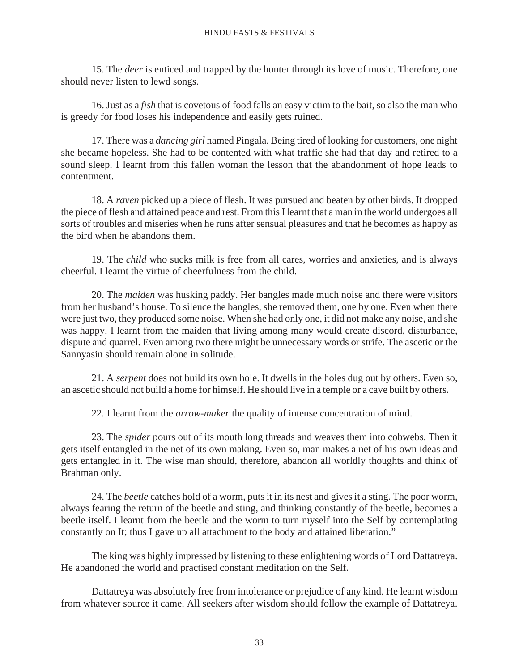15. The *deer* is enticed and trapped by the hunter through its love of music. Therefore, one should never listen to lewd songs.

16. Just as a *fish* that is covetous of food falls an easy victim to the bait, so also the man who is greedy for food loses his independence and easily gets ruined.

17. There was a *dancing girl* named Pingala. Being tired of looking for customers, one night she became hopeless. She had to be contented with what traffic she had that day and retired to a sound sleep. I learnt from this fallen woman the lesson that the abandonment of hope leads to contentment.

18. A *raven* picked up a piece of flesh. It was pursued and beaten by other birds. It dropped the piece of flesh and attained peace and rest. From this I learnt that a man in the world undergoes all sorts of troubles and miseries when he runs after sensual pleasures and that he becomes as happy as the bird when he abandons them.

19. The *child* who sucks milk is free from all cares, worries and anxieties, and is always cheerful. I learnt the virtue of cheerfulness from the child.

20. The *maiden* was husking paddy. Her bangles made much noise and there were visitors from her husband's house. To silence the bangles, she removed them, one by one. Even when there were just two, they produced some noise. When she had only one, it did not make any noise, and she was happy. I learnt from the maiden that living among many would create discord, disturbance, dispute and quarrel. Even among two there might be unnecessary words or strife. The ascetic or the Sannyasin should remain alone in solitude.

21. A *serpent* does not build its own hole. It dwells in the holes dug out by others. Even so, an ascetic should not build a home for himself. He should live in a temple or a cave built by others.

22. I learnt from the *arrow-maker* the quality of intense concentration of mind.

23. The *spider* pours out of its mouth long threads and weaves them into cobwebs. Then it gets itself entangled in the net of its own making. Even so, man makes a net of his own ideas and gets entangled in it. The wise man should, therefore, abandon all worldly thoughts and think of Brahman only.

24. The *beetle* catches hold of a worm, puts it in its nest and gives it a sting. The poor worm, always fearing the return of the beetle and sting, and thinking constantly of the beetle, becomes a beetle itself. I learnt from the beetle and the worm to turn myself into the Self by contemplating constantly on It; thus I gave up all attachment to the body and attained liberation."

The king was highly impressed by listening to these enlightening words of Lord Dattatreya. He abandoned the world and practised constant meditation on the Self.

Dattatreya was absolutely free from intolerance or prejudice of any kind. He learnt wisdom from whatever source it came. All seekers after wisdom should follow the example of Dattatreya.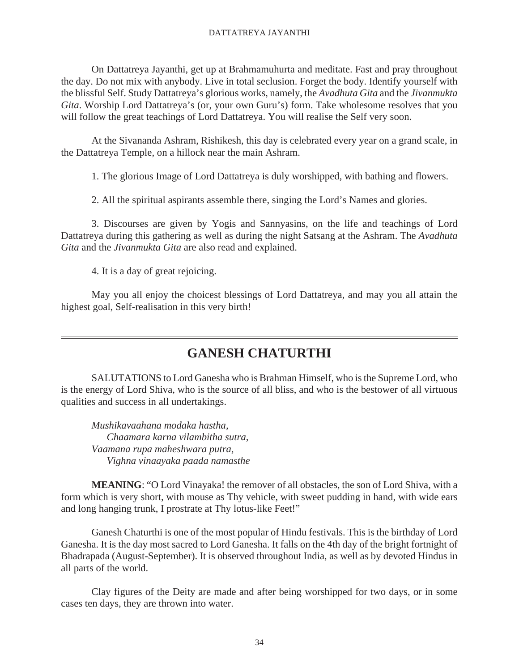### DATTATREYA JAYANTHI

On Dattatreya Jayanthi, get up at Brahmamuhurta and meditate. Fast and pray throughout the day. Do not mix with anybody. Live in total seclusion. Forget the body. Identify yourself with the blissful Self. Study Dattatreya's glorious works, namely, the *Avadhuta Gita* and the *Jivanmukta Gita*. Worship Lord Dattatreya's (or, your own Guru's) form. Take wholesome resolves that you will follow the great teachings of Lord Dattatreya. You will realise the Self very soon.

At the Sivananda Ashram, Rishikesh, this day is celebrated every year on a grand scale, in the Dattatreya Temple, on a hillock near the main Ashram.

1. The glorious Image of Lord Dattatreya is duly worshipped, with bathing and flowers.

2. All the spiritual aspirants assemble there, singing the Lord's Names and glories.

3. Discourses are given by Yogis and Sannyasins, on the life and teachings of Lord Dattatreya during this gathering as well as during the night Satsang at the Ashram. The *Avadhuta Gita* and the *Jivanmukta Gita* are also read and explained.

4. It is a day of great rejoicing.

May you all enjoy the choicest blessings of Lord Dattatreya, and may you all attain the highest goal, Self-realisation in this very birth!

# **GANESH CHATURTHI**

SALUTATIONS to Lord Ganesha who is Brahman Himself, who is the Supreme Lord, who is the energy of Lord Shiva, who is the source of all bliss, and who is the bestower of all virtuous qualities and success in all undertakings.

*Mushikavaahana modaka hastha, Chaamara karna vilambitha sutra, Vaamana rupa maheshwara putra, Vighna vinaayaka paada namasthe*

**MEANING**: "O Lord Vinayaka! the remover of all obstacles, the son of Lord Shiva, with a form which is very short, with mouse as Thy vehicle, with sweet pudding in hand, with wide ears and long hanging trunk, I prostrate at Thy lotus-like Feet!"

Ganesh Chaturthi is one of the most popular of Hindu festivals. This is the birthday of Lord Ganesha. It is the day most sacred to Lord Ganesha. It falls on the 4th day of the bright fortnight of Bhadrapada (August-September). It is observed throughout India, as well as by devoted Hindus in all parts of the world.

Clay figures of the Deity are made and after being worshipped for two days, or in some cases ten days, they are thrown into water.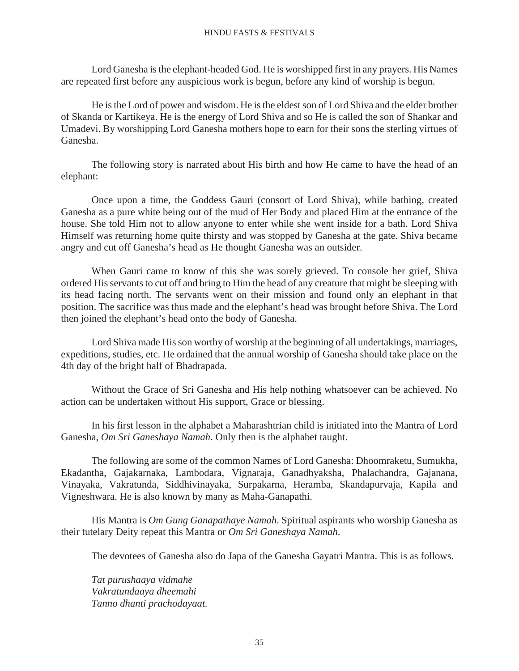Lord Ganesha is the elephant-headed God. He is worshipped first in any prayers. His Names are repeated first before any auspicious work is begun, before any kind of worship is begun.

He is the Lord of power and wisdom. He is the eldest son of Lord Shiva and the elder brother of Skanda or Kartikeya. He is the energy of Lord Shiva and so He is called the son of Shankar and Umadevi. By worshipping Lord Ganesha mothers hope to earn for their sons the sterling virtues of Ganesha.

The following story is narrated about His birth and how He came to have the head of an elephant:

Once upon a time, the Goddess Gauri (consort of Lord Shiva), while bathing, created Ganesha as a pure white being out of the mud of Her Body and placed Him at the entrance of the house. She told Him not to allow anyone to enter while she went inside for a bath. Lord Shiva Himself was returning home quite thirsty and was stopped by Ganesha at the gate. Shiva became angry and cut off Ganesha's head as He thought Ganesha was an outsider.

When Gauri came to know of this she was sorely grieved. To console her grief, Shiva ordered His servants to cut off and bring to Him the head of any creature that might be sleeping with its head facing north. The servants went on their mission and found only an elephant in that position. The sacrifice was thus made and the elephant's head was brought before Shiva. The Lord then joined the elephant's head onto the body of Ganesha.

Lord Shiva made His son worthy of worship at the beginning of all undertakings, marriages, expeditions, studies, etc. He ordained that the annual worship of Ganesha should take place on the 4th day of the bright half of Bhadrapada.

Without the Grace of Sri Ganesha and His help nothing whatsoever can be achieved. No action can be undertaken without His support, Grace or blessing.

In his first lesson in the alphabet a Maharashtrian child is initiated into the Mantra of Lord Ganesha, *Om Sri Ganeshaya Namah*. Only then is the alphabet taught.

The following are some of the common Names of Lord Ganesha: Dhoomraketu, Sumukha, Ekadantha, Gajakarnaka, Lambodara, Vignaraja, Ganadhyaksha, Phalachandra, Gajanana, Vinayaka, Vakratunda, Siddhivinayaka, Surpakarna, Heramba, Skandapurvaja, Kapila and Vigneshwara. He is also known by many as Maha-Ganapathi.

His Mantra is *Om Gung Ganapathaye Namah*. Spiritual aspirants who worship Ganesha as their tutelary Deity repeat this Mantra or *Om Sri Ganeshaya Namah*.

The devotees of Ganesha also do Japa of the Ganesha Gayatri Mantra. This is as follows.

*Tat purushaaya vidmahe Vakratundaaya dheemahi Tanno dhanti prachodayaat.*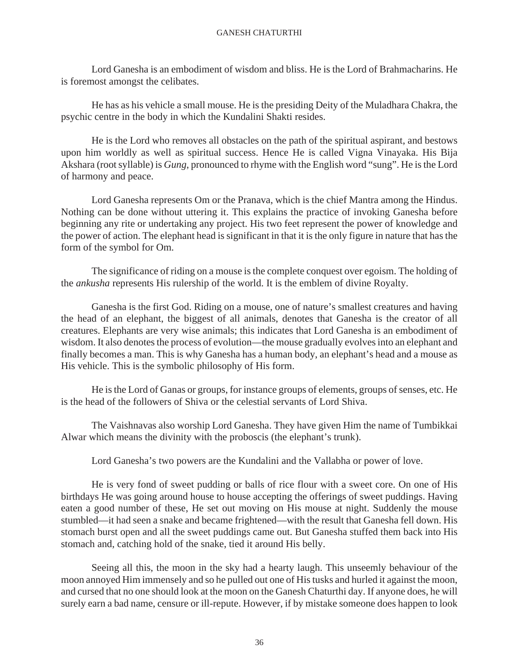### GANESH CHATURTHI

Lord Ganesha is an embodiment of wisdom and bliss. He is the Lord of Brahmacharins. He is foremost amongst the celibates.

He has as his vehicle a small mouse. He is the presiding Deity of the Muladhara Chakra, the psychic centre in the body in which the Kundalini Shakti resides.

He is the Lord who removes all obstacles on the path of the spiritual aspirant, and bestows upon him worldly as well as spiritual success. Hence He is called Vigna Vinayaka. His Bija Akshara (root syllable) is *Gung*, pronounced to rhyme with the English word "sung". He is the Lord of harmony and peace.

Lord Ganesha represents Om or the Pranava, which is the chief Mantra among the Hindus. Nothing can be done without uttering it. This explains the practice of invoking Ganesha before beginning any rite or undertaking any project. His two feet represent the power of knowledge and the power of action. The elephant head is significant in that it is the only figure in nature that has the form of the symbol for Om.

The significance of riding on a mouse is the complete conquest over egoism. The holding of the *ankusha* represents His rulership of the world. It is the emblem of divine Royalty.

Ganesha is the first God. Riding on a mouse, one of nature's smallest creatures and having the head of an elephant, the biggest of all animals, denotes that Ganesha is the creator of all creatures. Elephants are very wise animals; this indicates that Lord Ganesha is an embodiment of wisdom. It also denotes the process of evolution—the mouse gradually evolves into an elephant and finally becomes a man. This is why Ganesha has a human body, an elephant's head and a mouse as His vehicle. This is the symbolic philosophy of His form.

He is the Lord of Ganas or groups, for instance groups of elements, groups of senses, etc. He is the head of the followers of Shiva or the celestial servants of Lord Shiva.

The Vaishnavas also worship Lord Ganesha. They have given Him the name of Tumbikkai Alwar which means the divinity with the proboscis (the elephant's trunk).

Lord Ganesha's two powers are the Kundalini and the Vallabha or power of love.

He is very fond of sweet pudding or balls of rice flour with a sweet core. On one of His birthdays He was going around house to house accepting the offerings of sweet puddings. Having eaten a good number of these, He set out moving on His mouse at night. Suddenly the mouse stumbled—it had seen a snake and became frightened—with the result that Ganesha fell down. His stomach burst open and all the sweet puddings came out. But Ganesha stuffed them back into His stomach and, catching hold of the snake, tied it around His belly.

Seeing all this, the moon in the sky had a hearty laugh. This unseemly behaviour of the moon annoyed Him immensely and so he pulled out one of His tusks and hurled it against the moon, and cursed that no one should look at the moon on the Ganesh Chaturthi day. If anyone does, he will surely earn a bad name, censure or ill-repute. However, if by mistake someone does happen to look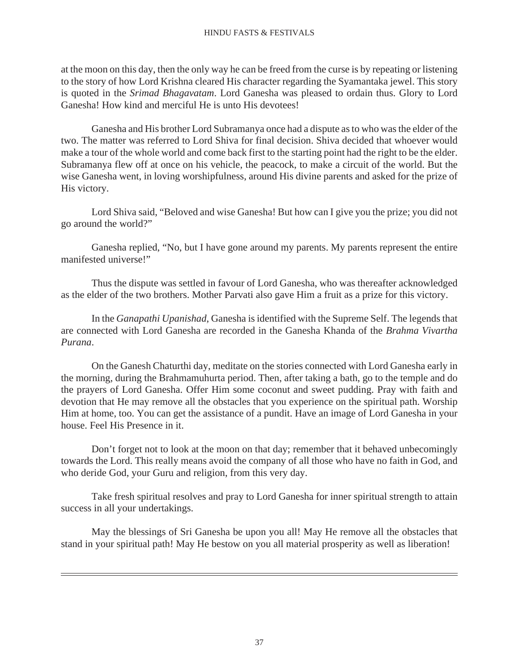at the moon on this day, then the only way he can be freed from the curse is by repeating or listening to the story of how Lord Krishna cleared His character regarding the Syamantaka jewel. This story is quoted in the *Srimad Bhagavatam*. Lord Ganesha was pleased to ordain thus. Glory to Lord Ganesha! How kind and merciful He is unto His devotees!

Ganesha and His brother Lord Subramanya once had a dispute as to who was the elder of the two. The matter was referred to Lord Shiva for final decision. Shiva decided that whoever would make a tour of the whole world and come back first to the starting point had the right to be the elder. Subramanya flew off at once on his vehicle, the peacock, to make a circuit of the world. But the wise Ganesha went, in loving worshipfulness, around His divine parents and asked for the prize of His victory.

Lord Shiva said, "Beloved and wise Ganesha! But how can I give you the prize; you did not go around the world?"

Ganesha replied, "No, but I have gone around my parents. My parents represent the entire manifested universe!"

Thus the dispute was settled in favour of Lord Ganesha, who was thereafter acknowledged as the elder of the two brothers. Mother Parvati also gave Him a fruit as a prize for this victory.

In the *Ganapathi Upanishad*, Ganesha is identified with the Supreme Self. The legends that are connected with Lord Ganesha are recorded in the Ganesha Khanda of the *Brahma Vivartha Purana*.

On the Ganesh Chaturthi day, meditate on the stories connected with Lord Ganesha early in the morning, during the Brahmamuhurta period. Then, after taking a bath, go to the temple and do the prayers of Lord Ganesha. Offer Him some coconut and sweet pudding. Pray with faith and devotion that He may remove all the obstacles that you experience on the spiritual path. Worship Him at home, too. You can get the assistance of a pundit. Have an image of Lord Ganesha in your house. Feel His Presence in it.

Don't forget not to look at the moon on that day; remember that it behaved unbecomingly towards the Lord. This really means avoid the company of all those who have no faith in God, and who deride God, your Guru and religion, from this very day.

Take fresh spiritual resolves and pray to Lord Ganesha for inner spiritual strength to attain success in all your undertakings.

May the blessings of Sri Ganesha be upon you all! May He remove all the obstacles that stand in your spiritual path! May He bestow on you all material prosperity as well as liberation!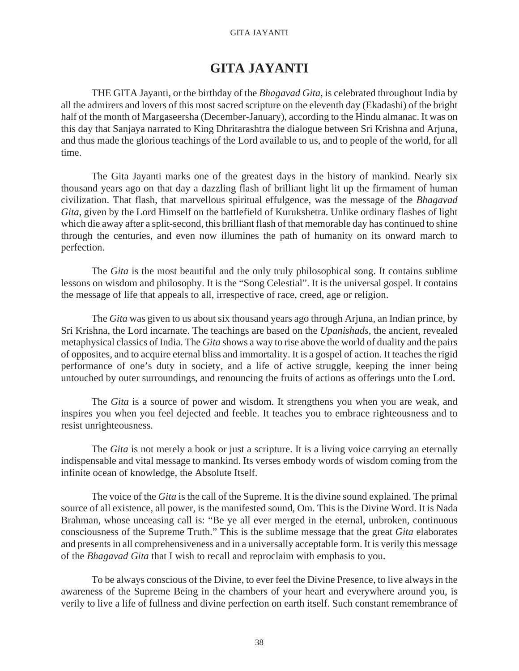### GITA JAYANTI

## **GITA JAYANTI**

THE GITA Jayanti, or the birthday of the *Bhagavad Gita*, is celebrated throughout India by all the admirers and lovers of this most sacred scripture on the eleventh day (Ekadashi) of the bright half of the month of Margaseersha (December-January), according to the Hindu almanac. It was on this day that Sanjaya narrated to King Dhritarashtra the dialogue between Sri Krishna and Arjuna, and thus made the glorious teachings of the Lord available to us, and to people of the world, for all time.

The Gita Jayanti marks one of the greatest days in the history of mankind. Nearly six thousand years ago on that day a dazzling flash of brilliant light lit up the firmament of human civilization. That flash, that marvellous spiritual effulgence, was the message of the *Bhagavad Gita*, given by the Lord Himself on the battlefield of Kurukshetra. Unlike ordinary flashes of light which die away after a split-second, this brilliant flash of that memorable day has continued to shine through the centuries, and even now illumines the path of humanity on its onward march to perfection.

The *Gita* is the most beautiful and the only truly philosophical song. It contains sublime lessons on wisdom and philosophy. It is the "Song Celestial". It is the universal gospel. It contains the message of life that appeals to all, irrespective of race, creed, age or religion.

The *Gita* was given to us about six thousand years ago through Arjuna, an Indian prince, by Sri Krishna, the Lord incarnate. The teachings are based on the *Upanishads*, the ancient, revealed metaphysical classics of India. The *Gita* shows a way to rise above the world of duality and the pairs of opposites, and to acquire eternal bliss and immortality. It is a gospel of action. It teaches the rigid performance of one's duty in society, and a life of active struggle, keeping the inner being untouched by outer surroundings, and renouncing the fruits of actions as offerings unto the Lord.

The *Gita* is a source of power and wisdom. It strengthens you when you are weak, and inspires you when you feel dejected and feeble. It teaches you to embrace righteousness and to resist unrighteousness.

The *Gita* is not merely a book or just a scripture. It is a living voice carrying an eternally indispensable and vital message to mankind. Its verses embody words of wisdom coming from the infinite ocean of knowledge, the Absolute Itself.

The voice of the *Gita* is the call of the Supreme. It is the divine sound explained. The primal source of all existence, all power, is the manifested sound, Om. This is the Divine Word. It is Nada Brahman, whose unceasing call is: "Be ye all ever merged in the eternal, unbroken, continuous consciousness of the Supreme Truth." This is the sublime message that the great *Gita* elaborates and presents in all comprehensiveness and in a universally acceptable form. It is verily this message of the *Bhagavad Gita* that I wish to recall and reproclaim with emphasis to you.

To be always conscious of the Divine, to ever feel the Divine Presence, to live always in the awareness of the Supreme Being in the chambers of your heart and everywhere around you, is verily to live a life of fullness and divine perfection on earth itself. Such constant remembrance of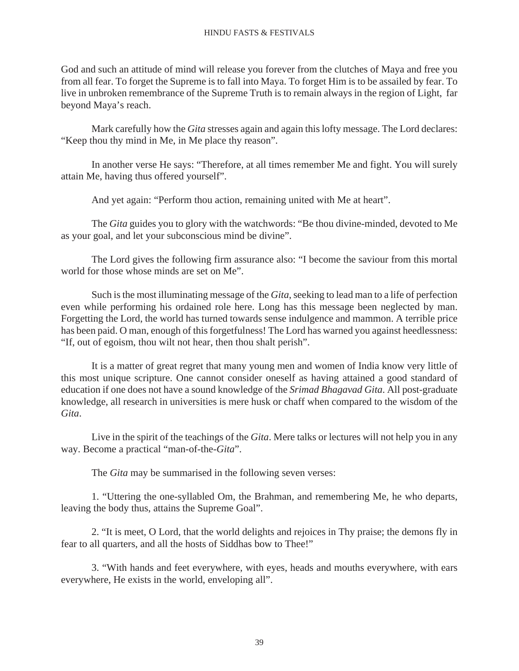God and such an attitude of mind will release you forever from the clutches of Maya and free you from all fear. To forget the Supreme is to fall into Maya. To forget Him is to be assailed by fear. To live in unbroken remembrance of the Supreme Truth is to remain always in the region of Light, far beyond Maya's reach.

Mark carefully how the *Gita* stresses again and again this lofty message. The Lord declares: "Keep thou thy mind in Me, in Me place thy reason".

In another verse He says: "Therefore, at all times remember Me and fight. You will surely attain Me, having thus offered yourself".

And yet again: "Perform thou action, remaining united with Me at heart".

The *Gita* guides you to glory with the watchwords: "Be thou divine-minded, devoted to Me as your goal, and let your subconscious mind be divine".

The Lord gives the following firm assurance also: "I become the saviour from this mortal world for those whose minds are set on Me".

Such is the most illuminating message of the *Gita*, seeking to lead man to a life of perfection even while performing his ordained role here. Long has this message been neglected by man. Forgetting the Lord, the world has turned towards sense indulgence and mammon. A terrible price has been paid. O man, enough of this forgetfulness! The Lord has warned you against heedlessness: "If, out of egoism, thou wilt not hear, then thou shalt perish".

It is a matter of great regret that many young men and women of India know very little of this most unique scripture. One cannot consider oneself as having attained a good standard of education if one does not have a sound knowledge of the *Srimad Bhagavad Gita*. All post-graduate knowledge, all research in universities is mere husk or chaff when compared to the wisdom of the *Gita*.

Live in the spirit of the teachings of the *Gita*. Mere talks or lectures will not help you in any way. Become a practical "man-of-the-*Gita*".

The *Gita* may be summarised in the following seven verses:

1. "Uttering the one-syllabled Om, the Brahman, and remembering Me, he who departs, leaving the body thus, attains the Supreme Goal".

2. "It is meet, O Lord, that the world delights and rejoices in Thy praise; the demons fly in fear to all quarters, and all the hosts of Siddhas bow to Thee!"

3. "With hands and feet everywhere, with eyes, heads and mouths everywhere, with ears everywhere, He exists in the world, enveloping all".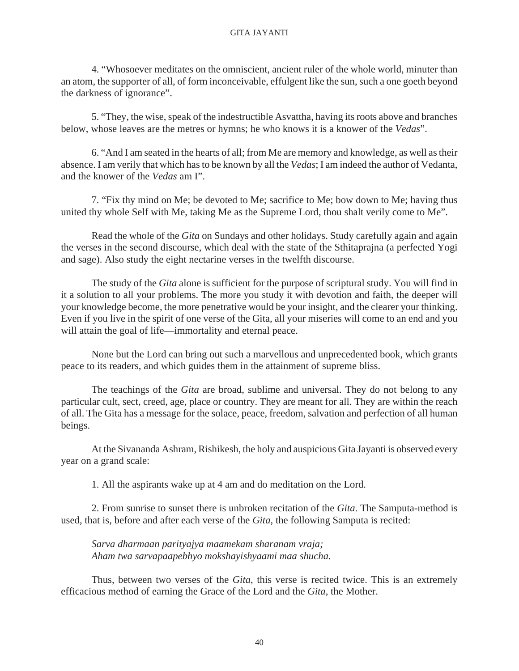4. "Whosoever meditates on the omniscient, ancient ruler of the whole world, minuter than an atom, the supporter of all, of form inconceivable, effulgent like the sun, such a one goeth beyond the darkness of ignorance".

5. "They, the wise, speak of the indestructible Asvattha, having its roots above and branches below, whose leaves are the metres or hymns; he who knows it is a knower of the *Vedas*".

6. "And I am seated in the hearts of all; from Me are memory and knowledge, as well as their absence. I am verily that which has to be known by all the *Vedas*; I am indeed the author of Vedanta, and the knower of the *Vedas* am I".

7. "Fix thy mind on Me; be devoted to Me; sacrifice to Me; bow down to Me; having thus united thy whole Self with Me, taking Me as the Supreme Lord, thou shalt verily come to Me".

Read the whole of the *Gita* on Sundays and other holidays. Study carefully again and again the verses in the second discourse, which deal with the state of the Sthitaprajna (a perfected Yogi and sage). Also study the eight nectarine verses in the twelfth discourse.

The study of the *Gita* alone is sufficient for the purpose of scriptural study. You will find in it a solution to all your problems. The more you study it with devotion and faith, the deeper will your knowledge become, the more penetrative would be your insight, and the clearer your thinking. Even if you live in the spirit of one verse of the Gita, all your miseries will come to an end and you will attain the goal of life—immortality and eternal peace.

None but the Lord can bring out such a marvellous and unprecedented book, which grants peace to its readers, and which guides them in the attainment of supreme bliss.

The teachings of the *Gita* are broad, sublime and universal. They do not belong to any particular cult, sect, creed, age, place or country. They are meant for all. They are within the reach of all. The Gita has a message for the solace, peace, freedom, salvation and perfection of all human beings.

At the Sivananda Ashram, Rishikesh, the holy and auspicious Gita Jayanti is observed every year on a grand scale:

1. All the aspirants wake up at 4 am and do meditation on the Lord.

2. From sunrise to sunset there is unbroken recitation of the *Gita*. The Samputa-method is used, that is, before and after each verse of the *Gita*, the following Samputa is recited:

*Sarva dharmaan parityajya maamekam sharanam vraja; Aham twa sarvapaapebhyo mokshayishyaami maa shucha.*

Thus, between two verses of the *Gita*, this verse is recited twice. This is an extremely efficacious method of earning the Grace of the Lord and the *Gita*, the Mother.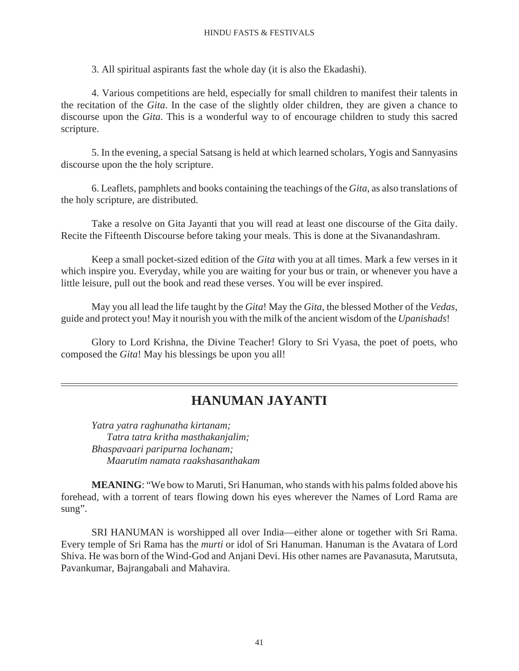### HINDU FASTS & FESTIVALS

3. All spiritual aspirants fast the whole day (it is also the Ekadashi).

4. Various competitions are held, especially for small children to manifest their talents in the recitation of the *Gita*. In the case of the slightly older children, they are given a chance to discourse upon the *Gita*. This is a wonderful way to of encourage children to study this sacred scripture.

5. In the evening, a special Satsang is held at which learned scholars, Yogis and Sannyasins discourse upon the the holy scripture.

6. Leaflets, pamphlets and books containing the teachings of the *Gita*, as also translations of the holy scripture, are distributed.

Take a resolve on Gita Jayanti that you will read at least one discourse of the Gita daily. Recite the Fifteenth Discourse before taking your meals. This is done at the Sivanandashram.

Keep a small pocket-sized edition of the *Gita* with you at all times. Mark a few verses in it which inspire you. Everyday, while you are waiting for your bus or train, or whenever you have a little leisure, pull out the book and read these verses. You will be ever inspired.

May you all lead the life taught by the *Gita*! May the *Gita*, the blessed Mother of the *Vedas*, guide and protect you! May it nourish you with the milk of the ancient wisdom of the *Upanishads*!

Glory to Lord Krishna, the Divine Teacher! Glory to Sri Vyasa, the poet of poets, who composed the *Gita*! May his blessings be upon you all!

# **HANUMAN JAYANTI**

*Yatra yatra raghunatha kirtanam; Tatra tatra kritha masthakanjalim; Bhaspavaari paripurna lochanam; Maarutim namata raakshasanthakam*

**MEANING**: "We bow to Maruti, Sri Hanuman, who stands with his palms folded above his forehead, with a torrent of tears flowing down his eyes wherever the Names of Lord Rama are sung".

SRI HANUMAN is worshipped all over India—either alone or together with Sri Rama. Every temple of Sri Rama has the *murti* or idol of Sri Hanuman. Hanuman is the Avatara of Lord Shiva. He was born of the Wind-God and Anjani Devi. His other names are Pavanasuta, Marutsuta, Pavankumar, Bajrangabali and Mahavira.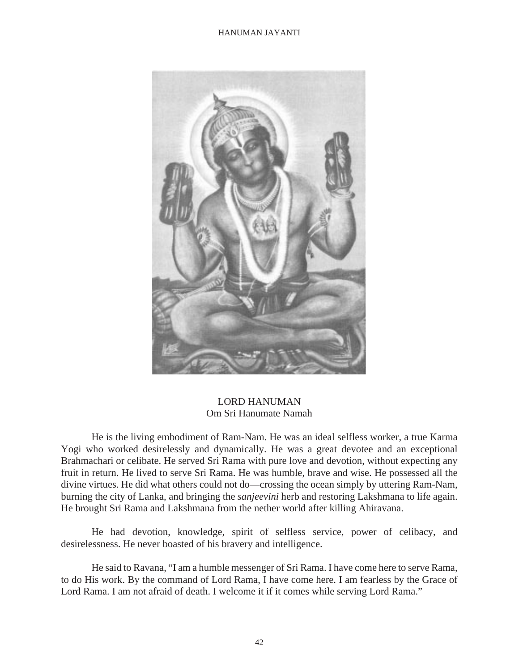### HANUMAN JAYANTI



### LORD HANUMAN Om Sri Hanumate Namah

He is the living embodiment of Ram-Nam. He was an ideal selfless worker, a true Karma Yogi who worked desirelessly and dynamically. He was a great devotee and an exceptional Brahmachari or celibate. He served Sri Rama with pure love and devotion, without expecting any fruit in return. He lived to serve Sri Rama. He was humble, brave and wise. He possessed all the divine virtues. He did what others could not do—crossing the ocean simply by uttering Ram-Nam, burning the city of Lanka, and bringing the *sanjeevini* herb and restoring Lakshmana to life again. He brought Sri Rama and Lakshmana from the nether world after killing Ahiravana.

He had devotion, knowledge, spirit of selfless service, power of celibacy, and desirelessness. He never boasted of his bravery and intelligence.

He said to Ravana, "I am a humble messenger of Sri Rama. I have come here to serve Rama, to do His work. By the command of Lord Rama, I have come here. I am fearless by the Grace of Lord Rama. I am not afraid of death. I welcome it if it comes while serving Lord Rama."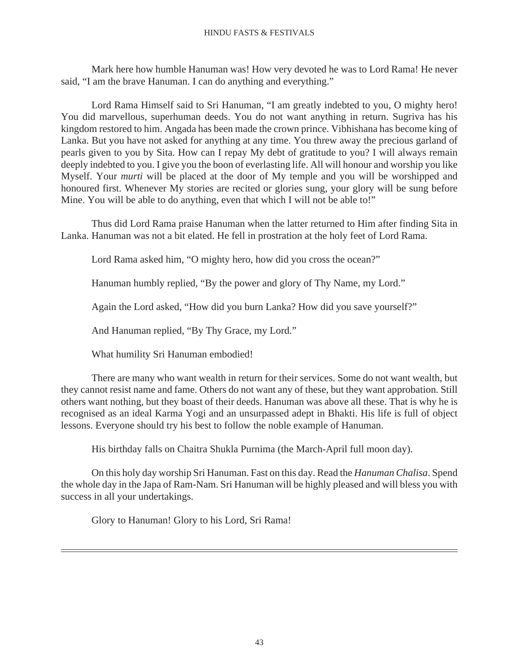Mark here how humble Hanuman was! How very devoted he was to Lord Rama! He never said, "I am the brave Hanuman. I can do anything and everything."

Lord Rama Himself said to Sri Hanuman, "I am greatly indebted to you, O mighty hero! You did marvellous, superhuman deeds. You do not want anything in return. Sugriva has his kingdom restored to him. Angada has been made the crown prince. Vibhishana has become king of Lanka. But you have not asked for anything at any time. You threw away the precious garland of pearls given to you by Sita. How can I repay My debt of gratitude to you? I will always remain deeply indebted to you. I give you the boon of everlasting life. All will honour and worship you like Myself. Your *murti* will be placed at the door of My temple and you will be worshipped and honoured first. Whenever My stories are recited or glories sung, your glory will be sung before Mine. You will be able to do anything, even that which I will not be able to!"

Thus did Lord Rama praise Hanuman when the latter returned to Him after finding Sita in Lanka. Hanuman was not a bit elated. He fell in prostration at the holy feet of Lord Rama.

Lord Rama asked him, "O mighty hero, how did you cross the ocean?"

Hanuman humbly replied, "By the power and glory of Thy Name, my Lord."

Again the Lord asked, "How did you burn Lanka? How did you save yourself?"

And Hanuman replied, "By Thy Grace, my Lord."

What humility Sri Hanuman embodied!

There are many who want wealth in return for their services. Some do not want wealth, but they cannot resist name and fame. Others do not want any of these, but they want approbation. Still others want nothing, but they boast of their deeds. Hanuman was above all these. That is why he is recognised as an ideal Karma Yogi and an unsurpassed adept in Bhakti. His life is full of object lessons. Everyone should try his best to follow the noble example of Hanuman.

His birthday falls on Chaitra Shukla Purnima (the March-April full moon day).

On this holy day worship Sri Hanuman. Fast on this day. Read the *Hanuman Chalisa*. Spend the whole day in the Japa of Ram-Nam. Sri Hanuman will be highly pleased and will bless you with success in all your undertakings.

Glory to Hanuman! Glory to his Lord, Sri Rama!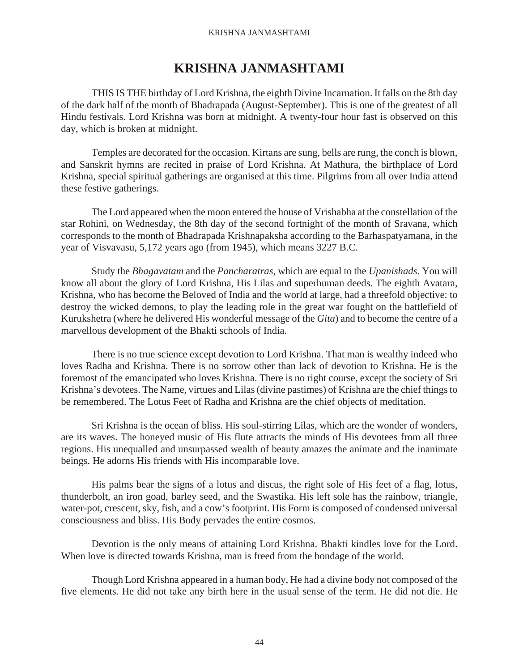### KRISHNA JANMASHTAMI

# **KRISHNA JANMASHTAMI**

THIS IS THE birthday of Lord Krishna, the eighth Divine Incarnation. It falls on the 8th day of the dark half of the month of Bhadrapada (August-September). This is one of the greatest of all Hindu festivals. Lord Krishna was born at midnight. A twenty-four hour fast is observed on this day, which is broken at midnight.

Temples are decorated for the occasion. Kirtans are sung, bells are rung, the conch is blown, and Sanskrit hymns are recited in praise of Lord Krishna. At Mathura, the birthplace of Lord Krishna, special spiritual gatherings are organised at this time. Pilgrims from all over India attend these festive gatherings.

The Lord appeared when the moon entered the house of Vrishabha at the constellation of the star Rohini, on Wednesday, the 8th day of the second fortnight of the month of Sravana, which corresponds to the month of Bhadrapada Krishnapaksha according to the Barhaspatyamana, in the year of Visvavasu, 5,172 years ago (from 1945), which means 3227 B.C.

Study the *Bhagavatam* and the *Pancharatras*, which are equal to the *Upanishads*. You will know all about the glory of Lord Krishna, His Lilas and superhuman deeds. The eighth Avatara, Krishna, who has become the Beloved of India and the world at large, had a threefold objective: to destroy the wicked demons, to play the leading role in the great war fought on the battlefield of Kurukshetra (where he delivered His wonderful message of the *Gita*) and to become the centre of a marvellous development of the Bhakti schools of India.

There is no true science except devotion to Lord Krishna. That man is wealthy indeed who loves Radha and Krishna. There is no sorrow other than lack of devotion to Krishna. He is the foremost of the emancipated who loves Krishna. There is no right course, except the society of Sri Krishna's devotees. The Name, virtues and Lilas (divine pastimes) of Krishna are the chief things to be remembered. The Lotus Feet of Radha and Krishna are the chief objects of meditation.

Sri Krishna is the ocean of bliss. His soul-stirring Lilas, which are the wonder of wonders, are its waves. The honeyed music of His flute attracts the minds of His devotees from all three regions. His unequalled and unsurpassed wealth of beauty amazes the animate and the inanimate beings. He adorns His friends with His incomparable love.

His palms bear the signs of a lotus and discus, the right sole of His feet of a flag, lotus, thunderbolt, an iron goad, barley seed, and the Swastika. His left sole has the rainbow, triangle, water-pot, crescent, sky, fish, and a cow's footprint. His Form is composed of condensed universal consciousness and bliss. His Body pervades the entire cosmos.

Devotion is the only means of attaining Lord Krishna. Bhakti kindles love for the Lord. When love is directed towards Krishna, man is freed from the bondage of the world.

Though Lord Krishna appeared in a human body, He had a divine body not composed of the five elements. He did not take any birth here in the usual sense of the term. He did not die. He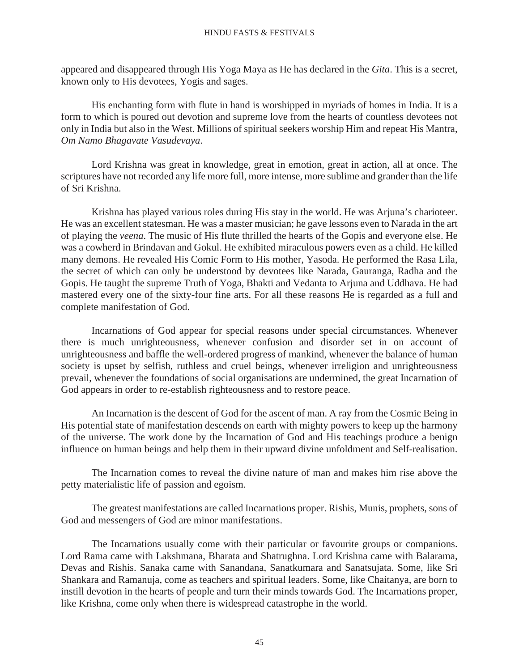appeared and disappeared through His Yoga Maya as He has declared in the *Gita*. This is a secret, known only to His devotees, Yogis and sages.

His enchanting form with flute in hand is worshipped in myriads of homes in India. It is a form to which is poured out devotion and supreme love from the hearts of countless devotees not only in India but also in the West. Millions of spiritual seekers worship Him and repeat His Mantra, *Om Namo Bhagavate Vasudevaya*.

Lord Krishna was great in knowledge, great in emotion, great in action, all at once. The scriptures have not recorded any life more full, more intense, more sublime and grander than the life of Sri Krishna.

Krishna has played various roles during His stay in the world. He was Arjuna's charioteer. He was an excellent statesman. He was a master musician; he gave lessons even to Narada in the art of playing the *veena*. The music of His flute thrilled the hearts of the Gopis and everyone else. He was a cowherd in Brindavan and Gokul. He exhibited miraculous powers even as a child. He killed many demons. He revealed His Comic Form to His mother, Yasoda. He performed the Rasa Lila, the secret of which can only be understood by devotees like Narada, Gauranga, Radha and the Gopis. He taught the supreme Truth of Yoga, Bhakti and Vedanta to Arjuna and Uddhava. He had mastered every one of the sixty-four fine arts. For all these reasons He is regarded as a full and complete manifestation of God.

Incarnations of God appear for special reasons under special circumstances. Whenever there is much unrighteousness, whenever confusion and disorder set in on account of unrighteousness and baffle the well-ordered progress of mankind, whenever the balance of human society is upset by selfish, ruthless and cruel beings, whenever irreligion and unrighteousness prevail, whenever the foundations of social organisations are undermined, the great Incarnation of God appears in order to re-establish righteousness and to restore peace.

An Incarnation is the descent of God for the ascent of man. A ray from the Cosmic Being in His potential state of manifestation descends on earth with mighty powers to keep up the harmony of the universe. The work done by the Incarnation of God and His teachings produce a benign influence on human beings and help them in their upward divine unfoldment and Self-realisation.

The Incarnation comes to reveal the divine nature of man and makes him rise above the petty materialistic life of passion and egoism.

The greatest manifestations are called Incarnations proper. Rishis, Munis, prophets, sons of God and messengers of God are minor manifestations.

The Incarnations usually come with their particular or favourite groups or companions. Lord Rama came with Lakshmana, Bharata and Shatrughna. Lord Krishna came with Balarama, Devas and Rishis. Sanaka came with Sanandana, Sanatkumara and Sanatsujata. Some, like Sri Shankara and Ramanuja, come as teachers and spiritual leaders. Some, like Chaitanya, are born to instill devotion in the hearts of people and turn their minds towards God. The Incarnations proper, like Krishna, come only when there is widespread catastrophe in the world.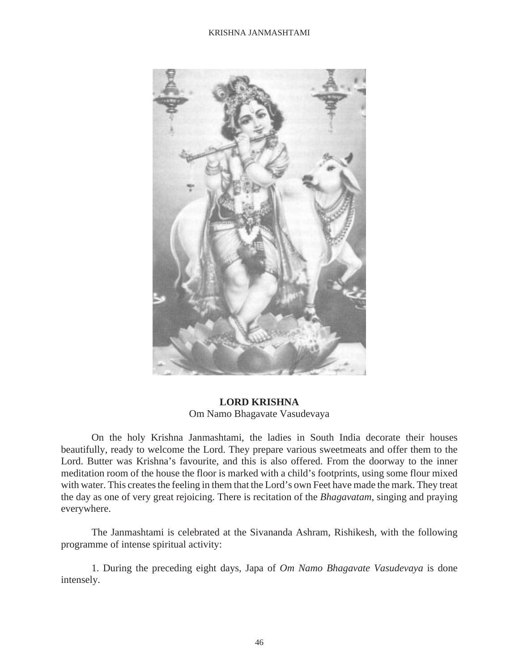#### KRISHNA JANMASHTAMI



### **LORD KRISHNA** Om Namo Bhagavate Vasudevaya

On the holy Krishna Janmashtami, the ladies in South India decorate their houses beautifully, ready to welcome the Lord. They prepare various sweetmeats and offer them to the Lord. Butter was Krishna's favourite, and this is also offered. From the doorway to the inner meditation room of the house the floor is marked with a child's footprints, using some flour mixed with water. This creates the feeling in them that the Lord's own Feet have made the mark. They treat the day as one of very great rejoicing. There is recitation of the *Bhagavatam*, singing and praying everywhere.

The Janmashtami is celebrated at the Sivananda Ashram, Rishikesh, with the following programme of intense spiritual activity:

1. During the preceding eight days, Japa of *Om Namo Bhagavate Vasudevaya* is done intensely.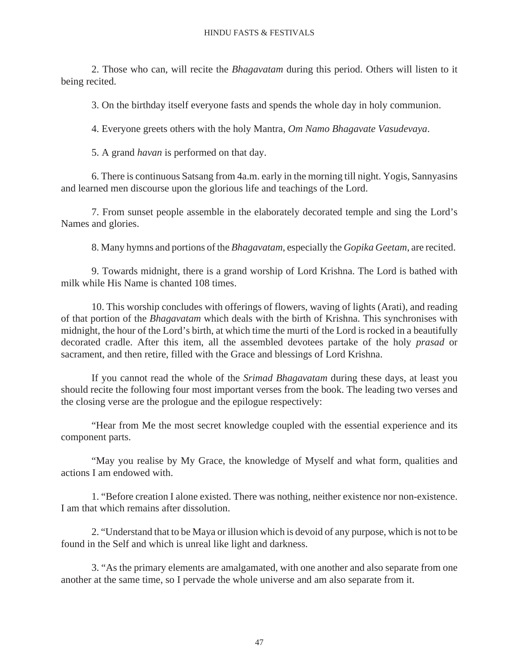2. Those who can, will recite the *Bhagavatam* during this period. Others will listen to it being recited.

3. On the birthday itself everyone fasts and spends the whole day in holy communion.

4. Everyone greets others with the holy Mantra, *Om Namo Bhagavate Vasudevaya*.

5. A grand *havan* is performed on that day.

6. There is continuous Satsang from 4a.m. early in the morning till night. Yogis, Sannyasins and learned men discourse upon the glorious life and teachings of the Lord.

7. From sunset people assemble in the elaborately decorated temple and sing the Lord's Names and glories.

8. Many hymns and portions of the *Bhagavatam*, especially the *Gopika Geetam*, are recited.

9. Towards midnight, there is a grand worship of Lord Krishna. The Lord is bathed with milk while His Name is chanted 108 times.

10. This worship concludes with offerings of flowers, waving of lights (Arati), and reading of that portion of the *Bhagavatam* which deals with the birth of Krishna. This synchronises with midnight, the hour of the Lord's birth, at which time the murti of the Lord is rocked in a beautifully decorated cradle. After this item, all the assembled devotees partake of the holy *prasad* or sacrament, and then retire, filled with the Grace and blessings of Lord Krishna.

If you cannot read the whole of the *Srimad Bhagavatam* during these days, at least you should recite the following four most important verses from the book. The leading two verses and the closing verse are the prologue and the epilogue respectively:

"Hear from Me the most secret knowledge coupled with the essential experience and its component parts.

"May you realise by My Grace, the knowledge of Myself and what form, qualities and actions I am endowed with.

1. "Before creation I alone existed. There was nothing, neither existence nor non-existence. I am that which remains after dissolution.

2. "Understand that to be Maya or illusion which is devoid of any purpose, which is not to be found in the Self and which is unreal like light and darkness.

3. "As the primary elements are amalgamated, with one another and also separate from one another at the same time, so I pervade the whole universe and am also separate from it.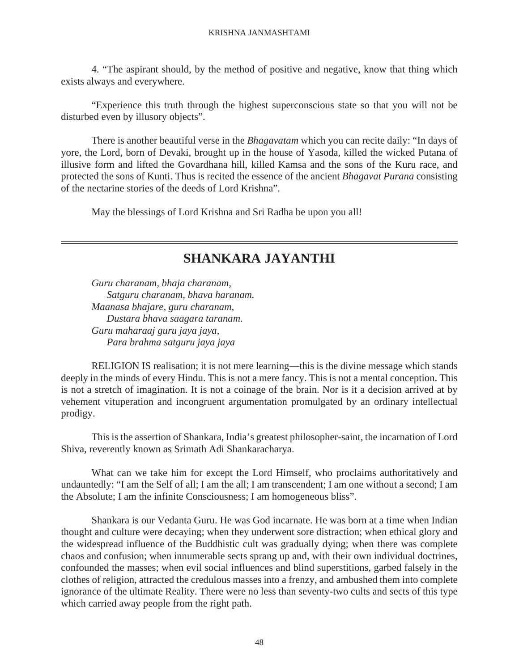4. "The aspirant should, by the method of positive and negative, know that thing which exists always and everywhere.

"Experience this truth through the highest superconscious state so that you will not be disturbed even by illusory objects".

There is another beautiful verse in the *Bhagavatam* which you can recite daily: "In days of yore, the Lord, born of Devaki, brought up in the house of Yasoda, killed the wicked Putana of illusive form and lifted the Govardhana hill, killed Kamsa and the sons of the Kuru race, and protected the sons of Kunti. Thus is recited the essence of the ancient *Bhagavat Purana* consisting of the nectarine stories of the deeds of Lord Krishna".

May the blessings of Lord Krishna and Sri Radha be upon you all!

# **SHANKARA JAYANTHI**

*Guru charanam, bhaja charanam, Satguru charanam, bhava haranam. Maanasa bhajare, guru charanam, Dustara bhava saagara taranam. Guru maharaaj guru jaya jaya, Para brahma satguru jaya jaya*

RELIGION IS realisation; it is not mere learning—this is the divine message which stands deeply in the minds of every Hindu. This is not a mere fancy. This is not a mental conception. This is not a stretch of imagination. It is not a coinage of the brain. Nor is it a decision arrived at by vehement vituperation and incongruent argumentation promulgated by an ordinary intellectual prodigy.

This is the assertion of Shankara, India's greatest philosopher-saint, the incarnation of Lord Shiva, reverently known as Srimath Adi Shankaracharya.

What can we take him for except the Lord Himself, who proclaims authoritatively and undauntedly: "I am the Self of all; I am the all; I am transcendent; I am one without a second; I am the Absolute; I am the infinite Consciousness; I am homogeneous bliss".

Shankara is our Vedanta Guru. He was God incarnate. He was born at a time when Indian thought and culture were decaying; when they underwent sore distraction; when ethical glory and the widespread influence of the Buddhistic cult was gradually dying; when there was complete chaos and confusion; when innumerable sects sprang up and, with their own individual doctrines, confounded the masses; when evil social influences and blind superstitions, garbed falsely in the clothes of religion, attracted the credulous masses into a frenzy, and ambushed them into complete ignorance of the ultimate Reality. There were no less than seventy-two cults and sects of this type which carried away people from the right path.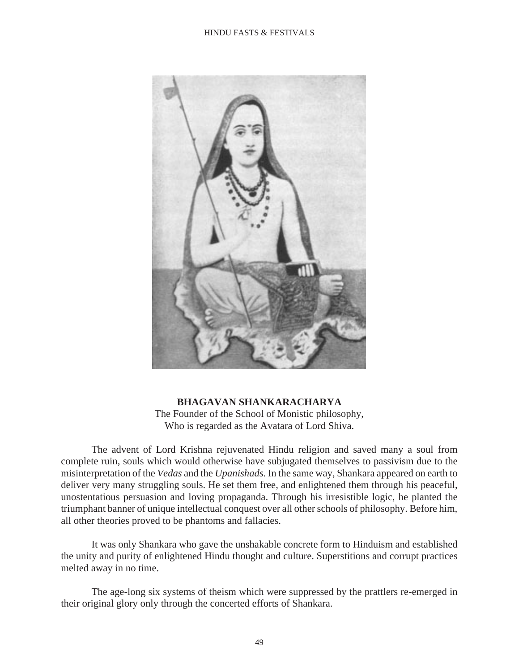#### HINDU FASTS & FESTIVALS



### **BHAGAVAN SHANKARACHARYA**

The Founder of the School of Monistic philosophy, Who is regarded as the Avatara of Lord Shiva.

The advent of Lord Krishna rejuvenated Hindu religion and saved many a soul from complete ruin, souls which would otherwise have subjugated themselves to passivism due to the misinterpretation of the *Vedas* and the *Upanishads.* In the same way, Shankara appeared on earth to deliver very many struggling souls. He set them free, and enlightened them through his peaceful, unostentatious persuasion and loving propaganda. Through his irresistible logic, he planted the triumphant banner of unique intellectual conquest over all other schools of philosophy. Before him, all other theories proved to be phantoms and fallacies.

It was only Shankara who gave the unshakable concrete form to Hinduism and established the unity and purity of enlightened Hindu thought and culture. Superstitions and corrupt practices melted away in no time.

The age-long six systems of theism which were suppressed by the prattlers re-emerged in their original glory only through the concerted efforts of Shankara.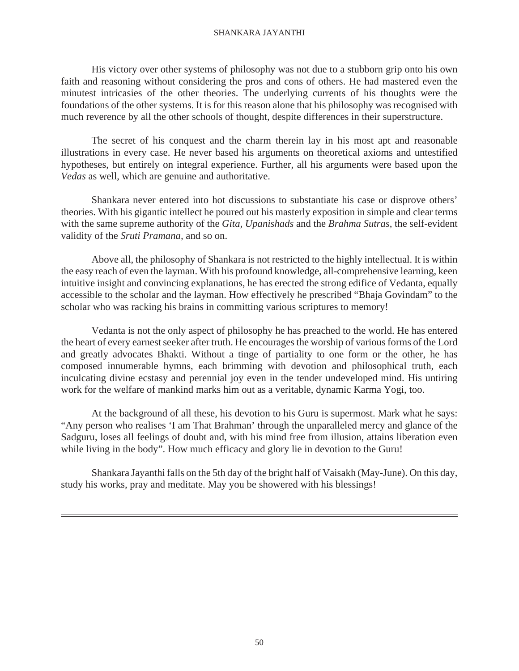#### SHANKARA JAYANTHI

His victory over other systems of philosophy was not due to a stubborn grip onto his own faith and reasoning without considering the pros and cons of others. He had mastered even the minutest intricasies of the other theories. The underlying currents of his thoughts were the foundations of the other systems. It is for this reason alone that his philosophy was recognised with much reverence by all the other schools of thought, despite differences in their superstructure.

The secret of his conquest and the charm therein lay in his most apt and reasonable illustrations in every case. He never based his arguments on theoretical axioms and untestified hypotheses, but entirely on integral experience. Further, all his arguments were based upon the *Vedas* as well, which are genuine and authoritative.

Shankara never entered into hot discussions to substantiate his case or disprove others' theories. With his gigantic intellect he poured out his masterly exposition in simple and clear terms with the same supreme authority of the *Gita, Upanishads* and the *Brahma Sutras,* the self-evident validity of the *Sruti Pramana,* and so on.

Above all, the philosophy of Shankara is not restricted to the highly intellectual. It is within the easy reach of even the layman. With his profound knowledge, all-comprehensive learning, keen intuitive insight and convincing explanations, he has erected the strong edifice of Vedanta, equally accessible to the scholar and the layman. How effectively he prescribed "Bhaja Govindam" to the scholar who was racking his brains in committing various scriptures to memory!

Vedanta is not the only aspect of philosophy he has preached to the world. He has entered the heart of every earnest seeker after truth. He encourages the worship of various forms of the Lord and greatly advocates Bhakti. Without a tinge of partiality to one form or the other, he has composed innumerable hymns, each brimming with devotion and philosophical truth, each inculcating divine ecstasy and perennial joy even in the tender undeveloped mind. His untiring work for the welfare of mankind marks him out as a veritable, dynamic Karma Yogi, too.

At the background of all these, his devotion to his Guru is supermost. Mark what he says: "Any person who realises 'I am That Brahman' through the unparalleled mercy and glance of the Sadguru, loses all feelings of doubt and, with his mind free from illusion, attains liberation even while living in the body". How much efficacy and glory lie in devotion to the Guru!

Shankara Jayanthi falls on the 5th day of the bright half of Vaisakh (May-June). On this day, study his works, pray and meditate. May you be showered with his blessings!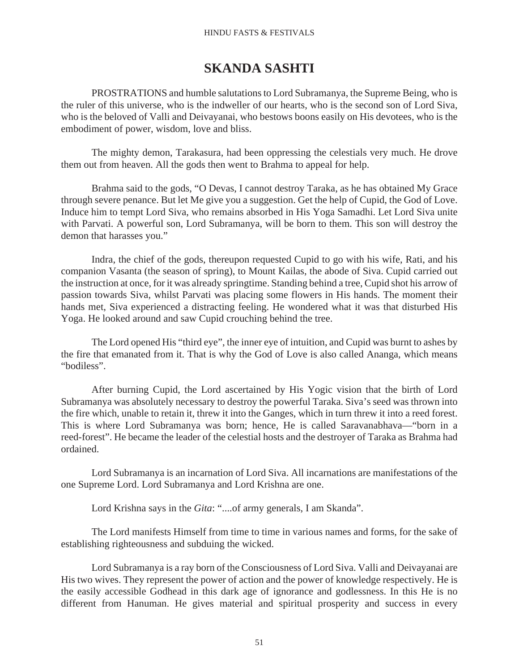## **SKANDA SASHTI**

PROSTRATIONS and humble salutations to Lord Subramanya, the Supreme Being, who is the ruler of this universe, who is the indweller of our hearts, who is the second son of Lord Siva, who is the beloved of Valli and Deivayanai, who bestows boons easily on His devotees, who is the embodiment of power, wisdom, love and bliss.

The mighty demon, Tarakasura, had been oppressing the celestials very much. He drove them out from heaven. All the gods then went to Brahma to appeal for help.

Brahma said to the gods, "O Devas, I cannot destroy Taraka, as he has obtained My Grace through severe penance. But let Me give you a suggestion. Get the help of Cupid, the God of Love. Induce him to tempt Lord Siva, who remains absorbed in His Yoga Samadhi. Let Lord Siva unite with Parvati. A powerful son, Lord Subramanya, will be born to them. This son will destroy the demon that harasses you."

Indra, the chief of the gods, thereupon requested Cupid to go with his wife, Rati, and his companion Vasanta (the season of spring), to Mount Kailas, the abode of Siva. Cupid carried out the instruction at once, for it was already springtime. Standing behind a tree, Cupid shot his arrow of passion towards Siva, whilst Parvati was placing some flowers in His hands. The moment their hands met, Siva experienced a distracting feeling. He wondered what it was that disturbed His Yoga. He looked around and saw Cupid crouching behind the tree.

The Lord opened His "third eye", the inner eye of intuition, and Cupid was burnt to ashes by the fire that emanated from it. That is why the God of Love is also called Ananga, which means "bodiless".

After burning Cupid, the Lord ascertained by His Yogic vision that the birth of Lord Subramanya was absolutely necessary to destroy the powerful Taraka. Siva's seed was thrown into the fire which, unable to retain it, threw it into the Ganges, which in turn threw it into a reed forest. This is where Lord Subramanya was born; hence, He is called Saravanabhava—"born in a reed-forest". He became the leader of the celestial hosts and the destroyer of Taraka as Brahma had ordained.

Lord Subramanya is an incarnation of Lord Siva. All incarnations are manifestations of the one Supreme Lord. Lord Subramanya and Lord Krishna are one.

Lord Krishna says in the *Gita*: "....of army generals, I am Skanda".

The Lord manifests Himself from time to time in various names and forms, for the sake of establishing righteousness and subduing the wicked.

Lord Subramanya is a ray born of the Consciousness of Lord Siva. Valli and Deivayanai are His two wives. They represent the power of action and the power of knowledge respectively. He is the easily accessible Godhead in this dark age of ignorance and godlessness. In this He is no different from Hanuman. He gives material and spiritual prosperity and success in every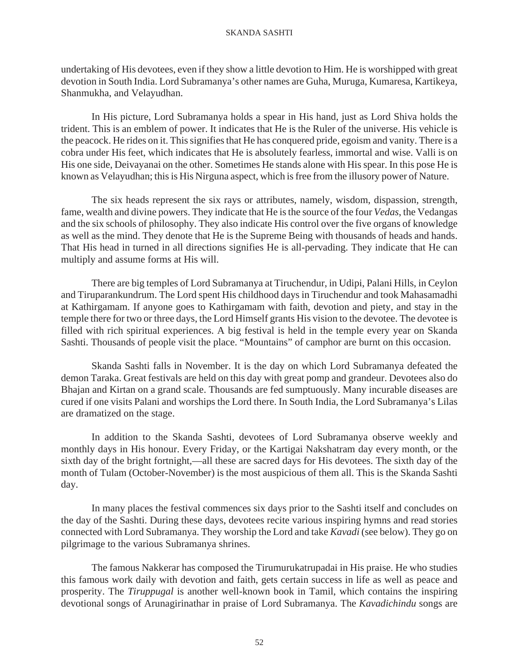undertaking of His devotees, even if they show a little devotion to Him. He is worshipped with great devotion in South India. Lord Subramanya's other names are Guha, Muruga, Kumaresa, Kartikeya, Shanmukha, and Velayudhan.

In His picture, Lord Subramanya holds a spear in His hand, just as Lord Shiva holds the trident. This is an emblem of power. It indicates that He is the Ruler of the universe. His vehicle is the peacock. He rides on it. This signifies that He has conquered pride, egoism and vanity. There is a cobra under His feet, which indicates that He is absolutely fearless, immortal and wise. Valli is on His one side, Deivayanai on the other. Sometimes He stands alone with His spear. In this pose He is known as Velayudhan; this is His Nirguna aspect, which is free from the illusory power of Nature.

The six heads represent the six rays or attributes, namely, wisdom, dispassion, strength, fame, wealth and divine powers. They indicate that He is the source of the four *Vedas*, the Vedangas and the six schools of philosophy. They also indicate His control over the five organs of knowledge as well as the mind. They denote that He is the Supreme Being with thousands of heads and hands. That His head in turned in all directions signifies He is all-pervading. They indicate that He can multiply and assume forms at His will.

There are big temples of Lord Subramanya at Tiruchendur, in Udipi, Palani Hills, in Ceylon and Tiruparankundrum. The Lord spent His childhood days in Tiruchendur and took Mahasamadhi at Kathirgamam. If anyone goes to Kathirgamam with faith, devotion and piety, and stay in the temple there for two or three days, the Lord Himself grants His vision to the devotee. The devotee is filled with rich spiritual experiences. A big festival is held in the temple every year on Skanda Sashti. Thousands of people visit the place. "Mountains" of camphor are burnt on this occasion.

Skanda Sashti falls in November. It is the day on which Lord Subramanya defeated the demon Taraka. Great festivals are held on this day with great pomp and grandeur. Devotees also do Bhajan and Kirtan on a grand scale. Thousands are fed sumptuously. Many incurable diseases are cured if one visits Palani and worships the Lord there. In South India, the Lord Subramanya's Lilas are dramatized on the stage.

In addition to the Skanda Sashti, devotees of Lord Subramanya observe weekly and monthly days in His honour. Every Friday, or the Kartigai Nakshatram day every month, or the sixth day of the bright fortnight,—all these are sacred days for His devotees. The sixth day of the month of Tulam (October-November) is the most auspicious of them all. This is the Skanda Sashti day.

In many places the festival commences six days prior to the Sashti itself and concludes on the day of the Sashti. During these days, devotees recite various inspiring hymns and read stories connected with Lord Subramanya. They worship the Lord and take *Kavadi* (see below). They go on pilgrimage to the various Subramanya shrines.

The famous Nakkerar has composed the Tirumurukatrupadai in His praise. He who studies this famous work daily with devotion and faith, gets certain success in life as well as peace and prosperity. The *Tiruppugal* is another well-known book in Tamil, which contains the inspiring devotional songs of Arunagirinathar in praise of Lord Subramanya. The *Kavadichindu* songs are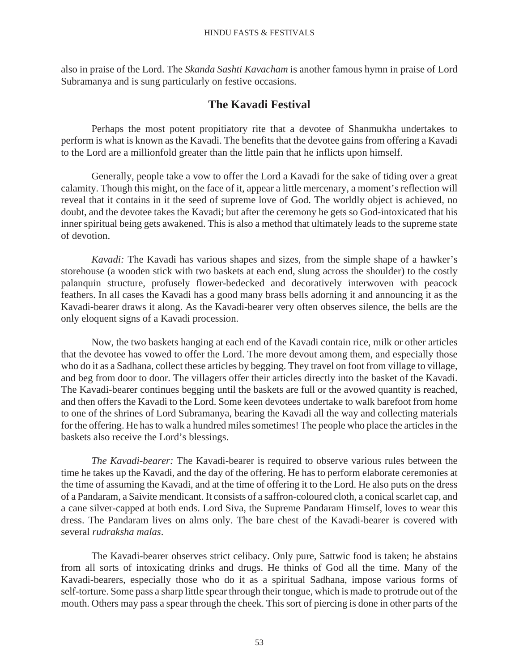also in praise of the Lord. The *Skanda Sashti Kavacham* is another famous hymn in praise of Lord Subramanya and is sung particularly on festive occasions.

## **The Kavadi Festival**

Perhaps the most potent propitiatory rite that a devotee of Shanmukha undertakes to perform is what is known as the Kavadi. The benefits that the devotee gains from offering a Kavadi to the Lord are a millionfold greater than the little pain that he inflicts upon himself.

Generally, people take a vow to offer the Lord a Kavadi for the sake of tiding over a great calamity. Though this might, on the face of it, appear a little mercenary, a moment's reflection will reveal that it contains in it the seed of supreme love of God. The worldly object is achieved, no doubt, and the devotee takes the Kavadi; but after the ceremony he gets so God-intoxicated that his inner spiritual being gets awakened. This is also a method that ultimately leads to the supreme state of devotion.

*Kavadi:* The Kavadi has various shapes and sizes, from the simple shape of a hawker's storehouse (a wooden stick with two baskets at each end, slung across the shoulder) to the costly palanquin structure, profusely flower-bedecked and decoratively interwoven with peacock feathers. In all cases the Kavadi has a good many brass bells adorning it and announcing it as the Kavadi-bearer draws it along. As the Kavadi-bearer very often observes silence, the bells are the only eloquent signs of a Kavadi procession.

Now, the two baskets hanging at each end of the Kavadi contain rice, milk or other articles that the devotee has vowed to offer the Lord. The more devout among them, and especially those who do it as a Sadhana, collect these articles by begging. They travel on foot from village to village, and beg from door to door. The villagers offer their articles directly into the basket of the Kavadi. The Kavadi-bearer continues begging until the baskets are full or the avowed quantity is reached, and then offers the Kavadi to the Lord. Some keen devotees undertake to walk barefoot from home to one of the shrines of Lord Subramanya, bearing the Kavadi all the way and collecting materials for the offering. He has to walk a hundred miles sometimes! The people who place the articles in the baskets also receive the Lord's blessings.

*The Kavadi-bearer:* The Kavadi-bearer is required to observe various rules between the time he takes up the Kavadi, and the day of the offering. He has to perform elaborate ceremonies at the time of assuming the Kavadi, and at the time of offering it to the Lord. He also puts on the dress of a Pandaram, a Saivite mendicant. It consists of a saffron-coloured cloth, a conical scarlet cap, and a cane silver-capped at both ends. Lord Siva, the Supreme Pandaram Himself, loves to wear this dress. The Pandaram lives on alms only. The bare chest of the Kavadi-bearer is covered with several *rudraksha malas*.

The Kavadi-bearer observes strict celibacy. Only pure, Sattwic food is taken; he abstains from all sorts of intoxicating drinks and drugs. He thinks of God all the time. Many of the Kavadi-bearers, especially those who do it as a spiritual Sadhana, impose various forms of self-torture. Some pass a sharp little spear through their tongue, which is made to protrude out of the mouth. Others may pass a spear through the cheek. This sort of piercing is done in other parts of the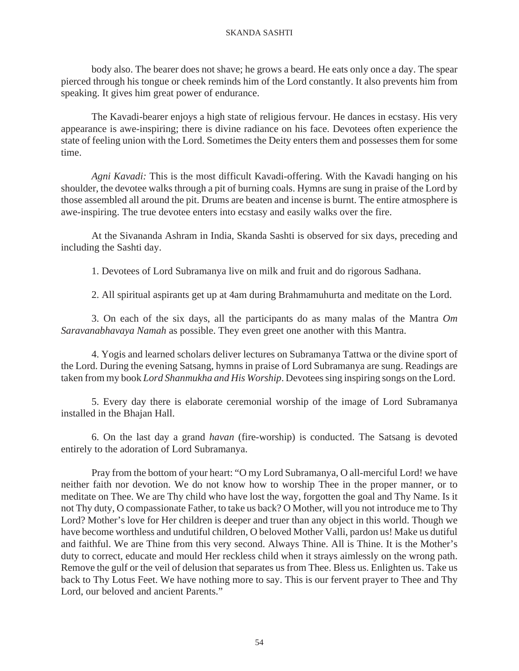body also. The bearer does not shave; he grows a beard. He eats only once a day. The spear pierced through his tongue or cheek reminds him of the Lord constantly. It also prevents him from speaking. It gives him great power of endurance.

The Kavadi-bearer enjoys a high state of religious fervour. He dances in ecstasy. His very appearance is awe-inspiring; there is divine radiance on his face. Devotees often experience the state of feeling union with the Lord. Sometimes the Deity enters them and possesses them for some time.

*Agni Kavadi:* This is the most difficult Kavadi-offering. With the Kavadi hanging on his shoulder, the devotee walks through a pit of burning coals. Hymns are sung in praise of the Lord by those assembled all around the pit. Drums are beaten and incense is burnt. The entire atmosphere is awe-inspiring. The true devotee enters into ecstasy and easily walks over the fire.

At the Sivananda Ashram in India, Skanda Sashti is observed for six days, preceding and including the Sashti day.

1. Devotees of Lord Subramanya live on milk and fruit and do rigorous Sadhana.

2. All spiritual aspirants get up at 4am during Brahmamuhurta and meditate on the Lord.

3. On each of the six days, all the participants do as many malas of the Mantra *Om Saravanabhavaya Namah* as possible. They even greet one another with this Mantra.

4. Yogis and learned scholars deliver lectures on Subramanya Tattwa or the divine sport of the Lord. During the evening Satsang, hymns in praise of Lord Subramanya are sung. Readings are taken from my book *Lord Shanmukha and His Worship*. Devotees sing inspiring songs on the Lord.

5. Every day there is elaborate ceremonial worship of the image of Lord Subramanya installed in the Bhajan Hall.

6. On the last day a grand *havan* (fire-worship) is conducted. The Satsang is devoted entirely to the adoration of Lord Subramanya.

Pray from the bottom of your heart: "O my Lord Subramanya, O all-merciful Lord! we have neither faith nor devotion. We do not know how to worship Thee in the proper manner, or to meditate on Thee. We are Thy child who have lost the way, forgotten the goal and Thy Name. Is it not Thy duty, O compassionate Father, to take us back? O Mother, will you not introduce me to Thy Lord? Mother's love for Her children is deeper and truer than any object in this world. Though we have become worthless and undutiful children, O beloved Mother Valli, pardon us! Make us dutiful and faithful. We are Thine from this very second. Always Thine. All is Thine. It is the Mother's duty to correct, educate and mould Her reckless child when it strays aimlessly on the wrong path. Remove the gulf or the veil of delusion that separates us from Thee. Bless us. Enlighten us. Take us back to Thy Lotus Feet. We have nothing more to say. This is our fervent prayer to Thee and Thy Lord, our beloved and ancient Parents."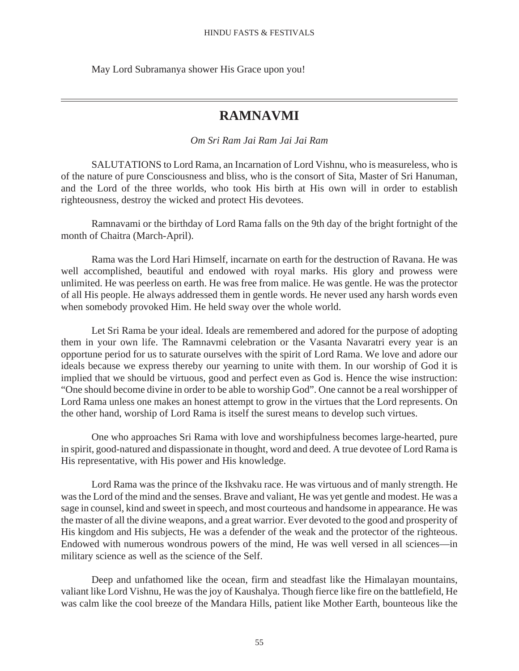May Lord Subramanya shower His Grace upon you!

## **RAMNAVMI**

*Om Sri Ram Jai Ram Jai Jai Ram*

SALUTATIONS to Lord Rama, an Incarnation of Lord Vishnu, who is measureless, who is of the nature of pure Consciousness and bliss, who is the consort of Sita, Master of Sri Hanuman, and the Lord of the three worlds, who took His birth at His own will in order to establish righteousness, destroy the wicked and protect His devotees.

Ramnavami or the birthday of Lord Rama falls on the 9th day of the bright fortnight of the month of Chaitra (March-April).

Rama was the Lord Hari Himself, incarnate on earth for the destruction of Ravana. He was well accomplished, beautiful and endowed with royal marks. His glory and prowess were unlimited. He was peerless on earth. He was free from malice. He was gentle. He was the protector of all His people. He always addressed them in gentle words. He never used any harsh words even when somebody provoked Him. He held sway over the whole world.

Let Sri Rama be your ideal. Ideals are remembered and adored for the purpose of adopting them in your own life. The Ramnavmi celebration or the Vasanta Navaratri every year is an opportune period for us to saturate ourselves with the spirit of Lord Rama. We love and adore our ideals because we express thereby our yearning to unite with them. In our worship of God it is implied that we should be virtuous, good and perfect even as God is. Hence the wise instruction: "One should become divine in order to be able to worship God". One cannot be a real worshipper of Lord Rama unless one makes an honest attempt to grow in the virtues that the Lord represents. On the other hand, worship of Lord Rama is itself the surest means to develop such virtues.

One who approaches Sri Rama with love and worshipfulness becomes large-hearted, pure in spirit, good-natured and dispassionate in thought, word and deed. A true devotee of Lord Rama is His representative, with His power and His knowledge.

Lord Rama was the prince of the Ikshvaku race. He was virtuous and of manly strength. He was the Lord of the mind and the senses. Brave and valiant, He was yet gentle and modest. He was a sage in counsel, kind and sweet in speech, and most courteous and handsome in appearance. He was the master of all the divine weapons, and a great warrior. Ever devoted to the good and prosperity of His kingdom and His subjects, He was a defender of the weak and the protector of the righteous. Endowed with numerous wondrous powers of the mind, He was well versed in all sciences—in military science as well as the science of the Self.

Deep and unfathomed like the ocean, firm and steadfast like the Himalayan mountains, valiant like Lord Vishnu, He was the joy of Kaushalya. Though fierce like fire on the battlefield, He was calm like the cool breeze of the Mandara Hills, patient like Mother Earth, bounteous like the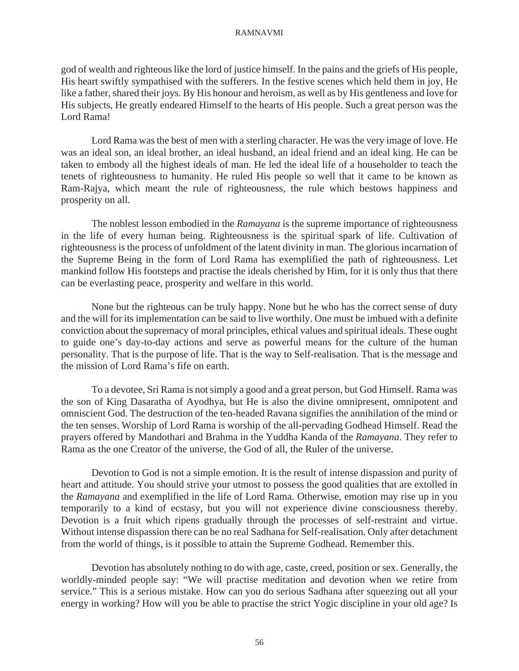#### RAMNAVMI

god of wealth and righteous like the lord of justice himself. In the pains and the griefs of His people, His heart swiftly sympathised with the sufferers. In the festive scenes which held them in joy, He like a father, shared their joys. By His honour and heroism, as well as by His gentleness and love for His subjects, He greatly endeared Himself to the hearts of His people. Such a great person was the Lord Rama!

Lord Rama was the best of men with a sterling character. He was the very image of love. He was an ideal son, an ideal brother, an ideal husband, an ideal friend and an ideal king. He can be taken to embody all the highest ideals of man. He led the ideal life of a householder to teach the tenets of righteousness to humanity. He ruled His people so well that it came to be known as Ram-Rajya, which meant the rule of righteousness, the rule which bestows happiness and prosperity on all.

The noblest lesson embodied in the *Ramayana* is the supreme importance of righteousness in the life of every human being. Righteousness is the spiritual spark of life. Cultivation of righteousness is the process of unfoldment of the latent divinity in man. The glorious incarnation of the Supreme Being in the form of Lord Rama has exemplified the path of righteousness. Let mankind follow His footsteps and practise the ideals cherished by Him, for it is only thus that there can be everlasting peace, prosperity and welfare in this world.

None but the righteous can be truly happy. None but he who has the correct sense of duty and the will for its implementation can be said to live worthily. One must be imbued with a definite conviction about the supremacy of moral principles, ethical values and spiritual ideals. These ought to guide one's day-to-day actions and serve as powerful means for the culture of the human personality. That is the purpose of life. That is the way to Self-realisation. That is the message and the mission of Lord Rama's fife on earth.

To a devotee, Sri Rama is not simply a good and a great person, but God Himself. Rama was the son of King Dasaratha of Ayodhya, but He is also the divine omnipresent, omnipotent and omniscient God. The destruction of the ten-headed Ravana signifies the annihilation of the mind or the ten senses. Worship of Lord Rama is worship of the all-pervading Godhead Himself. Read the prayers offered by Mandothari and Brahma in the Yuddha Kanda of the *Ramayana*. They refer to Rama as the one Creator of the universe, the God of all, the Ruler of the universe.

Devotion to God is not a simple emotion. It is the result of intense dispassion and purity of heart and attitude. You should strive your utmost to possess the good qualities that are extolled in the *Ramayana* and exemplified in the life of Lord Rama. Otherwise, emotion may rise up in you temporarily to a kind of ecstasy, but you will not experience divine consciousness thereby. Devotion is a fruit which ripens gradually through the processes of self-restraint and virtue. Without intense dispassion there can be no real Sadhana for Self-realisation. Only after detachment from the world of things, is it possible to attain the Supreme Godhead. Remember this.

Devotion has absolutely nothing to do with age, caste, creed, position or sex. Generally, the worldly-minded people say: "We will practise meditation and devotion when we retire from service." This is a serious mistake. How can you do serious Sadhana after squeezing out all your energy in working? How will you be able to practise the strict Yogic discipline in your old age? Is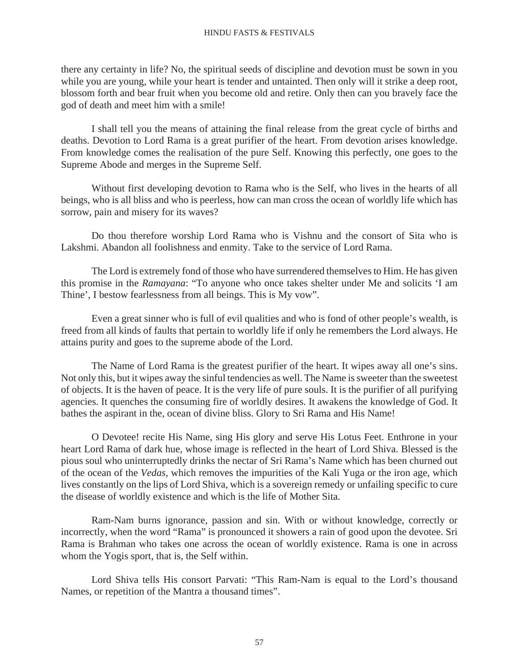there any certainty in life? No, the spiritual seeds of discipline and devotion must be sown in you while you are young, while your heart is tender and untainted. Then only will it strike a deep root, blossom forth and bear fruit when you become old and retire. Only then can you bravely face the god of death and meet him with a smile!

I shall tell you the means of attaining the final release from the great cycle of births and deaths. Devotion to Lord Rama is a great purifier of the heart. From devotion arises knowledge. From knowledge comes the realisation of the pure Self. Knowing this perfectly, one goes to the Supreme Abode and merges in the Supreme Self.

Without first developing devotion to Rama who is the Self, who lives in the hearts of all beings, who is all bliss and who is peerless, how can man cross the ocean of worldly life which has sorrow, pain and misery for its waves?

Do thou therefore worship Lord Rama who is Vishnu and the consort of Sita who is Lakshmi. Abandon all foolishness and enmity. Take to the service of Lord Rama.

The Lord is extremely fond of those who have surrendered themselves to Him. He has given this promise in the *Ramayana*: "To anyone who once takes shelter under Me and solicits 'I am Thine', I bestow fearlessness from all beings. This is My vow".

Even a great sinner who is full of evil qualities and who is fond of other people's wealth, is freed from all kinds of faults that pertain to worldly life if only he remembers the Lord always. He attains purity and goes to the supreme abode of the Lord.

The Name of Lord Rama is the greatest purifier of the heart. It wipes away all one's sins. Not only this, but it wipes away the sinful tendencies as well. The Name is sweeter than the sweetest of objects. It is the haven of peace. It is the very life of pure souls. It is the purifier of all purifying agencies. It quenches the consuming fire of worldly desires. It awakens the knowledge of God. It bathes the aspirant in the, ocean of divine bliss. Glory to Sri Rama and His Name!

O Devotee! recite His Name, sing His glory and serve His Lotus Feet. Enthrone in your heart Lord Rama of dark hue, whose image is reflected in the heart of Lord Shiva. Blessed is the pious soul who uninterruptedly drinks the nectar of Sri Rama's Name which has been churned out of the ocean of the *Vedas*, which removes the impurities of the Kali Yuga or the iron age, which lives constantly on the lips of Lord Shiva, which is a sovereign remedy or unfailing specific to cure the disease of worldly existence and which is the life of Mother Sita.

Ram-Nam burns ignorance, passion and sin. With or without knowledge, correctly or incorrectly, when the word "Rama" is pronounced it showers a rain of good upon the devotee. Sri Rama is Brahman who takes one across the ocean of worldly existence. Rama is one in across whom the Yogis sport, that is, the Self within.

Lord Shiva tells His consort Parvati: "This Ram-Nam is equal to the Lord's thousand Names, or repetition of the Mantra a thousand times".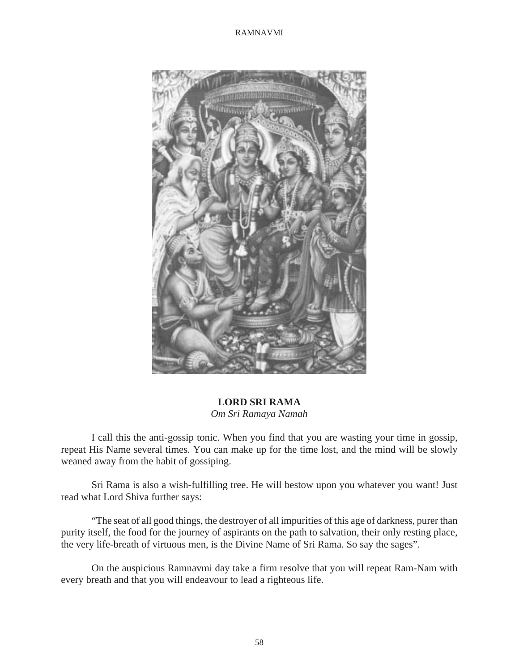

### **LORD SRI RAMA** *Om Sri Ramaya Namah*

I call this the anti-gossip tonic. When you find that you are wasting your time in gossip, repeat His Name several times. You can make up for the time lost, and the mind will be slowly weaned away from the habit of gossiping.

Sri Rama is also a wish-fulfilling tree. He will bestow upon you whatever you want! Just read what Lord Shiva further says:

"The seat of all good things, the destroyer of all impurities of this age of darkness, purer than purity itself, the food for the journey of aspirants on the path to salvation, their only resting place, the very life-breath of virtuous men, is the Divine Name of Sri Rama. So say the sages".

On the auspicious Ramnavmi day take a firm resolve that you will repeat Ram-Nam with every breath and that you will endeavour to lead a righteous life.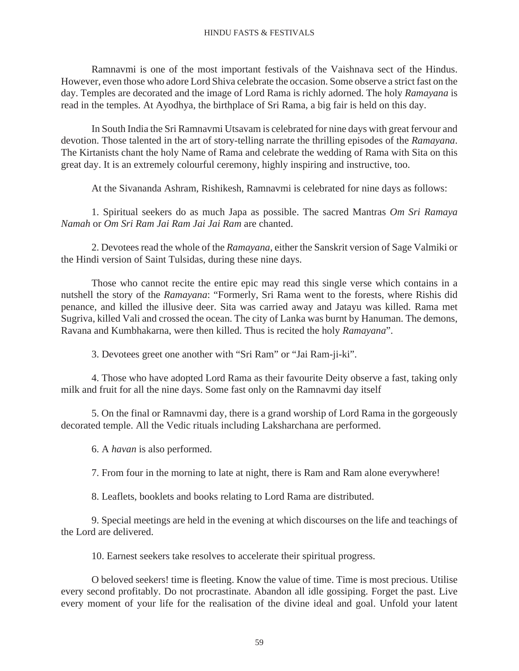Ramnavmi is one of the most important festivals of the Vaishnava sect of the Hindus. However, even those who adore Lord Shiva celebrate the occasion. Some observe a strict fast on the day. Temples are decorated and the image of Lord Rama is richly adorned. The holy *Ramayana* is read in the temples. At Ayodhya, the birthplace of Sri Rama, a big fair is held on this day.

In South India the Sri Ramnavmi Utsavam is celebrated for nine days with great fervour and devotion. Those talented in the art of story-telling narrate the thrilling episodes of the *Ramayana*. The Kirtanists chant the holy Name of Rama and celebrate the wedding of Rama with Sita on this great day. It is an extremely colourful ceremony, highly inspiring and instructive, too.

At the Sivananda Ashram, Rishikesh, Ramnavmi is celebrated for nine days as follows:

1. Spiritual seekers do as much Japa as possible. The sacred Mantras *Om Sri Ramaya Namah* or *Om Sri Ram Jai Ram Jai Jai Ram* are chanted.

2. Devotees read the whole of the *Ramayana*, either the Sanskrit version of Sage Valmiki or the Hindi version of Saint Tulsidas, during these nine days.

Those who cannot recite the entire epic may read this single verse which contains in a nutshell the story of the *Ramayana*: "Formerly, Sri Rama went to the forests, where Rishis did penance, and killed the illusive deer. Sita was carried away and Jatayu was killed. Rama met Sugriva, killed Vali and crossed the ocean. The city of Lanka was burnt by Hanuman. The demons, Ravana and Kumbhakarna, were then killed. Thus is recited the holy *Ramayana*".

3. Devotees greet one another with "Sri Ram" or "Jai Ram-ji-ki".

4. Those who have adopted Lord Rama as their favourite Deity observe a fast, taking only milk and fruit for all the nine days. Some fast only on the Ramnavmi day itself

5. On the final or Ramnavmi day, there is a grand worship of Lord Rama in the gorgeously decorated temple. All the Vedic rituals including Laksharchana are performed.

6. A *havan* is also performed.

7. From four in the morning to late at night, there is Ram and Ram alone everywhere!

8. Leaflets, booklets and books relating to Lord Rama are distributed.

9. Special meetings are held in the evening at which discourses on the life and teachings of the Lord are delivered.

10. Earnest seekers take resolves to accelerate their spiritual progress.

O beloved seekers! time is fleeting. Know the value of time. Time is most precious. Utilise every second profitably. Do not procrastinate. Abandon all idle gossiping. Forget the past. Live every moment of your life for the realisation of the divine ideal and goal. Unfold your latent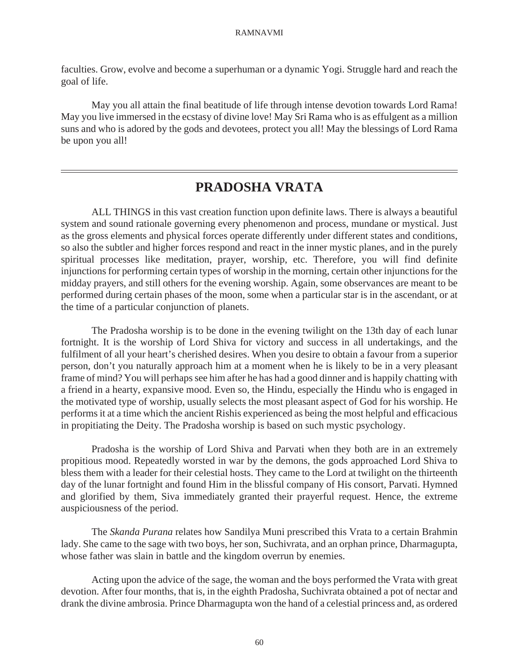faculties. Grow, evolve and become a superhuman or a dynamic Yogi. Struggle hard and reach the goal of life.

May you all attain the final beatitude of life through intense devotion towards Lord Rama! May you live immersed in the ecstasy of divine love! May Sri Rama who is as effulgent as a million suns and who is adored by the gods and devotees, protect you all! May the blessings of Lord Rama be upon you all!

## **PRADOSHA VRATA**

ALL THINGS in this vast creation function upon definite laws. There is always a beautiful system and sound rationale governing every phenomenon and process, mundane or mystical. Just as the gross elements and physical forces operate differently under different states and conditions, so also the subtler and higher forces respond and react in the inner mystic planes, and in the purely spiritual processes like meditation, prayer, worship, etc. Therefore, you will find definite injunctions for performing certain types of worship in the morning, certain other injunctions for the midday prayers, and still others for the evening worship. Again, some observances are meant to be performed during certain phases of the moon, some when a particular star is in the ascendant, or at the time of a particular conjunction of planets.

The Pradosha worship is to be done in the evening twilight on the 13th day of each lunar fortnight. It is the worship of Lord Shiva for victory and success in all undertakings, and the fulfilment of all your heart's cherished desires. When you desire to obtain a favour from a superior person, don't you naturally approach him at a moment when he is likely to be in a very pleasant frame of mind? You will perhaps see him after he has had a good dinner and is happily chatting with a friend in a hearty, expansive mood. Even so, the Hindu, especially the Hindu who is engaged in the motivated type of worship, usually selects the most pleasant aspect of God for his worship. He performs it at a time which the ancient Rishis experienced as being the most helpful and efficacious in propitiating the Deity. The Pradosha worship is based on such mystic psychology.

Pradosha is the worship of Lord Shiva and Parvati when they both are in an extremely propitious mood. Repeatedly worsted in war by the demons, the gods approached Lord Shiva to bless them with a leader for their celestial hosts. They came to the Lord at twilight on the thirteenth day of the lunar fortnight and found Him in the blissful company of His consort, Parvati. Hymned and glorified by them, Siva immediately granted their prayerful request. Hence, the extreme auspiciousness of the period.

The *Skanda Purana* relates how Sandilya Muni prescribed this Vrata to a certain Brahmin lady. She came to the sage with two boys, her son, Suchivrata, and an orphan prince, Dharmagupta, whose father was slain in battle and the kingdom overrun by enemies.

Acting upon the advice of the sage, the woman and the boys performed the Vrata with great devotion. After four months, that is, in the eighth Pradosha, Suchivrata obtained a pot of nectar and drank the divine ambrosia. Prince Dharmagupta won the hand of a celestial princess and, as ordered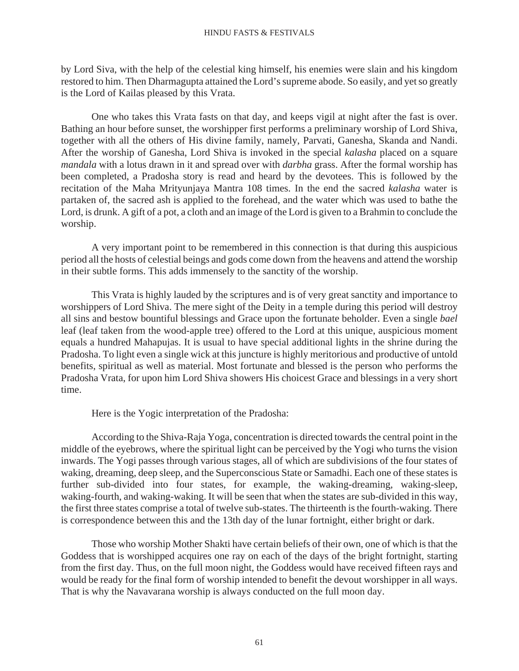by Lord Siva, with the help of the celestial king himself, his enemies were slain and his kingdom restored to him. Then Dharmagupta attained the Lord's supreme abode. So easily, and yet so greatly is the Lord of Kailas pleased by this Vrata.

One who takes this Vrata fasts on that day, and keeps vigil at night after the fast is over. Bathing an hour before sunset, the worshipper first performs a preliminary worship of Lord Shiva, together with all the others of His divine family, namely, Parvati, Ganesha, Skanda and Nandi. After the worship of Ganesha, Lord Shiva is invoked in the special *kalasha* placed on a square *mandala* with a lotus drawn in it and spread over with *darbha* grass. After the formal worship has been completed, a Pradosha story is read and heard by the devotees. This is followed by the recitation of the Maha Mrityunjaya Mantra 108 times. In the end the sacred *kalasha* water is partaken of, the sacred ash is applied to the forehead, and the water which was used to bathe the Lord, is drunk. A gift of a pot, a cloth and an image of the Lord is given to a Brahmin to conclude the worship.

A very important point to be remembered in this connection is that during this auspicious period all the hosts of celestial beings and gods come down from the heavens and attend the worship in their subtle forms. This adds immensely to the sanctity of the worship.

This Vrata is highly lauded by the scriptures and is of very great sanctity and importance to worshippers of Lord Shiva. The mere sight of the Deity in a temple during this period will destroy all sins and bestow bountiful blessings and Grace upon the fortunate beholder. Even a single *bael* leaf (leaf taken from the wood-apple tree) offered to the Lord at this unique, auspicious moment equals a hundred Mahapujas. It is usual to have special additional lights in the shrine during the Pradosha. To light even a single wick at this juncture is highly meritorious and productive of untold benefits, spiritual as well as material. Most fortunate and blessed is the person who performs the Pradosha Vrata, for upon him Lord Shiva showers His choicest Grace and blessings in a very short time.

Here is the Yogic interpretation of the Pradosha:

According to the Shiva-Raja Yoga, concentration is directed towards the central point in the middle of the eyebrows, where the spiritual light can be perceived by the Yogi who turns the vision inwards. The Yogi passes through various stages, all of which are subdivisions of the four states of waking, dreaming, deep sleep, and the Superconscious State or Samadhi. Each one of these states is further sub-divided into four states, for example, the waking-dreaming, waking-sleep, waking-fourth, and waking-waking. It will be seen that when the states are sub-divided in this way, the first three states comprise a total of twelve sub-states. The thirteenth is the fourth-waking. There is correspondence between this and the 13th day of the lunar fortnight, either bright or dark.

Those who worship Mother Shakti have certain beliefs of their own, one of which is that the Goddess that is worshipped acquires one ray on each of the days of the bright fortnight, starting from the first day. Thus, on the full moon night, the Goddess would have received fifteen rays and would be ready for the final form of worship intended to benefit the devout worshipper in all ways. That is why the Navavarana worship is always conducted on the full moon day.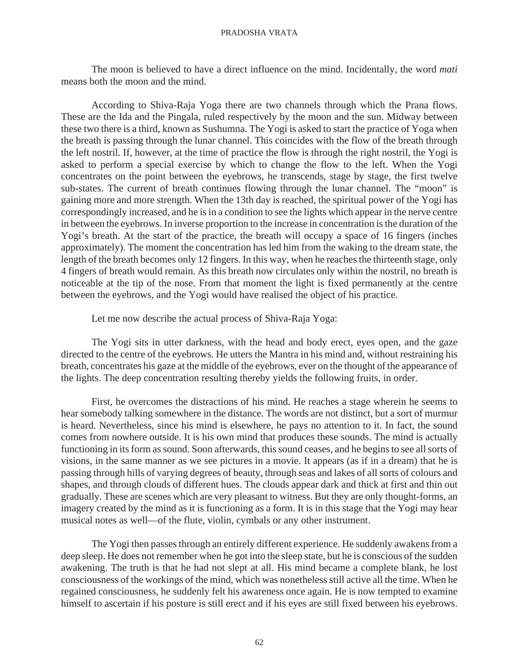The moon is believed to have a direct influence on the mind. Incidentally, the word *mati* means both the moon and the mind.

According to Shiva-Raja Yoga there are two channels through which the Prana flows. These are the Ida and the Pingala, ruled respectively by the moon and the sun. Midway between these two there is a third, known as Sushumna. The Yogi is asked to start the practice of Yoga when the breath is passing through the lunar channel. This coincides with the flow of the breath through the left nostril. If, however, at the time of practice the flow is through the right nostril, the Yogi is asked to perform a special exercise by which to change the flow to the left. When the Yogi concentrates on the point between the eyebrows, he transcends, stage by stage, the first twelve sub-states. The current of breath continues flowing through the lunar channel. The "moon" is gaining more and more strength. When the 13th day is reached, the spiritual power of the Yogi has correspondingly increased, and he is in a condition to see the lights which appear in the nerve centre in between the eyebrows. In inverse proportion to the increase in concentration is the duration of the Yogi's breath. At the start of the practice, the breath will occupy a space of 16 fingers (inches approximately). The moment the concentration has led him from the waking to the dream state, the length of the breath becomes only 12 fingers. In this way, when he reaches the thirteenth stage, only 4 fingers of breath would remain. As this breath now circulates only within the nostril, no breath is noticeable at the tip of the nose. From that moment the light is fixed permanently at the centre between the eyebrows, and the Yogi would have realised the object of his practice.

Let me now describe the actual process of Shiva-Raja Yoga:

The Yogi sits in utter darkness, with the head and body erect, eyes open, and the gaze directed to the centre of the eyebrows. He utters the Mantra in his mind and, without restraining his breath, concentrates his gaze at the middle of the eyebrows, ever on the thought of the appearance of the lights. The deep concentration resulting thereby yields the following fruits, in order.

First, he overcomes the distractions of his mind. He reaches a stage wherein he seems to hear somebody talking somewhere in the distance. The words are not distinct, but a sort of murmur is heard. Nevertheless, since his mind is elsewhere, he pays no attention to it. In fact, the sound comes from nowhere outside. It is his own mind that produces these sounds. The mind is actually functioning in its form as sound. Soon afterwards, this sound ceases, and he begins to see all sorts of visions, in the same manner as we see pictures in a movie. It appears (as if in a dream) that he is passing through hills of varying degrees of beauty, through seas and lakes of all sorts of colours and shapes, and through clouds of different hues. The clouds appear dark and thick at first and thin out gradually. These are scenes which are very pleasant to witness. But they are only thought-forms, an imagery created by the mind as it is functioning as a form. It is in this stage that the Yogi may hear musical notes as well—of the flute, violin, cymbals or any other instrument.

The Yogi then passes through an entirely different experience. He suddenly awakens from a deep sleep. He does not remember when he got into the sleep state, but he is conscious of the sudden awakening. The truth is that he had not slept at all. His mind became a complete blank, he lost consciousness of the workings of the mind, which was nonetheless still active all the time. When he regained consciousness, he suddenly felt his awareness once again. He is now tempted to examine himself to ascertain if his posture is still erect and if his eyes are still fixed between his eyebrows.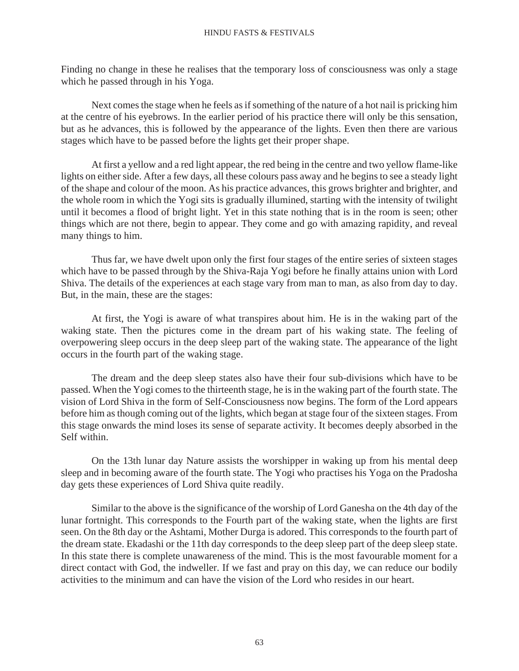Finding no change in these he realises that the temporary loss of consciousness was only a stage which he passed through in his Yoga.

Next comes the stage when he feels as if something of the nature of a hot nail is pricking him at the centre of his eyebrows. In the earlier period of his practice there will only be this sensation, but as he advances, this is followed by the appearance of the lights. Even then there are various stages which have to be passed before the lights get their proper shape.

At first a yellow and a red light appear, the red being in the centre and two yellow flame-like lights on either side. After a few days, all these colours pass away and he begins to see a steady light of the shape and colour of the moon. As his practice advances, this grows brighter and brighter, and the whole room in which the Yogi sits is gradually illumined, starting with the intensity of twilight until it becomes a flood of bright light. Yet in this state nothing that is in the room is seen; other things which are not there, begin to appear. They come and go with amazing rapidity, and reveal many things to him.

Thus far, we have dwelt upon only the first four stages of the entire series of sixteen stages which have to be passed through by the Shiva-Raja Yogi before he finally attains union with Lord Shiva. The details of the experiences at each stage vary from man to man, as also from day to day. But, in the main, these are the stages:

At first, the Yogi is aware of what transpires about him. He is in the waking part of the waking state. Then the pictures come in the dream part of his waking state. The feeling of overpowering sleep occurs in the deep sleep part of the waking state. The appearance of the light occurs in the fourth part of the waking stage.

The dream and the deep sleep states also have their four sub-divisions which have to be passed. When the Yogi comes to the thirteenth stage, he is in the waking part of the fourth state. The vision of Lord Shiva in the form of Self-Consciousness now begins. The form of the Lord appears before him as though coming out of the lights, which began at stage four of the sixteen stages. From this stage onwards the mind loses its sense of separate activity. It becomes deeply absorbed in the Self within.

On the 13th lunar day Nature assists the worshipper in waking up from his mental deep sleep and in becoming aware of the fourth state. The Yogi who practises his Yoga on the Pradosha day gets these experiences of Lord Shiva quite readily.

Similar to the above is the significance of the worship of Lord Ganesha on the 4th day of the lunar fortnight. This corresponds to the Fourth part of the waking state, when the lights are first seen. On the 8th day or the Ashtami, Mother Durga is adored. This corresponds to the fourth part of the dream state. Ekadashi or the 11th day corresponds to the deep sleep part of the deep sleep state. In this state there is complete unawareness of the mind. This is the most favourable moment for a direct contact with God, the indweller. If we fast and pray on this day, we can reduce our bodily activities to the minimum and can have the vision of the Lord who resides in our heart.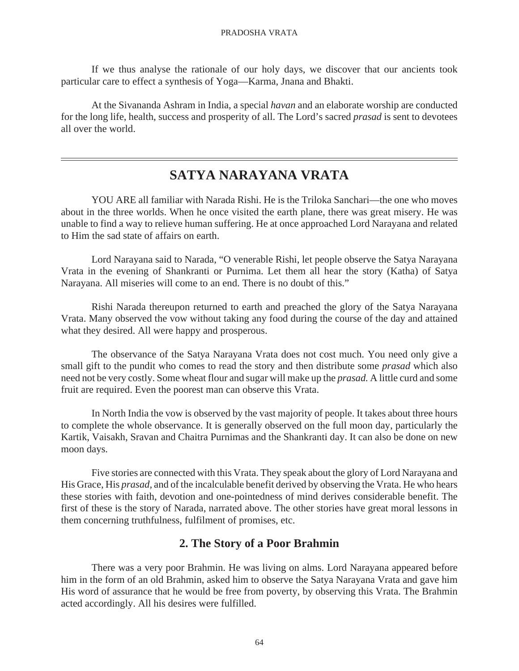If we thus analyse the rationale of our holy days, we discover that our ancients took particular care to effect a synthesis of Yoga—Karma, Jnana and Bhakti.

At the Sivananda Ashram in India, a special *havan* and an elaborate worship are conducted for the long life, health, success and prosperity of all. The Lord's sacred *prasad* is sent to devotees all over the world.

## **SATYA NARAYANA VRATA**

YOU ARE all familiar with Narada Rishi. He is the Triloka Sanchari—the one who moves about in the three worlds. When he once visited the earth plane, there was great misery. He was unable to find a way to relieve human suffering. He at once approached Lord Narayana and related to Him the sad state of affairs on earth.

Lord Narayana said to Narada, "O venerable Rishi, let people observe the Satya Narayana Vrata in the evening of Shankranti or Purnima. Let them all hear the story (Katha) of Satya Narayana. All miseries will come to an end. There is no doubt of this."

Rishi Narada thereupon returned to earth and preached the glory of the Satya Narayana Vrata. Many observed the vow without taking any food during the course of the day and attained what they desired. All were happy and prosperous.

The observance of the Satya Narayana Vrata does not cost much. You need only give a small gift to the pundit who comes to read the story and then distribute some *prasad* which also need not be very costly. Some wheat flour and sugar will make up the *prasad.* A little curd and some fruit are required. Even the poorest man can observe this Vrata.

In North India the vow is observed by the vast majority of people. It takes about three hours to complete the whole observance. It is generally observed on the full moon day, particularly the Kartik, Vaisakh, Sravan and Chaitra Purnimas and the Shankranti day. It can also be done on new moon days.

Five stories are connected with this Vrata. They speak about the glory of Lord Narayana and His Grace, His *prasad,* and of the incalculable benefit derived by observing the Vrata. He who hears these stories with faith, devotion and one-pointedness of mind derives considerable benefit. The first of these is the story of Narada, narrated above. The other stories have great moral lessons in them concerning truthfulness, fulfilment of promises, etc.

## **2. The Story of a Poor Brahmin**

There was a very poor Brahmin. He was living on alms. Lord Narayana appeared before him in the form of an old Brahmin, asked him to observe the Satya Narayana Vrata and gave him His word of assurance that he would be free from poverty, by observing this Vrata. The Brahmin acted accordingly. All his desires were fulfilled.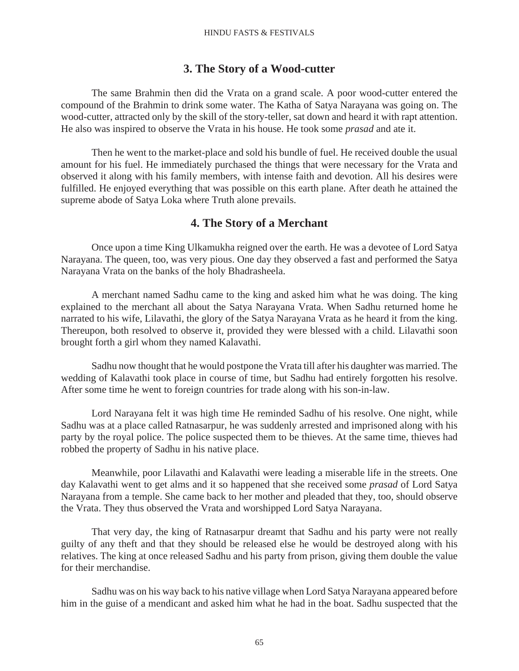## **3. The Story of a Wood-cutter**

The same Brahmin then did the Vrata on a grand scale. A poor wood-cutter entered the compound of the Brahmin to drink some water. The Katha of Satya Narayana was going on. The wood-cutter, attracted only by the skill of the story-teller, sat down and heard it with rapt attention. He also was inspired to observe the Vrata in his house. He took some *prasad* and ate it.

Then he went to the market-place and sold his bundle of fuel. He received double the usual amount for his fuel. He immediately purchased the things that were necessary for the Vrata and observed it along with his family members, with intense faith and devotion. All his desires were fulfilled. He enjoyed everything that was possible on this earth plane. After death he attained the supreme abode of Satya Loka where Truth alone prevails.

## **4. The Story of a Merchant**

Once upon a time King Ulkamukha reigned over the earth. He was a devotee of Lord Satya Narayana. The queen, too, was very pious. One day they observed a fast and performed the Satya Narayana Vrata on the banks of the holy Bhadrasheela.

A merchant named Sadhu came to the king and asked him what he was doing. The king explained to the merchant all about the Satya Narayana Vrata. When Sadhu returned home he narrated to his wife, Lilavathi, the glory of the Satya Narayana Vrata as he heard it from the king. Thereupon, both resolved to observe it, provided they were blessed with a child. Lilavathi soon brought forth a girl whom they named Kalavathi.

Sadhu now thought that he would postpone the Vrata till after his daughter was married. The wedding of Kalavathi took place in course of time, but Sadhu had entirely forgotten his resolve. After some time he went to foreign countries for trade along with his son-in-law.

Lord Narayana felt it was high time He reminded Sadhu of his resolve. One night, while Sadhu was at a place called Ratnasarpur, he was suddenly arrested and imprisoned along with his party by the royal police. The police suspected them to be thieves. At the same time, thieves had robbed the property of Sadhu in his native place.

Meanwhile, poor Lilavathi and Kalavathi were leading a miserable life in the streets. One day Kalavathi went to get alms and it so happened that she received some *prasad* of Lord Satya Narayana from a temple. She came back to her mother and pleaded that they, too, should observe the Vrata. They thus observed the Vrata and worshipped Lord Satya Narayana.

That very day, the king of Ratnasarpur dreamt that Sadhu and his party were not really guilty of any theft and that they should be released else he would be destroyed along with his relatives. The king at once released Sadhu and his party from prison, giving them double the value for their merchandise.

Sadhu was on his way back to his native village when Lord Satya Narayana appeared before him in the guise of a mendicant and asked him what he had in the boat. Sadhu suspected that the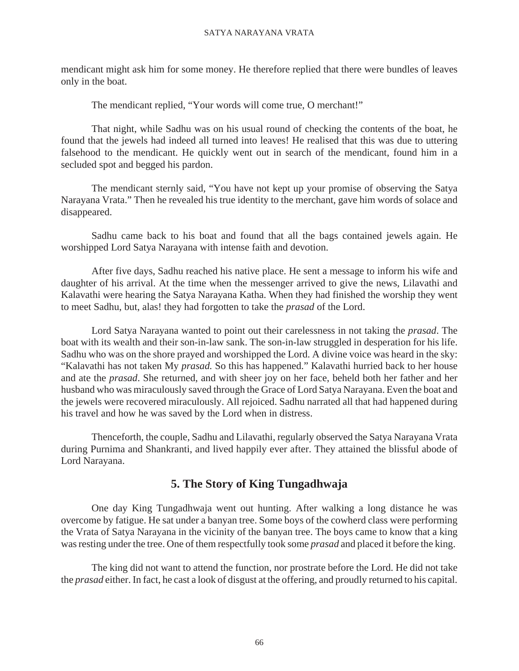mendicant might ask him for some money. He therefore replied that there were bundles of leaves only in the boat.

The mendicant replied, "Your words will come true, O merchant!"

That night, while Sadhu was on his usual round of checking the contents of the boat, he found that the jewels had indeed all turned into leaves! He realised that this was due to uttering falsehood to the mendicant. He quickly went out in search of the mendicant, found him in a secluded spot and begged his pardon.

The mendicant sternly said, "You have not kept up your promise of observing the Satya Narayana Vrata." Then he revealed his true identity to the merchant, gave him words of solace and disappeared.

Sadhu came back to his boat and found that all the bags contained jewels again. He worshipped Lord Satya Narayana with intense faith and devotion.

After five days, Sadhu reached his native place. He sent a message to inform his wife and daughter of his arrival. At the time when the messenger arrived to give the news, Lilavathi and Kalavathi were hearing the Satya Narayana Katha. When they had finished the worship they went to meet Sadhu, but, alas! they had forgotten to take the *prasad* of the Lord.

Lord Satya Narayana wanted to point out their carelessness in not taking the *prasad*. The boat with its wealth and their son-in-law sank. The son-in-law struggled in desperation for his life. Sadhu who was on the shore prayed and worshipped the Lord. A divine voice was heard in the sky: "Kalavathi has not taken My *prasad.* So this has happened." Kalavathi hurried back to her house and ate the *prasad*. She returned, and with sheer joy on her face, beheld both her father and her husband who was miraculously saved through the Grace of Lord Satya Narayana. Even the boat and the jewels were recovered miraculously. All rejoiced. Sadhu narrated all that had happened during his travel and how he was saved by the Lord when in distress.

Thenceforth, the couple, Sadhu and Lilavathi, regularly observed the Satya Narayana Vrata during Purnima and Shankranti, and lived happily ever after. They attained the blissful abode of Lord Narayana.

## **5. The Story of King Tungadhwaja**

One day King Tungadhwaja went out hunting. After walking a long distance he was overcome by fatigue. He sat under a banyan tree. Some boys of the cowherd class were performing the Vrata of Satya Narayana in the vicinity of the banyan tree. The boys came to know that a king was resting under the tree. One of them respectfully took some *prasad* and placed it before the king.

The king did not want to attend the function, nor prostrate before the Lord. He did not take the *prasad* either. In fact, he cast a look of disgust at the offering, and proudly returned to his capital.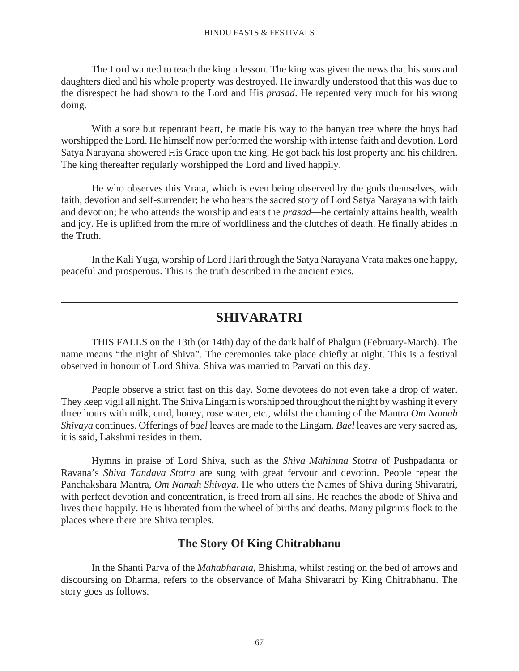The Lord wanted to teach the king a lesson. The king was given the news that his sons and daughters died and his whole property was destroyed. He inwardly understood that this was due to the disrespect he had shown to the Lord and His *prasad*. He repented very much for his wrong doing.

With a sore but repentant heart, he made his way to the banyan tree where the boys had worshipped the Lord. He himself now performed the worship with intense faith and devotion. Lord Satya Narayana showered His Grace upon the king. He got back his lost property and his children. The king thereafter regularly worshipped the Lord and lived happily.

He who observes this Vrata, which is even being observed by the gods themselves, with faith, devotion and self-surrender; he who hears the sacred story of Lord Satya Narayana with faith and devotion; he who attends the worship and eats the *prasad*—he certainly attains health, wealth and joy. He is uplifted from the mire of worldliness and the clutches of death. He finally abides in the Truth.

In the Kali Yuga, worship of Lord Hari through the Satya Narayana Vrata makes one happy, peaceful and prosperous. This is the truth described in the ancient epics.

# **SHIVARATRI**

THIS FALLS on the 13th (or 14th) day of the dark half of Phalgun (February-March). The name means "the night of Shiva". The ceremonies take place chiefly at night. This is a festival observed in honour of Lord Shiva. Shiva was married to Parvati on this day.

People observe a strict fast on this day. Some devotees do not even take a drop of water. They keep vigil all night. The Shiva Lingam is worshipped throughout the night by washing it every three hours with milk, curd, honey, rose water, etc., whilst the chanting of the Mantra *Om Namah Shivaya* continues. Offerings of *bael* leaves are made to the Lingam. *Bael* leaves are very sacred as, it is said, Lakshmi resides in them.

Hymns in praise of Lord Shiva, such as the *Shiva Mahimna Stotra* of Pushpadanta or Ravana's *Shiva Tandava Stotra* are sung with great fervour and devotion. People repeat the Panchakshara Mantra, *Om Namah Shivaya*. He who utters the Names of Shiva during Shivaratri, with perfect devotion and concentration, is freed from all sins. He reaches the abode of Shiva and lives there happily. He is liberated from the wheel of births and deaths. Many pilgrims flock to the places where there are Shiva temples.

## **The Story Of King Chitrabhanu**

In the Shanti Parva of the *Mahabharata*, Bhishma, whilst resting on the bed of arrows and discoursing on Dharma, refers to the observance of Maha Shivaratri by King Chitrabhanu. The story goes as follows.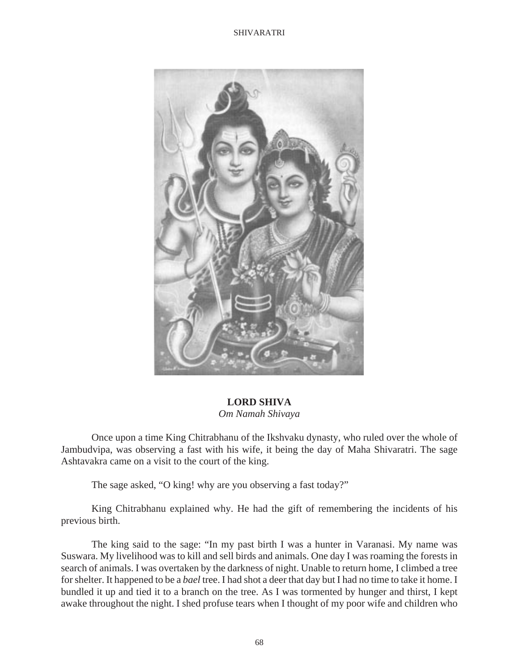

#### **LORD SHIVA**

#### *Om Namah Shivaya*

Once upon a time King Chitrabhanu of the Ikshvaku dynasty, who ruled over the whole of Jambudvipa, was observing a fast with his wife, it being the day of Maha Shivaratri. The sage Ashtavakra came on a visit to the court of the king.

The sage asked, "O king! why are you observing a fast today?"

King Chitrabhanu explained why. He had the gift of remembering the incidents of his previous birth.

The king said to the sage: "In my past birth I was a hunter in Varanasi. My name was Suswara. My livelihood was to kill and sell birds and animals. One day I was roaming the forests in search of animals. I was overtaken by the darkness of night. Unable to return home, I climbed a tree for shelter. It happened to be a *bael* tree. I had shot a deer that day but I had no time to take it home. I bundled it up and tied it to a branch on the tree. As I was tormented by hunger and thirst, I kept awake throughout the night. I shed profuse tears when I thought of my poor wife and children who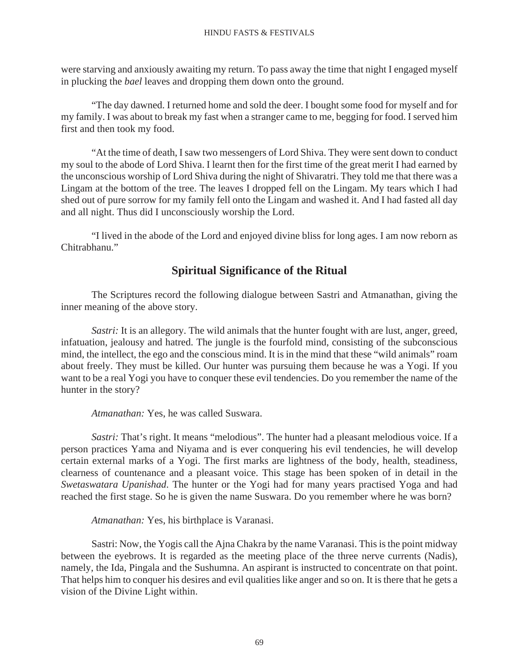were starving and anxiously awaiting my return. To pass away the time that night I engaged myself in plucking the *bael* leaves and dropping them down onto the ground.

"The day dawned. I returned home and sold the deer. I bought some food for myself and for my family. I was about to break my fast when a stranger came to me, begging for food. I served him first and then took my food.

"At the time of death, I saw two messengers of Lord Shiva. They were sent down to conduct my soul to the abode of Lord Shiva. I learnt then for the first time of the great merit I had earned by the unconscious worship of Lord Shiva during the night of Shivaratri. They told me that there was a Lingam at the bottom of the tree. The leaves I dropped fell on the Lingam. My tears which I had shed out of pure sorrow for my family fell onto the Lingam and washed it. And I had fasted all day and all night. Thus did I unconsciously worship the Lord.

"I lived in the abode of the Lord and enjoyed divine bliss for long ages. I am now reborn as Chitrabhanu."

# **Spiritual Significance of the Ritual**

The Scriptures record the following dialogue between Sastri and Atmanathan, giving the inner meaning of the above story.

*Sastri:* It is an allegory. The wild animals that the hunter fought with are lust, anger, greed, infatuation, jealousy and hatred. The jungle is the fourfold mind, consisting of the subconscious mind, the intellect, the ego and the conscious mind. It is in the mind that these "wild animals" roam about freely. They must be killed. Our hunter was pursuing them because he was a Yogi. If you want to be a real Yogi you have to conquer these evil tendencies. Do you remember the name of the hunter in the story?

*Atmanathan:* Yes, he was called Suswara.

*Sastri:* That's right. It means "melodious". The hunter had a pleasant melodious voice. If a person practices Yama and Niyama and is ever conquering his evil tendencies, he will develop certain external marks of a Yogi. The first marks are lightness of the body, health, steadiness, clearness of countenance and a pleasant voice. This stage has been spoken of in detail in the *Swetaswatara Upanishad*. The hunter or the Yogi had for many years practised Yoga and had reached the first stage. So he is given the name Suswara. Do you remember where he was born?

*Atmanathan:* Yes, his birthplace is Varanasi.

Sastri: Now, the Yogis call the Ajna Chakra by the name Varanasi. This is the point midway between the eyebrows. It is regarded as the meeting place of the three nerve currents (Nadis), namely, the Ida, Pingala and the Sushumna. An aspirant is instructed to concentrate on that point. That helps him to conquer his desires and evil qualities like anger and so on. It is there that he gets a vision of the Divine Light within.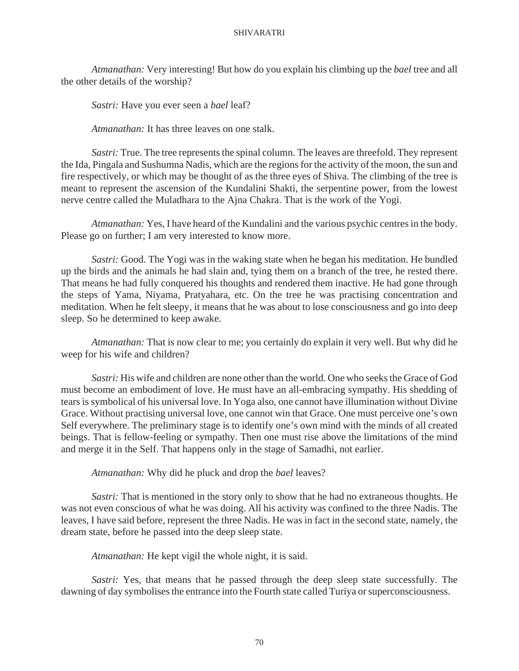*Atmanathan:* Very interesting! But how do you explain his climbing up the *bael* tree and all the other details of the worship?

*Sastri:* Have you ever seen a *bael* leaf?

*Atmanathan:* It has three leaves on one stalk.

*Sastri:* True. The tree represents the spinal column. The leaves are threefold. They represent the Ida, Pingala and Sushumna Nadis, which are the regions for the activity of the moon, the sun and fire respectively, or which may be thought of as the three eyes of Shiva. The climbing of the tree is meant to represent the ascension of the Kundalini Shakti, the serpentine power, from the lowest nerve centre called the Muladhara to the Ajna Chakra. That is the work of the Yogi.

*Atmanathan:* Yes, I have heard of the Kundalini and the various psychic centres in the body. Please go on further; I am very interested to know more.

*Sastri:* Good. The Yogi was in the waking state when he began his meditation. He bundled up the birds and the animals he had slain and, tying them on a branch of the tree, he rested there. That means he had fully conquered his thoughts and rendered them inactive. He had gone through the steps of Yama, Niyama, Pratyahara, etc. On the tree he was practising concentration and meditation. When he felt sleepy, it means that he was about to lose consciousness and go into deep sleep. So he determined to keep awake.

*Atmanathan:* That is now clear to me; you certainly do explain it very well. But why did he weep for his wife and children?

*Sastri:* His wife and children are none other than the world. One who seeks the Grace of God must become an embodiment of love. He must have an all-embracing sympathy. His shedding of tears is symbolical of his universal love. In Yoga also, one cannot have illumination without Divine Grace. Without practising universal love, one cannot win that Grace. One must perceive one's own Self everywhere. The preliminary stage is to identify one's own mind with the minds of all created beings. That is fellow-feeling or sympathy. Then one must rise above the limitations of the mind and merge it in the Self. That happens only in the stage of Samadhi, not earlier.

*Atmanathan:* Why did he pluck and drop the *bael* leaves?

*Sastri:* That is mentioned in the story only to show that he had no extraneous thoughts. He was not even conscious of what he was doing. All his activity was confined to the three Nadis. The leaves, I have said before, represent the three Nadis. He was in fact in the second state, namely, the dream state, before he passed into the deep sleep state.

*Atmanathan:* He kept vigil the whole night, it is said.

*Sastri:* Yes, that means that he passed through the deep sleep state successfully. The dawning of day symbolises the entrance into the Fourth state called Turiya or superconsciousness.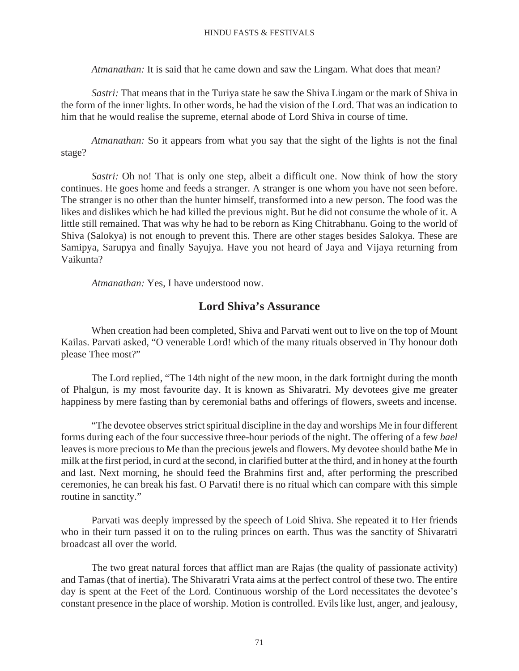#### HINDU FASTS & FESTIVALS

*Atmanathan:* It is said that he came down and saw the Lingam. What does that mean?

*Sastri:* That means that in the Turiya state he saw the Shiva Lingam or the mark of Shiva in the form of the inner lights. In other words, he had the vision of the Lord. That was an indication to him that he would realise the supreme, eternal abode of Lord Shiva in course of time.

*Atmanathan:* So it appears from what you say that the sight of the lights is not the final stage?

*Sastri:* Oh no! That is only one step, albeit a difficult one. Now think of how the story continues. He goes home and feeds a stranger. A stranger is one whom you have not seen before. The stranger is no other than the hunter himself, transformed into a new person. The food was the likes and dislikes which he had killed the previous night. But he did not consume the whole of it. A little still remained. That was why he had to be reborn as King Chitrabhanu. Going to the world of Shiva (Salokya) is not enough to prevent this. There are other stages besides Salokya. These are Samipya, Sarupya and finally Sayujya. Have you not heard of Jaya and Vijaya returning from Vaikunta?

*Atmanathan:* Yes, I have understood now.

### **Lord Shiva's Assurance**

When creation had been completed, Shiva and Parvati went out to live on the top of Mount Kailas. Parvati asked, "O venerable Lord! which of the many rituals observed in Thy honour doth please Thee most?"

The Lord replied, "The 14th night of the new moon, in the dark fortnight during the month of Phalgun, is my most favourite day. It is known as Shivaratri. My devotees give me greater happiness by mere fasting than by ceremonial baths and offerings of flowers, sweets and incense.

"The devotee observes strict spiritual discipline in the day and worships Me in four different forms during each of the four successive three-hour periods of the night. The offering of a few *bael* leaves is more precious to Me than the precious jewels and flowers. My devotee should bathe Me in milk at the first period, in curd at the second, in clarified butter at the third, and in honey at the fourth and last. Next morning, he should feed the Brahmins first and, after performing the prescribed ceremonies, he can break his fast. O Parvati! there is no ritual which can compare with this simple routine in sanctity."

Parvati was deeply impressed by the speech of Loid Shiva. She repeated it to Her friends who in their turn passed it on to the ruling princes on earth. Thus was the sanctity of Shivaratri broadcast all over the world.

The two great natural forces that afflict man are Rajas (the quality of passionate activity) and Tamas (that of inertia). The Shivaratri Vrata aims at the perfect control of these two. The entire day is spent at the Feet of the Lord. Continuous worship of the Lord necessitates the devotee's constant presence in the place of worship. Motion is controlled. Evils like lust, anger, and jealousy,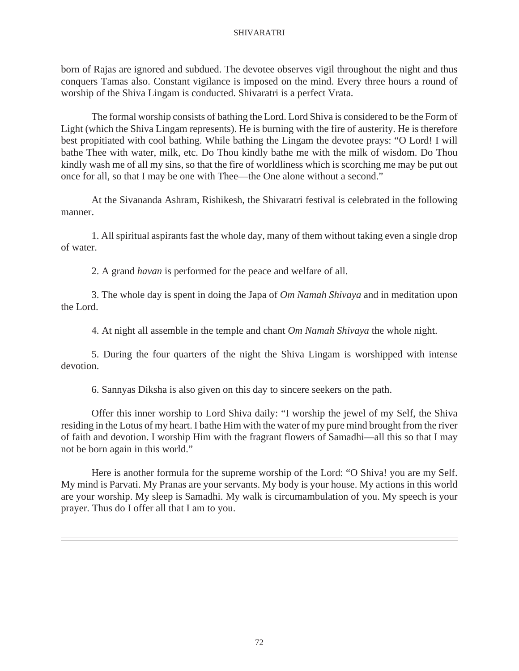born of Rajas are ignored and subdued. The devotee observes vigil throughout the night and thus conquers Tamas also. Constant vigilance is imposed on the mind. Every three hours a round of worship of the Shiva Lingam is conducted. Shivaratri is a perfect Vrata.

The formal worship consists of bathing the Lord. Lord Shiva is considered to be the Form of Light (which the Shiva Lingam represents). He is burning with the fire of austerity. He is therefore best propitiated with cool bathing. While bathing the Lingam the devotee prays: "O Lord! I will bathe Thee with water, milk, etc. Do Thou kindly bathe me with the milk of wisdom. Do Thou kindly wash me of all my sins, so that the fire of worldliness which is scorching me may be put out once for all, so that I may be one with Thee—the One alone without a second."

At the Sivananda Ashram, Rishikesh, the Shivaratri festival is celebrated in the following manner.

1. All spiritual aspirants fast the whole day, many of them without taking even a single drop of water.

2. A grand *havan* is performed for the peace and welfare of all.

3. The whole day is spent in doing the Japa of *Om Namah Shivaya* and in meditation upon the Lord.

4. At night all assemble in the temple and chant *Om Namah Shivaya* the whole night.

5. During the four quarters of the night the Shiva Lingam is worshipped with intense devotion.

6. Sannyas Diksha is also given on this day to sincere seekers on the path.

Offer this inner worship to Lord Shiva daily: "I worship the jewel of my Self, the Shiva residing in the Lotus of my heart. I bathe Him with the water of my pure mind brought from the river of faith and devotion. I worship Him with the fragrant flowers of Samadhi—all this so that I may not be born again in this world."

Here is another formula for the supreme worship of the Lord: "O Shiva! you are my Self. My mind is Parvati. My Pranas are your servants. My body is your house. My actions in this world are your worship. My sleep is Samadhi. My walk is circumambulation of you. My speech is your prayer. Thus do I offer all that I am to you.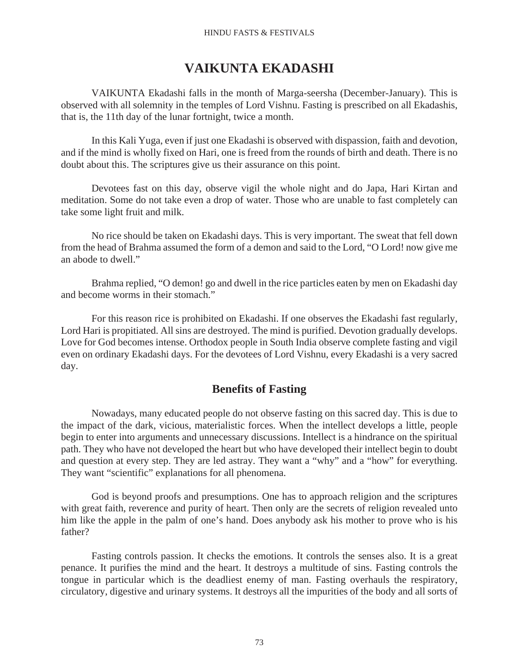# **VAIKUNTA EKADASHI**

VAIKUNTA Ekadashi falls in the month of Marga-seersha (December-January). This is observed with all solemnity in the temples of Lord Vishnu. Fasting is prescribed on all Ekadashis, that is, the 11th day of the lunar fortnight, twice a month.

In this Kali Yuga, even if just one Ekadashi is observed with dispassion, faith and devotion, and if the mind is wholly fixed on Hari, one is freed from the rounds of birth and death. There is no doubt about this. The scriptures give us their assurance on this point.

Devotees fast on this day, observe vigil the whole night and do Japa, Hari Kirtan and meditation. Some do not take even a drop of water. Those who are unable to fast completely can take some light fruit and milk.

No rice should be taken on Ekadashi days. This is very important. The sweat that fell down from the head of Brahma assumed the form of a demon and said to the Lord, "O Lord! now give me an abode to dwell."

Brahma replied, "O demon! go and dwell in the rice particles eaten by men on Ekadashi day and become worms in their stomach."

For this reason rice is prohibited on Ekadashi. If one observes the Ekadashi fast regularly, Lord Hari is propitiated. All sins are destroyed. The mind is purified. Devotion gradually develops. Love for God becomes intense. Orthodox people in South India observe complete fasting and vigil even on ordinary Ekadashi days. For the devotees of Lord Vishnu, every Ekadashi is a very sacred day.

# **Benefits of Fasting**

Nowadays, many educated people do not observe fasting on this sacred day. This is due to the impact of the dark, vicious, materialistic forces. When the intellect develops a little, people begin to enter into arguments and unnecessary discussions. Intellect is a hindrance on the spiritual path. They who have not developed the heart but who have developed their intellect begin to doubt and question at every step. They are led astray. They want a "why" and a "how" for everything. They want "scientific" explanations for all phenomena.

God is beyond proofs and presumptions. One has to approach religion and the scriptures with great faith, reverence and purity of heart. Then only are the secrets of religion revealed unto him like the apple in the palm of one's hand. Does anybody ask his mother to prove who is his father?

Fasting controls passion. It checks the emotions. It controls the senses also. It is a great penance. It purifies the mind and the heart. It destroys a multitude of sins. Fasting controls the tongue in particular which is the deadliest enemy of man. Fasting overhauls the respiratory, circulatory, digestive and urinary systems. It destroys all the impurities of the body and all sorts of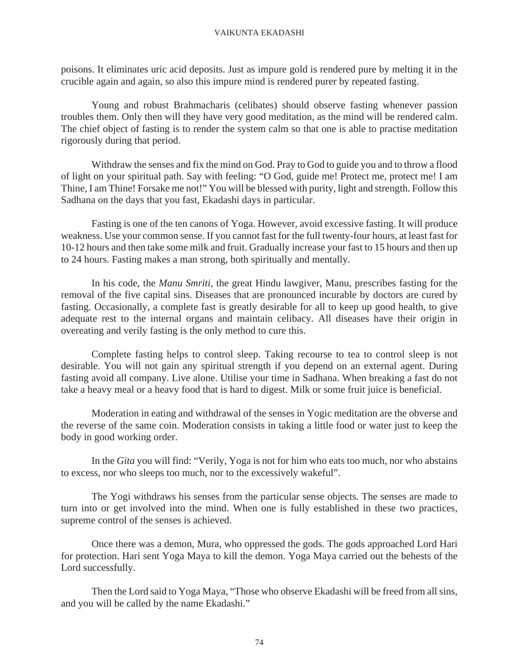#### VAIKUNTA EKADASHI

poisons. It eliminates uric acid deposits. Just as impure gold is rendered pure by melting it in the crucible again and again, so also this impure mind is rendered purer by repeated fasting.

Young and robust Brahmacharis (celibates) should observe fasting whenever passion troubles them. Only then will they have very good meditation, as the mind will be rendered calm. The chief object of fasting is to render the system calm so that one is able to practise meditation rigorously during that period.

Withdraw the senses and fix the mind on God. Pray to God to guide you and to throw a flood of light on your spiritual path. Say with feeling: "O God, guide me! Protect me, protect me! I am Thine, I am Thine! Forsake me not!" You will be blessed with purity, light and strength. Follow this Sadhana on the days that you fast, Ekadashi days in particular.

Fasting is one of the ten canons of Yoga. However, avoid excessive fasting. It will produce weakness. Use your common sense. If you cannot fast for the full twenty-four hours, at least fast for 10-12 hours and then take some milk and fruit. Gradually increase your fast to 15 hours and then up to 24 hours. Fasting makes a man strong, both spiritually and mentally.

In his code, the *Manu Smriti,* the great Hindu lawgiver, Manu, prescribes fasting for the removal of the five capital sins. Diseases that are pronounced incurable by doctors are cured by fasting. Occasionally, a complete fast is greatly desirable for all to keep up good health, to give adequate rest to the internal organs and maintain celibacy. All diseases have their origin in overeating and verily fasting is the only method to cure this.

Complete fasting helps to control sleep. Taking recourse to tea to control sleep is not desirable. You will not gain any spiritual strength if you depend on an external agent. During fasting avoid all company. Live alone. Utilise your time in Sadhana. When breaking a fast do not take a heavy meal or a heavy food that is hard to digest. Milk or some fruit juice is beneficial.

Moderation in eating and withdrawal of the senses in Yogic meditation are the obverse and the reverse of the same coin. Moderation consists in taking a little food or water just to keep the body in good working order.

In the *Gita* you will find: "Verily, Yoga is not for him who eats too much, nor who abstains to excess, nor who sleeps too much, nor to the excessively wakeful".

The Yogi withdraws his senses from the particular sense objects. The senses are made to turn into or get involved into the mind. When one is fully established in these two practices, supreme control of the senses is achieved.

Once there was a demon, Mura, who oppressed the gods. The gods approached Lord Hari for protection. Hari sent Yoga Maya to kill the demon. Yoga Maya carried out the behests of the Lord successfully.

Then the Lord said to Yoga Maya, "Those who observe Ekadashi will be freed from all sins, and you will be called by the name Ekadashi."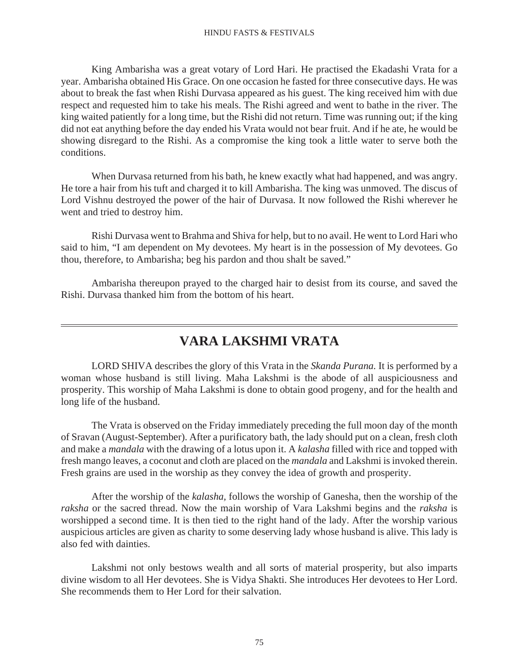#### HINDU FASTS & FESTIVALS

King Ambarisha was a great votary of Lord Hari. He practised the Ekadashi Vrata for a year. Ambarisha obtained His Grace. On one occasion he fasted for three consecutive days. He was about to break the fast when Rishi Durvasa appeared as his guest. The king received him with due respect and requested him to take his meals. The Rishi agreed and went to bathe in the river. The king waited patiently for a long time, but the Rishi did not return. Time was running out; if the king did not eat anything before the day ended his Vrata would not bear fruit. And if he ate, he would be showing disregard to the Rishi. As a compromise the king took a little water to serve both the conditions.

When Durvasa returned from his bath, he knew exactly what had happened, and was angry. He tore a hair from his tuft and charged it to kill Ambarisha. The king was unmoved. The discus of Lord Vishnu destroyed the power of the hair of Durvasa. It now followed the Rishi wherever he went and tried to destroy him.

Rishi Durvasa went to Brahma and Shiva for help, but to no avail. He went to Lord Hari who said to him, "I am dependent on My devotees. My heart is in the possession of My devotees. Go thou, therefore, to Ambarisha; beg his pardon and thou shalt be saved."

Ambarisha thereupon prayed to the charged hair to desist from its course, and saved the Rishi. Durvasa thanked him from the bottom of his heart.

# **VARA LAKSHMI VRATA**

LORD SHIVA describes the glory of this Vrata in the *Skanda Purana.* It is performed by a woman whose husband is still living. Maha Lakshmi is the abode of all auspiciousness and prosperity. This worship of Maha Lakshmi is done to obtain good progeny, and for the health and long life of the husband.

The Vrata is observed on the Friday immediately preceding the full moon day of the month of Sravan (August-September). After a purificatory bath, the lady should put on a clean, fresh cloth and make a *mandala* with the drawing of a lotus upon it. A *kalasha* filled with rice and topped with fresh mango leaves, a coconut and cloth are placed on the *mandala* and Lakshmi is invoked therein. Fresh grains are used in the worship as they convey the idea of growth and prosperity.

After the worship of the *kalasha,* follows the worship of Ganesha, then the worship of the *raksha* or the sacred thread. Now the main worship of Vara Lakshmi begins and the *raksha* is worshipped a second time. It is then tied to the right hand of the lady. After the worship various auspicious articles are given as charity to some deserving lady whose husband is alive. This lady is also fed with dainties.

Lakshmi not only bestows wealth and all sorts of material prosperity, but also imparts divine wisdom to all Her devotees. She is Vidya Shakti. She introduces Her devotees to Her Lord. She recommends them to Her Lord for their salvation.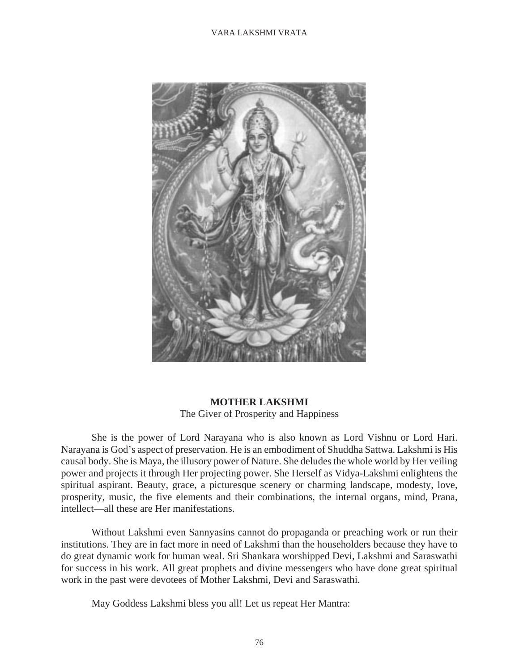

#### **MOTHER LAKSHMI**

The Giver of Prosperity and Happiness

She is the power of Lord Narayana who is also known as Lord Vishnu or Lord Hari. Narayana is God's aspect of preservation. He is an embodiment of Shuddha Sattwa. Lakshmi is His causal body. She is Maya, the illusory power of Nature. She deludes the whole world by Her veiling power and projects it through Her projecting power. She Herself as Vidya-Lakshmi enlightens the spiritual aspirant. Beauty, grace, a picturesque scenery or charming landscape, modesty, love, prosperity, music, the five elements and their combinations, the internal organs, mind, Prana, intellect—all these are Her manifestations.

Without Lakshmi even Sannyasins cannot do propaganda or preaching work or run their institutions. They are in fact more in need of Lakshmi than the householders because they have to do great dynamic work for human weal. Sri Shankara worshipped Devi, Lakshmi and Saraswathi for success in his work. All great prophets and divine messengers who have done great spiritual work in the past were devotees of Mother Lakshmi, Devi and Saraswathi.

May Goddess Lakshmi bless you all! Let us repeat Her Mantra: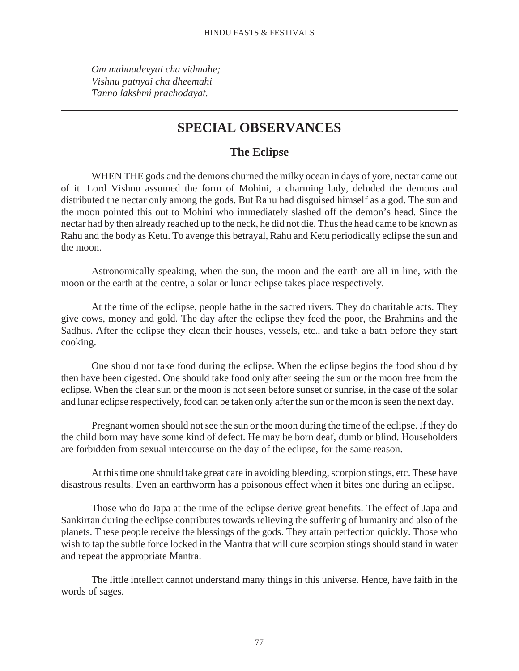*Om mahaadevyai cha vidmahe; Vishnu patnyai cha dheemahi Tanno lakshmi prachodayat.*

# **SPECIAL OBSERVANCES**

#### **The Eclipse**

WHEN THE gods and the demons churned the milky ocean in days of yore, nectar came out of it. Lord Vishnu assumed the form of Mohini, a charming lady, deluded the demons and distributed the nectar only among the gods. But Rahu had disguised himself as a god. The sun and the moon pointed this out to Mohini who immediately slashed off the demon's head. Since the nectar had by then already reached up to the neck, he did not die. Thus the head came to be known as Rahu and the body as Ketu. To avenge this betrayal, Rahu and Ketu periodically eclipse the sun and the moon.

Astronomically speaking, when the sun, the moon and the earth are all in line, with the moon or the earth at the centre, a solar or lunar eclipse takes place respectively.

At the time of the eclipse, people bathe in the sacred rivers. They do charitable acts. They give cows, money and gold. The day after the eclipse they feed the poor, the Brahmins and the Sadhus. After the eclipse they clean their houses, vessels, etc., and take a bath before they start cooking.

One should not take food during the eclipse. When the eclipse begins the food should by then have been digested. One should take food only after seeing the sun or the moon free from the eclipse. When the clear sun or the moon is not seen before sunset or sunrise, in the case of the solar and lunar eclipse respectively, food can be taken only after the sun or the moon is seen the next day.

Pregnant women should not see the sun or the moon during the time of the eclipse. If they do the child born may have some kind of defect. He may be born deaf, dumb or blind. Householders are forbidden from sexual intercourse on the day of the eclipse, for the same reason.

At this time one should take great care in avoiding bleeding, scorpion stings, etc. These have disastrous results. Even an earthworm has a poisonous effect when it bites one during an eclipse.

Those who do Japa at the time of the eclipse derive great benefits. The effect of Japa and Sankirtan during the eclipse contributes towards relieving the suffering of humanity and also of the planets. These people receive the blessings of the gods. They attain perfection quickly. Those who wish to tap the subtle force locked in the Mantra that will cure scorpion stings should stand in water and repeat the appropriate Mantra.

The little intellect cannot understand many things in this universe. Hence, have faith in the words of sages.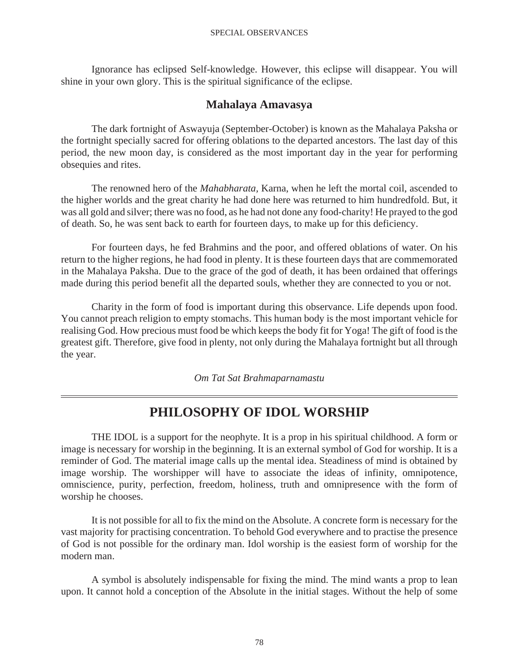Ignorance has eclipsed Self-knowledge. However, this eclipse will disappear. You will shine in your own glory. This is the spiritual significance of the eclipse.

#### **Mahalaya Amavasya**

The dark fortnight of Aswayuja (September-October) is known as the Mahalaya Paksha or the fortnight specially sacred for offering oblations to the departed ancestors. The last day of this period, the new moon day, is considered as the most important day in the year for performing obsequies and rites.

The renowned hero of the *Mahabharata,* Karna, when he left the mortal coil, ascended to the higher worlds and the great charity he had done here was returned to him hundredfold. But, it was all gold and silver; there was no food, as he had not done any food-charity! He prayed to the god of death. So, he was sent back to earth for fourteen days, to make up for this deficiency.

For fourteen days, he fed Brahmins and the poor, and offered oblations of water. On his return to the higher regions, he had food in plenty. It is these fourteen days that are commemorated in the Mahalaya Paksha. Due to the grace of the god of death, it has been ordained that offerings made during this period benefit all the departed souls, whether they are connected to you or not.

Charity in the form of food is important during this observance. Life depends upon food. You cannot preach religion to empty stomachs. This human body is the most important vehicle for realising God. How precious must food be which keeps the body fit for Yoga! The gift of food is the greatest gift. Therefore, give food in plenty, not only during the Mahalaya fortnight but all through the year.

*Om Tat Sat Brahmaparnamastu*

# **PHILOSOPHY OF IDOL WORSHIP**

THE IDOL is a support for the neophyte. It is a prop in his spiritual childhood. A form or image is necessary for worship in the beginning. It is an external symbol of God for worship. It is a reminder of God. The material image calls up the mental idea. Steadiness of mind is obtained by image worship. The worshipper will have to associate the ideas of infinity, omnipotence, omniscience, purity, perfection, freedom, holiness, truth and omnipresence with the form of worship he chooses.

It is not possible for all to fix the mind on the Absolute. A concrete form is necessary for the vast majority for practising concentration. To behold God everywhere and to practise the presence of God is not possible for the ordinary man. Idol worship is the easiest form of worship for the modern man.

A symbol is absolutely indispensable for fixing the mind. The mind wants a prop to lean upon. It cannot hold a conception of the Absolute in the initial stages. Without the help of some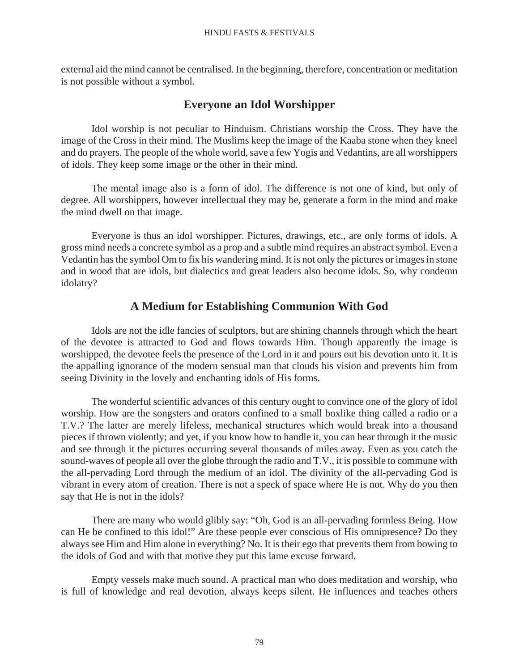external aid the mind cannot be centralised. In the beginning, therefore, concentration or meditation is not possible without a symbol.

### **Everyone an Idol Worshipper**

Idol worship is not peculiar to Hinduism. Christians worship the Cross. They have the image of the Cross in their mind. The Muslims keep the image of the Kaaba stone when they kneel and do prayers. The people of the whole world, save a few Yogis and Vedantins, are all worshippers of idols. They keep some image or the other in their mind.

The mental image also is a form of idol. The difference is not one of kind, but only of degree. All worshippers, however intellectual they may be, generate a form in the mind and make the mind dwell on that image.

Everyone is thus an idol worshipper. Pictures, drawings, etc., are only forms of idols. A gross mind needs a concrete symbol as a prop and a subtle mind requires an abstract symbol. Even a Vedantin has the symbol Om to fix his wandering mind. It is not only the pictures or images in stone and in wood that are idols, but dialectics and great leaders also become idols. So, why condemn idolatry?

# **A Medium for Establishing Communion With God**

Idols are not the idle fancies of sculptors, but are shining channels through which the heart of the devotee is attracted to God and flows towards Him. Though apparently the image is worshipped, the devotee feels the presence of the Lord in it and pours out his devotion unto it. It is the appalling ignorance of the modern sensual man that clouds his vision and prevents him from seeing Divinity in the lovely and enchanting idols of His forms.

The wonderful scientific advances of this century ought to convince one of the glory of idol worship. How are the songsters and orators confined to a small boxlike thing called a radio or a T.V.? The latter are merely lifeless, mechanical structures which would break into a thousand pieces if thrown violently; and yet, if you know how to handle it, you can hear through it the music and see through it the pictures occurring several thousands of miles away. Even as you catch the sound-waves of people all over the globe through the radio and T.V., it is possible to commune with the all-pervading Lord through the medium of an idol. The divinity of the all-pervading God is vibrant in every atom of creation. There is not a speck of space where He is not. Why do you then say that He is not in the idols?

There are many who would glibly say: "Oh, God is an all-pervading formless Being. How can He be confined to this idol!" Are these people ever conscious of His omnipresence? Do they always see Him and Him alone in everything? No. It is their ego that prevents them from bowing to the idols of God and with that motive they put this lame excuse forward.

Empty vessels make much sound. A practical man who does meditation and worship, who is full of knowledge and real devotion, always keeps silent. He influences and teaches others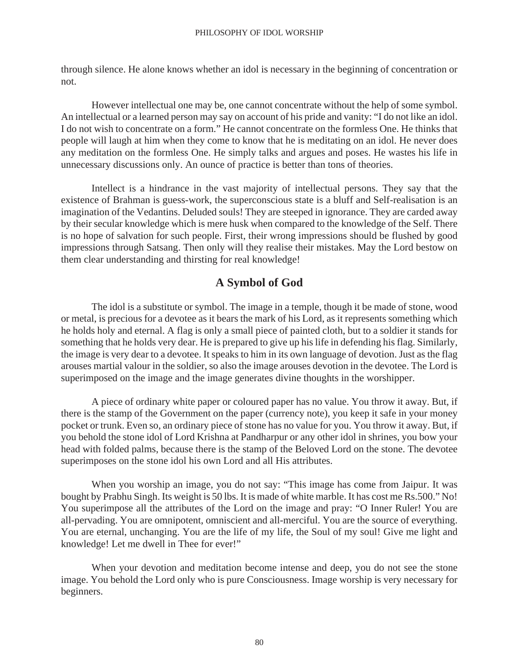through silence. He alone knows whether an idol is necessary in the beginning of concentration or not.

However intellectual one may be, one cannot concentrate without the help of some symbol. An intellectual or a learned person may say on account of his pride and vanity: "I do not like an idol. I do not wish to concentrate on a form." He cannot concentrate on the formless One. He thinks that people will laugh at him when they come to know that he is meditating on an idol. He never does any meditation on the formless One. He simply talks and argues and poses. He wastes his life in unnecessary discussions only. An ounce of practice is better than tons of theories.

Intellect is a hindrance in the vast majority of intellectual persons. They say that the existence of Brahman is guess-work, the superconscious state is a bluff and Self-realisation is an imagination of the Vedantins. Deluded souls! They are steeped in ignorance. They are carded away by their secular knowledge which is mere husk when compared to the knowledge of the Self. There is no hope of salvation for such people. First, their wrong impressions should be flushed by good impressions through Satsang. Then only will they realise their mistakes. May the Lord bestow on them clear understanding and thirsting for real knowledge!

# **A Symbol of God**

The idol is a substitute or symbol. The image in a temple, though it be made of stone, wood or metal, is precious for a devotee as it bears the mark of his Lord, as it represents something which he holds holy and eternal. A flag is only a small piece of painted cloth, but to a soldier it stands for something that he holds very dear. He is prepared to give up his life in defending his flag. Similarly, the image is very dear to a devotee. It speaks to him in its own language of devotion. Just as the flag arouses martial valour in the soldier, so also the image arouses devotion in the devotee. The Lord is superimposed on the image and the image generates divine thoughts in the worshipper.

A piece of ordinary white paper or coloured paper has no value. You throw it away. But, if there is the stamp of the Government on the paper (currency note), you keep it safe in your money pocket or trunk. Even so, an ordinary piece of stone has no value for you. You throw it away. But, if you behold the stone idol of Lord Krishna at Pandharpur or any other idol in shrines, you bow your head with folded palms, because there is the stamp of the Beloved Lord on the stone. The devotee superimposes on the stone idol his own Lord and all His attributes.

When you worship an image, you do not say: "This image has come from Jaipur. It was bought by Prabhu Singh. Its weight is 50 lbs. It is made of white marble. It has cost me Rs.500." No! You superimpose all the attributes of the Lord on the image and pray: "O Inner Ruler! You are all-pervading. You are omnipotent, omniscient and all-merciful. You are the source of everything. You are eternal, unchanging. You are the life of my life, the Soul of my soul! Give me light and knowledge! Let me dwell in Thee for ever!"

When your devotion and meditation become intense and deep, you do not see the stone image. You behold the Lord only who is pure Consciousness. Image worship is very necessary for beginners.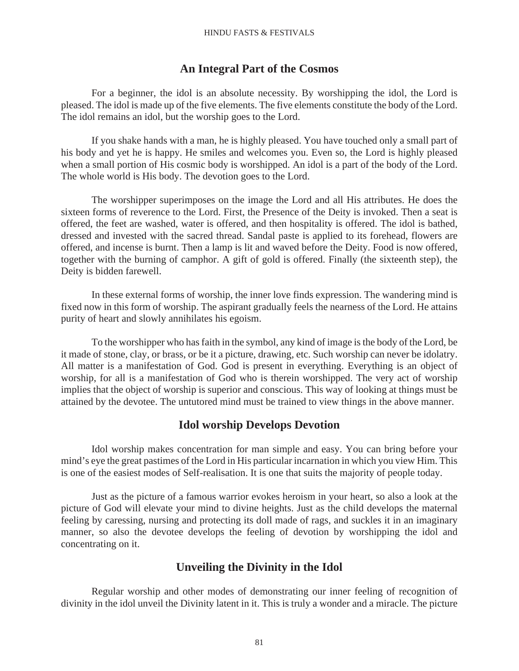### **An Integral Part of the Cosmos**

For a beginner, the idol is an absolute necessity. By worshipping the idol, the Lord is pleased. The idol is made up of the five elements. The five elements constitute the body of the Lord. The idol remains an idol, but the worship goes to the Lord.

If you shake hands with a man, he is highly pleased. You have touched only a small part of his body and yet he is happy. He smiles and welcomes you. Even so, the Lord is highly pleased when a small portion of His cosmic body is worshipped. An idol is a part of the body of the Lord. The whole world is His body. The devotion goes to the Lord.

The worshipper superimposes on the image the Lord and all His attributes. He does the sixteen forms of reverence to the Lord. First, the Presence of the Deity is invoked. Then a seat is offered, the feet are washed, water is offered, and then hospitality is offered. The idol is bathed, dressed and invested with the sacred thread. Sandal paste is applied to its forehead, flowers are offered, and incense is burnt. Then a lamp is lit and waved before the Deity. Food is now offered, together with the burning of camphor. A gift of gold is offered. Finally (the sixteenth step), the Deity is bidden farewell.

In these external forms of worship, the inner love finds expression. The wandering mind is fixed now in this form of worship. The aspirant gradually feels the nearness of the Lord. He attains purity of heart and slowly annihilates his egoism.

To the worshipper who has faith in the symbol, any kind of image is the body of the Lord, be it made of stone, clay, or brass, or be it a picture, drawing, etc. Such worship can never be idolatry. All matter is a manifestation of God. God is present in everything. Everything is an object of worship, for all is a manifestation of God who is therein worshipped. The very act of worship implies that the object of worship is superior and conscious. This way of looking at things must be attained by the devotee. The untutored mind must be trained to view things in the above manner.

#### **Idol worship Develops Devotion**

Idol worship makes concentration for man simple and easy. You can bring before your mind's eye the great pastimes of the Lord in His particular incarnation in which you view Him. This is one of the easiest modes of Self-realisation. It is one that suits the majority of people today.

Just as the picture of a famous warrior evokes heroism in your heart, so also a look at the picture of God will elevate your mind to divine heights. Just as the child develops the maternal feeling by caressing, nursing and protecting its doll made of rags, and suckles it in an imaginary manner, so also the devotee develops the feeling of devotion by worshipping the idol and concentrating on it.

## **Unveiling the Divinity in the Idol**

Regular worship and other modes of demonstrating our inner feeling of recognition of divinity in the idol unveil the Divinity latent in it. This is truly a wonder and a miracle. The picture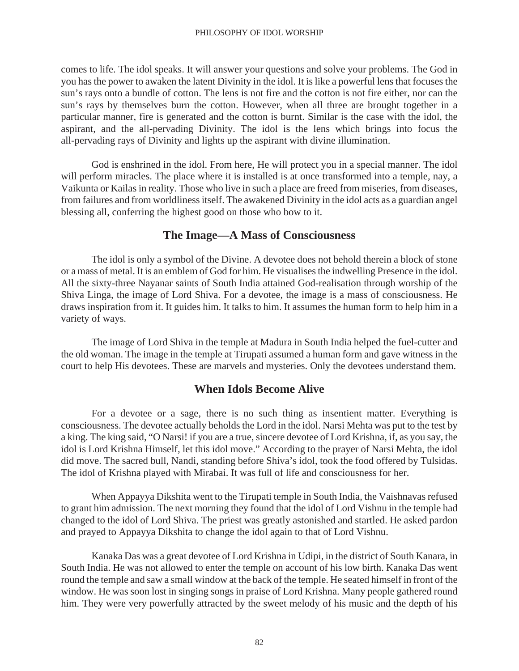comes to life. The idol speaks. It will answer your questions and solve your problems. The God in you has the power to awaken the latent Divinity in the idol. It is like a powerful lens that focuses the sun's rays onto a bundle of cotton. The lens is not fire and the cotton is not fire either, nor can the sun's rays by themselves burn the cotton. However, when all three are brought together in a particular manner, fire is generated and the cotton is burnt. Similar is the case with the idol, the aspirant, and the all-pervading Divinity. The idol is the lens which brings into focus the all-pervading rays of Divinity and lights up the aspirant with divine illumination.

God is enshrined in the idol. From here, He will protect you in a special manner. The idol will perform miracles. The place where it is installed is at once transformed into a temple, nay, a Vaikunta or Kailas in reality. Those who live in such a place are freed from miseries, from diseases, from failures and from worldliness itself. The awakened Divinity in the idol acts as a guardian angel blessing all, conferring the highest good on those who bow to it.

#### **The Image—A Mass of Consciousness**

The idol is only a symbol of the Divine. A devotee does not behold therein a block of stone or a mass of metal. It is an emblem of God for him. He visualises the indwelling Presence in the idol. All the sixty-three Nayanar saints of South India attained God-realisation through worship of the Shiva Linga, the image of Lord Shiva. For a devotee, the image is a mass of consciousness. He draws inspiration from it. It guides him. It talks to him. It assumes the human form to help him in a variety of ways.

The image of Lord Shiva in the temple at Madura in South India helped the fuel-cutter and the old woman. The image in the temple at Tirupati assumed a human form and gave witness in the court to help His devotees. These are marvels and mysteries. Only the devotees understand them.

## **When Idols Become Alive**

For a devotee or a sage, there is no such thing as insentient matter. Everything is consciousness. The devotee actually beholds the Lord in the idol. Narsi Mehta was put to the test by a king. The king said, "O Narsi! if you are a true, sincere devotee of Lord Krishna, if, as you say, the idol is Lord Krishna Himself, let this idol move." According to the prayer of Narsi Mehta, the idol did move. The sacred bull, Nandi, standing before Shiva's idol, took the food offered by Tulsidas. The idol of Krishna played with Mirabai. It was full of life and consciousness for her.

When Appayya Dikshita went to the Tirupati temple in South India, the Vaishnavas refused to grant him admission. The next morning they found that the idol of Lord Vishnu in the temple had changed to the idol of Lord Shiva. The priest was greatly astonished and startled. He asked pardon and prayed to Appayya Dikshita to change the idol again to that of Lord Vishnu.

Kanaka Das was a great devotee of Lord Krishna in Udipi, in the district of South Kanara, in South India. He was not allowed to enter the temple on account of his low birth. Kanaka Das went round the temple and saw a small window at the back of the temple. He seated himself in front of the window. He was soon lost in singing songs in praise of Lord Krishna. Many people gathered round him. They were very powerfully attracted by the sweet melody of his music and the depth of his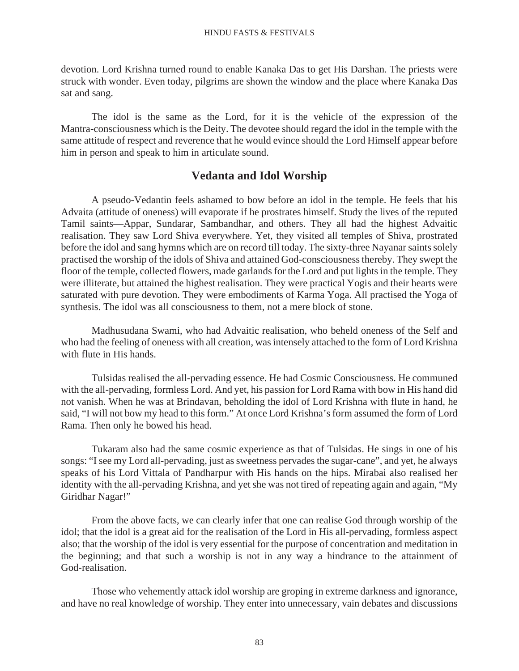devotion. Lord Krishna turned round to enable Kanaka Das to get His Darshan. The priests were struck with wonder. Even today, pilgrims are shown the window and the place where Kanaka Das sat and sang.

The idol is the same as the Lord, for it is the vehicle of the expression of the Mantra-consciousness which is the Deity. The devotee should regard the idol in the temple with the same attitude of respect and reverence that he would evince should the Lord Himself appear before him in person and speak to him in articulate sound.

## **Vedanta and Idol Worship**

A pseudo-Vedantin feels ashamed to bow before an idol in the temple. He feels that his Advaita (attitude of oneness) will evaporate if he prostrates himself. Study the lives of the reputed Tamil saints—Appar, Sundarar, Sambandhar, and others. They all had the highest Advaitic realisation. They saw Lord Shiva everywhere. Yet, they visited all temples of Shiva, prostrated before the idol and sang hymns which are on record till today. The sixty-three Nayanar saints solely practised the worship of the idols of Shiva and attained God-consciousness thereby. They swept the floor of the temple, collected flowers, made garlands for the Lord and put lights in the temple. They were illiterate, but attained the highest realisation. They were practical Yogis and their hearts were saturated with pure devotion. They were embodiments of Karma Yoga. All practised the Yoga of synthesis. The idol was all consciousness to them, not a mere block of stone.

Madhusudana Swami, who had Advaitic realisation, who beheld oneness of the Self and who had the feeling of oneness with all creation, was intensely attached to the form of Lord Krishna with flute in His hands.

Tulsidas realised the all-pervading essence. He had Cosmic Consciousness. He communed with the all-pervading, formless Lord. And yet, his passion for Lord Rama with bow in His hand did not vanish. When he was at Brindavan, beholding the idol of Lord Krishna with flute in hand, he said, "I will not bow my head to this form." At once Lord Krishna's form assumed the form of Lord Rama. Then only he bowed his head.

Tukaram also had the same cosmic experience as that of Tulsidas. He sings in one of his songs: "I see my Lord all-pervading, just as sweetness pervades the sugar-cane", and yet, he always speaks of his Lord Vittala of Pandharpur with His hands on the hips. Mirabai also realised her identity with the all-pervading Krishna, and yet she was not tired of repeating again and again, "My Giridhar Nagar!"

From the above facts, we can clearly infer that one can realise God through worship of the idol; that the idol is a great aid for the realisation of the Lord in His all-pervading, formless aspect also; that the worship of the idol is very essential for the purpose of concentration and meditation in the beginning; and that such a worship is not in any way a hindrance to the attainment of God-realisation.

Those who vehemently attack idol worship are groping in extreme darkness and ignorance, and have no real knowledge of worship. They enter into unnecessary, vain debates and discussions